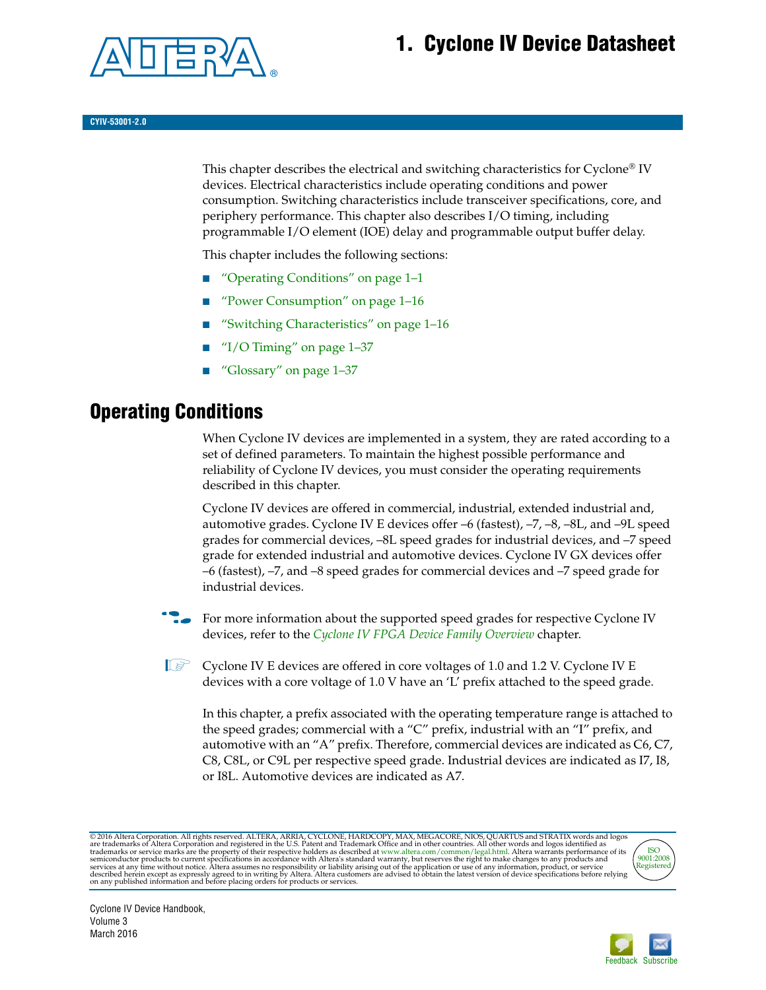## **1. Cyclone IV Device Datasheet**



#### **CYIV-53001-2.0**

This chapter describes the electrical and switching characteristics for Cyclone<sup>®</sup> IV devices. Electrical characteristics include operating conditions and power consumption. Switching characteristics include transceiver specifications, core, and periphery performance. This chapter also describes I/O timing, including programmable I/O element (IOE) delay and programmable output buffer delay.

This chapter includes the following sections:

- ["Operating Conditions" on page 1–1](#page-0-0)
- ["Power Consumption" on page 1–16](#page-15-0)
- ["Switching Characteristics" on page 1–16](#page-15-1)
- "I/O Timing" on page  $1-37$
- ["Glossary" on page 1–37](#page-36-1)

## <span id="page-0-0"></span>**Operating Conditions**

When Cyclone IV devices are implemented in a system, they are rated according to a set of defined parameters. To maintain the highest possible performance and reliability of Cyclone IV devices, you must consider the operating requirements described in this chapter.

Cyclone IV devices are offered in commercial, industrial, extended industrial and, automotive grades. Cyclone IV E devices offer –6 (fastest), –7, –8, –8L, and –9L speed grades for commercial devices, –8L speed grades for industrial devices, and –7 speed grade for extended industrial and automotive devices. Cyclone IV GX devices offer –6 (fastest), –7, and –8 speed grades for commercial devices and –7 speed grade for industrial devices.

For more information about the supported speed grades for respective Cyclone IV devices, refer to the *[Cyclone IV FPGA Device Family Overview](http://www.altera.com/literature/hb/cyclone-iv/cyiv-51001.pdf)* chapter.

 $\mathbb{I}$  Cyclone IV E devices are offered in core voltages of 1.0 and 1.2 V. Cyclone IV E devices with a core voltage of 1.0 V have an 'L' prefix attached to the speed grade.

In this chapter, a prefix associated with the operating temperature range is attached to the speed grades; commercial with a "C" prefix, industrial with an "I" prefix, and automotive with an "A" prefix. Therefore, commercial devices are indicated as C6, C7, C8, C8L, or C9L per respective speed grade. Industrial devices are indicated as I7, I8, or I8L. Automotive devices are indicated as A7.

@2016 Altera Corporation. All rights reserved. ALTERA, ARRIA, CYCLONE, HARDCOPY, MAX, MEGACORE, NIOS, QUARTUS and STRATIX words and logos are trademarks of Altera Corporation and registered in the U.S. Patent and Trademark



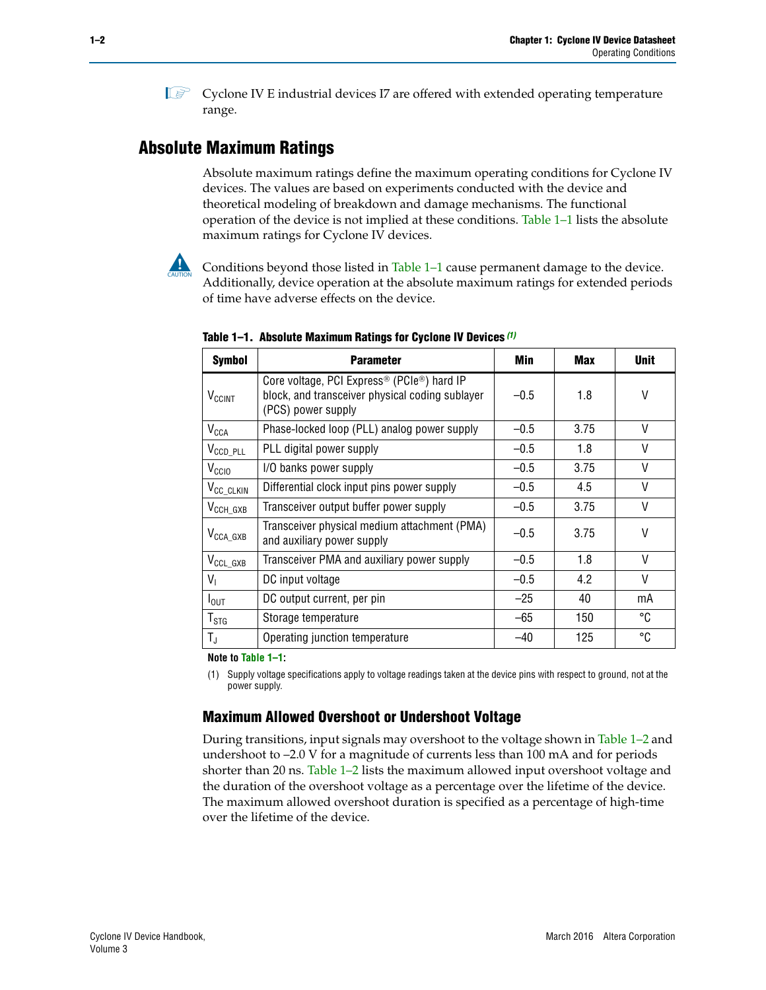$\mathbb{I}$  Cyclone IV E industrial devices I7 are offered with extended operating temperature range.

## **Absolute Maximum Ratings**

Absolute maximum ratings define the maximum operating conditions for Cyclone IV devices. The values are based on experiments conducted with the device and theoretical modeling of breakdown and damage mechanisms. The functional operation of the device is not implied at these conditions. [Table 1–1](#page-1-1) lists the absolute maximum ratings for Cyclone IV devices.

Conditions beyond those listed in Table  $1-1$  cause permanent damage to the device. Additionally, device operation at the absolute maximum ratings for extended periods of time have adverse effects on the device.

| <b>Symbol</b>              | <b>Parameter</b>                                                                                                                             | Min    | Max  | <b>Unit</b> |
|----------------------------|----------------------------------------------------------------------------------------------------------------------------------------------|--------|------|-------------|
| $V_{CClNT}$                | Core voltage, PCI Express <sup>®</sup> (PCIe <sup>®</sup> ) hard IP<br>block, and transceiver physical coding sublayer<br>(PCS) power supply | $-0.5$ | 1.8  | V           |
| $V_{CCA}$                  | Phase-locked loop (PLL) analog power supply                                                                                                  | $-0.5$ | 3.75 | V           |
| $V_{\text{CCD\_PLL}}$      | PLL digital power supply                                                                                                                     | $-0.5$ | 1.8  | V           |
| V <sub>CCIO</sub>          | I/O banks power supply                                                                                                                       | $-0.5$ | 3.75 | V           |
| V <sub>CC_CLKIN</sub>      | Differential clock input pins power supply                                                                                                   | $-0.5$ | 4.5  | V           |
| $V_{\text{CCH_GXB}}$       | Transceiver output buffer power supply                                                                                                       | $-0.5$ | 3.75 | V           |
| $V_{\text{CCA\_GXB}}$      | Transceiver physical medium attachment (PMA)<br>and auxiliary power supply                                                                   | $-0.5$ | 3.75 | V           |
| $V_{\rm CCL_GXB}$          | Transceiver PMA and auxiliary power supply                                                                                                   | $-0.5$ | 1.8  | V           |
| $V_{1}$                    | DC input voltage                                                                                                                             | $-0.5$ | 4.2  | V           |
| $I_{\text{OUT}}$           | DC output current, per pin                                                                                                                   | $-25$  | 40   | mA          |
| ${\mathsf T}_{\text{STG}}$ | Storage temperature                                                                                                                          | -65    | 150  | °C          |
| $T_{\rm J}$                | Operating junction temperature                                                                                                               | $-40$  | 125  | °C          |

<span id="page-1-1"></span>**Table 1–1. Absolute Maximum Ratings for Cyclone IV Devices** *[\(1\)](#page-1-0)*

**Note to [Table 1–1](#page-1-1):**

<span id="page-1-0"></span>(1) Supply voltage specifications apply to voltage readings taken at the device pins with respect to ground, not at the power supply.

## **Maximum Allowed Overshoot or Undershoot Voltage**

During transitions, input signals may overshoot to the voltage shown in [Table 1–2](#page-2-0) and undershoot to –2.0 V for a magnitude of currents less than 100 mA and for periods shorter than 20 ns. [Table 1–2](#page-2-0) lists the maximum allowed input overshoot voltage and the duration of the overshoot voltage as a percentage over the lifetime of the device. The maximum allowed overshoot duration is specified as a percentage of high-time over the lifetime of the device.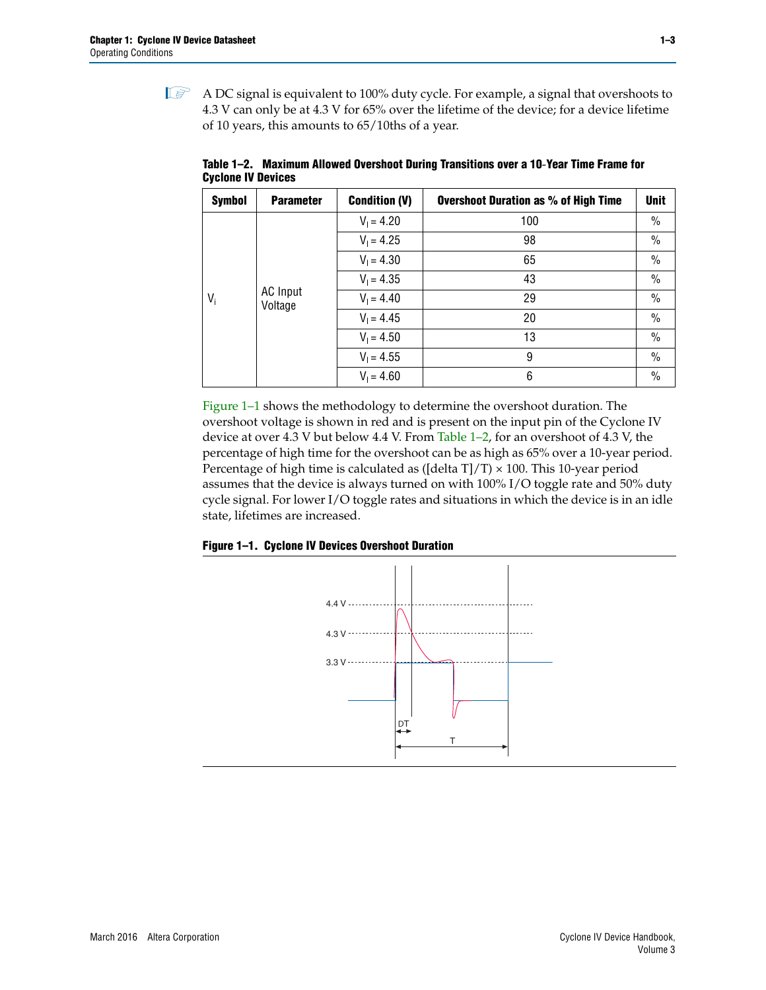$\mathbb{I}$  A DC signal is equivalent to 100% duty cycle. For example, a signal that overshoots to 4.3 V can only be at 4.3 V for 65% over the lifetime of the device; for a device lifetime of 10 years, this amounts to 65/10ths of a year.

| <b>Symbol</b> | <b>Parameter</b> | <b>Condition (V)</b> | <b>Overshoot Duration as % of High Time</b> | <b>Unit</b>   |         |              |    |      |
|---------------|------------------|----------------------|---------------------------------------------|---------------|---------|--------------|----|------|
|               |                  | $V_1 = 4.20$         | 100                                         | $\frac{0}{0}$ |         |              |    |      |
|               |                  | $V_1 = 4.25$         | 98                                          | $\%$          |         |              |    |      |
|               |                  | $V_1 = 4.30$         | 65                                          | $\%$          |         |              |    |      |
|               | $V_1 = 4.35$     | 43                   | $\frac{0}{0}$                               |               |         |              |    |      |
| $V_i$         |                  | <b>AC Input</b>      |                                             |               | Voltage | $V_1 = 4.40$ | 29 | $\%$ |
|               |                  | $V_1 = 4.45$         | 20                                          | $\frac{0}{0}$ |         |              |    |      |
|               |                  | $V_1 = 4.50$         | 13                                          | $\%$          |         |              |    |      |
|               |                  | $V_1 = 4.55$         | 9                                           | $\%$          |         |              |    |      |
|               |                  | $V_1 = 4.60$         | 6                                           | $\frac{0}{0}$ |         |              |    |      |

<span id="page-2-0"></span>**Table 1–2. Maximum Allowed Overshoot During Transitions over a 10**-**Year Time Frame for Cyclone IV Devices**

[Figure 1–1](#page-2-1) shows the methodology to determine the overshoot duration. The overshoot voltage is shown in red and is present on the input pin of the Cyclone IV device at over 4.3 V but below 4.4 V. From [Table 1–2,](#page-2-0) for an overshoot of 4.3 V, the percentage of high time for the overshoot can be as high as 65% over a 10-year period. Percentage of high time is calculated as ([delta T]/T)  $\times$  100. This 10-year period assumes that the device is always turned on with 100% I/O toggle rate and 50% duty cycle signal. For lower I/O toggle rates and situations in which the device is in an idle state, lifetimes are increased.

<span id="page-2-1"></span>

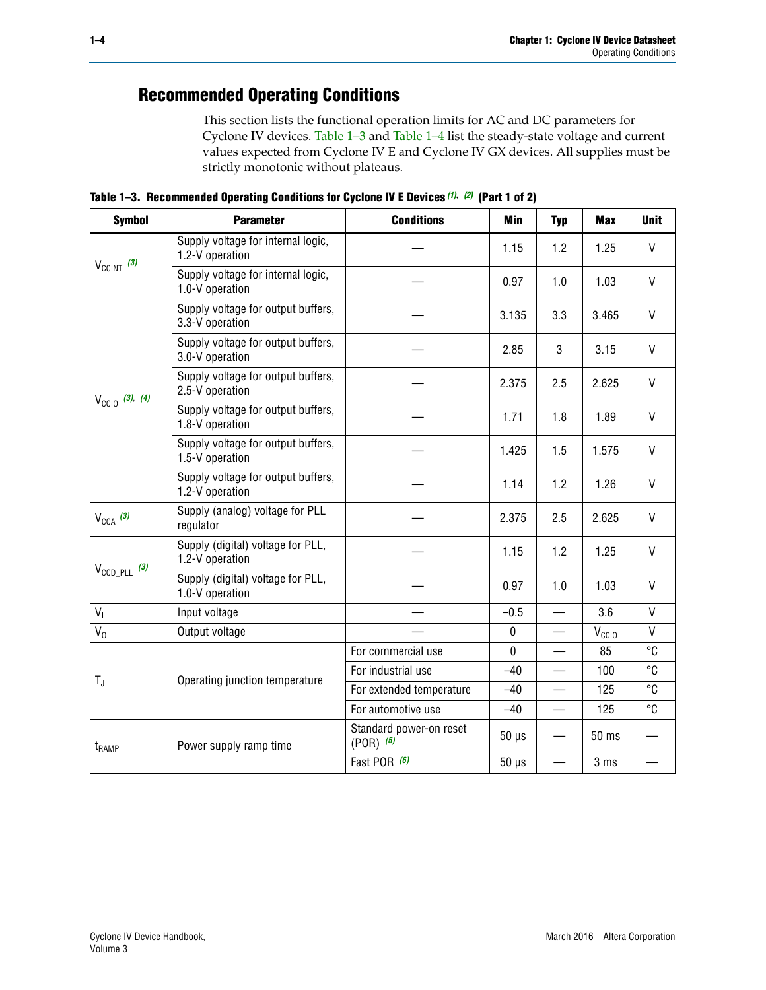## **Recommended Operating Conditions**

This section lists the functional operation limits for AC and DC parameters for Cyclone IV devices. [Table 1–3](#page-3-0) and [Table 1–4](#page-4-0) list the steady-state voltage and current values expected from Cyclone IV E and Cyclone IV GX devices. All supplies must be strictly monotonic without plateaus.

<span id="page-3-0"></span>**Table 1–3. Recommended Operating Conditions for Cyclone IV E Devices** *[\(1\)](#page-4-1)***,** *[\(2\)](#page-4-2)* **(Part 1 of 2)**

| <b>Symbol</b>              | <b>Parameter</b>                                      | <b>Conditions</b>                      | Min         | <b>Typ</b>               | <b>Max</b>     | <b>Unit</b>  |
|----------------------------|-------------------------------------------------------|----------------------------------------|-------------|--------------------------|----------------|--------------|
|                            | Supply voltage for internal logic,<br>1.2-V operation |                                        | 1.15        | 1.2                      | 1.25           | V            |
| $V_{CClNT}$ (3)            | Supply voltage for internal logic,<br>1.0-V operation |                                        | 0.97        | 1.0                      | 1.03           | $\mathsf{V}$ |
|                            | Supply voltage for output buffers,<br>3.3-V operation |                                        | 3.135       | 3.3                      | 3.465          | $\mathsf{V}$ |
|                            | Supply voltage for output buffers,<br>3.0-V operation |                                        | 2.85        | 3                        | 3.15           | V            |
| $V_{\text{CCIO}}$ (3), (4) | Supply voltage for output buffers,<br>2.5-V operation |                                        | 2.375       | 2.5                      | 2.625          | $\vee$       |
|                            | Supply voltage for output buffers,<br>1.8-V operation |                                        | 1.71        | 1.8                      | 1.89           | $\mathsf{V}$ |
|                            | Supply voltage for output buffers,<br>1.5-V operation |                                        | 1.425       | 1.5                      | 1.575          | $\vee$       |
|                            | Supply voltage for output buffers,<br>1.2-V operation |                                        | 1.14        | 1.2                      | 1.26           | $\mathsf{V}$ |
| $V_{CCA}$ (3)              | Supply (analog) voltage for PLL<br>regulator          |                                        | 2.375       | 2.5                      | 2.625          | $\vee$       |
|                            | Supply (digital) voltage for PLL,<br>1.2-V operation  |                                        | 1.15        | 1.2                      | 1.25           | $\mathsf{V}$ |
| $V_{\text{CCD\_PLL}}$ (3)  | Supply (digital) voltage for PLL,<br>1.0-V operation  |                                        | 0.97        | 1.0                      | 1.03           | $\mathsf{V}$ |
| V <sub>1</sub>             | Input voltage                                         |                                        | $-0.5$      |                          | 3.6            | $\mathsf{V}$ |
| $V_0$                      | Output voltage                                        |                                        | $\pmb{0}$   | $\overline{\phantom{0}}$ | $V_{\rm CClO}$ | $\mathsf{V}$ |
|                            |                                                       | For commercial use                     | $\mathbf 0$ |                          | 85             | °C           |
| $T_{\rm J}$                | Operating junction temperature                        | For industrial use                     | $-40$       |                          | 100            | °C           |
|                            |                                                       | For extended temperature               | $-40$       |                          | 125            | °C           |
|                            |                                                       | For automotive use                     | $-40$       | $\overline{\phantom{m}}$ | 125            | °C           |
| t <sub>RAMP</sub>          | Power supply ramp time                                | Standard power-on reset<br>$(POR)$ (5) | $50 \mu s$  |                          | 50 ms          |              |
|                            |                                                       | Fast POR (6)                           | $50 \mu s$  | $\overline{\phantom{0}}$ | 3 ms           |              |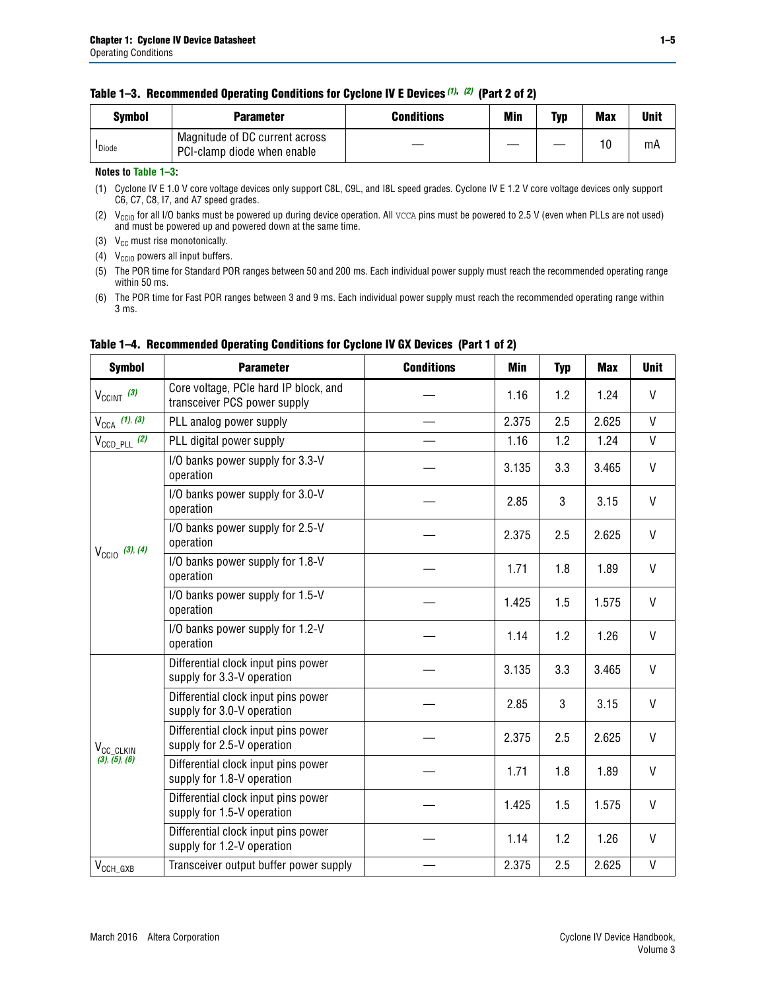### **Table 1–3. Recommended Operating Conditions for Cyclone IV E Devices** *(1)***,** *(2)* **(Part 2 of 2)**

| Svmbol             | <b>Parameter</b>                                              | <b>Conditions</b> | Min | Typ | <b>Max</b> | Unit |
|--------------------|---------------------------------------------------------------|-------------------|-----|-----|------------|------|
| <sup>I</sup> Diode | Magnitude of DC current across<br>PCI-clamp diode when enable |                   |     |     | 10         | mA   |

### **Notes to [Table 1–3](#page-3-0):**

<span id="page-4-1"></span>(1) Cyclone IV E 1.0 V core voltage devices only support C8L, C9L, and I8L speed grades. Cyclone IV E 1.2 V core voltage devices only support C6, C7, C8, I7, and A7 speed grades.

<span id="page-4-2"></span>(2)  $V_{CCIO}$  for all I/O banks must be powered up during device operation. All vcca pins must be powered to 2.5 V (even when PLLs are not used) and must be powered up and powered down at the same time.

<span id="page-4-3"></span>(3)  $V_{CC}$  must rise monotonically.

<span id="page-4-4"></span>(4)  $V_{\text{CCIO}}$  powers all input buffers.

<span id="page-4-5"></span>(5) The POR time for Standard POR ranges between 50 and 200 ms. Each individual power supply must reach the recommended operating range within 50 ms.

<span id="page-4-6"></span>(6) The POR time for Fast POR ranges between 3 and 9 ms. Each individual power supply must reach the recommended operating range within 3 ms.

| <b>Symbol</b>              | <b>Parameter</b>                                                      | <b>Conditions</b> | <b>Min</b> | <b>Typ</b> | <b>Max</b> | <b>Unit</b>  |
|----------------------------|-----------------------------------------------------------------------|-------------------|------------|------------|------------|--------------|
| $V_{CClNT}$ (3)            | Core voltage, PCIe hard IP block, and<br>transceiver PCS power supply |                   | 1.16       | 1.2        | 1.24       | V            |
| $V_{CCA}$ (1), (3)         | PLL analog power supply                                               |                   | 2.375      | 2.5        | 2.625      | V            |
| $V_{\text{CCD\_PLL}}$ (2)  | PLL digital power supply                                              |                   | 1.16       | 1.2        | 1.24       | V            |
|                            | I/O banks power supply for 3.3-V<br>operation                         |                   | 3.135      | 3.3        | 3.465      | $\mathsf{V}$ |
|                            | I/O banks power supply for 3.0-V<br>operation                         |                   | 2.85       | 3          | 3.15       | V            |
| $V_{\text{CC10}}$ (3), (4) | I/O banks power supply for 2.5-V<br>operation                         |                   | 2.375      | 2.5        | 2.625      | V            |
|                            | I/O banks power supply for 1.8-V<br>operation                         |                   | 1.71       | 1.8        | 1.89       | V            |
|                            | I/O banks power supply for 1.5-V<br>operation                         |                   | 1.425      | 1.5        | 1.575      | V            |
|                            | I/O banks power supply for 1.2-V<br>operation                         |                   | 1.14       | 1.2        | 1.26       | $\mathsf{V}$ |
|                            | Differential clock input pins power<br>supply for 3.3-V operation     |                   | 3.135      | 3.3        | 3.465      | V            |
|                            | Differential clock input pins power<br>supply for 3.0-V operation     |                   | 2.85       | 3          | 3.15       | $\mathsf{V}$ |
| V <sub>CC_CLKIN</sub>      | Differential clock input pins power<br>supply for 2.5-V operation     |                   | 2.375      | 2.5        | 2.625      | $\mathsf{V}$ |
| (3), (5), (6)              | Differential clock input pins power<br>supply for 1.8-V operation     |                   | 1.71       | 1.8        | 1.89       | V            |
|                            | Differential clock input pins power<br>supply for 1.5-V operation     |                   | 1.425      | 1.5        | 1.575      | V            |
|                            | Differential clock input pins power<br>supply for 1.2-V operation     |                   | 1.14       | 1.2        | 1.26       | V            |
| $V_{\text{CCH_GXB}}$       | Transceiver output buffer power supply                                |                   | 2.375      | 2.5        | 2.625      | $\mathsf{V}$ |

## <span id="page-4-0"></span>**Table 1–4. Recommended Operating Conditions for Cyclone IV GX Devices (Part 1 of 2)**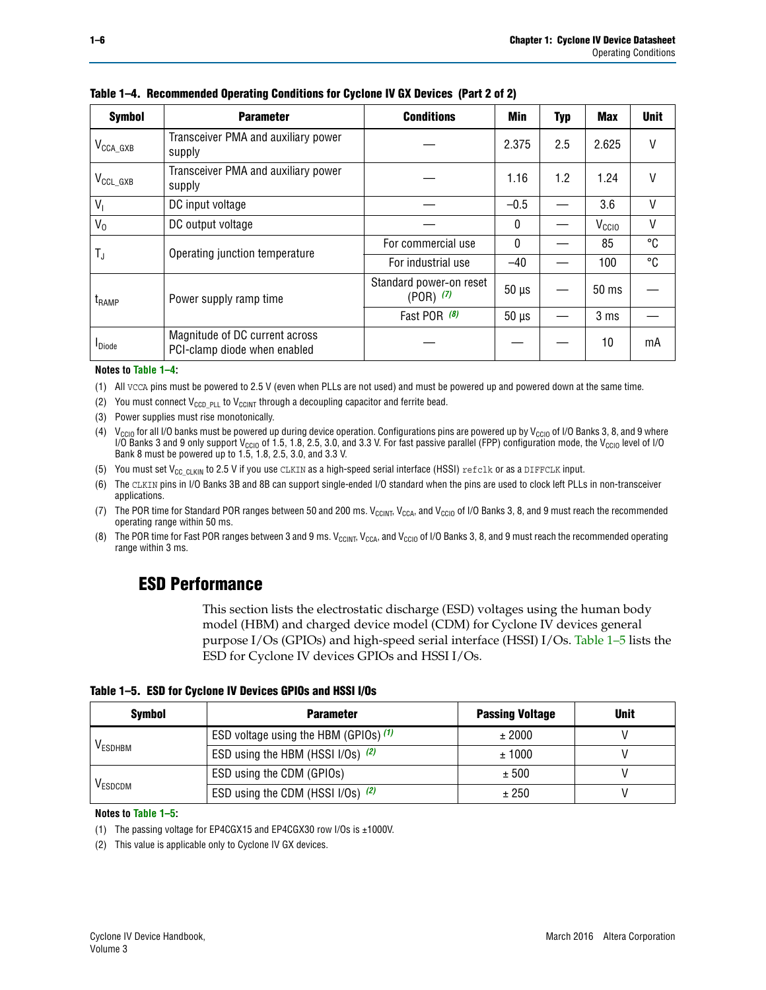| <b>Symbol</b>         | <b>Parameter</b>                                               | <b>Conditions</b>                        | Min          | <b>Typ</b> | <b>Max</b>        | <b>Unit</b> |
|-----------------------|----------------------------------------------------------------|------------------------------------------|--------------|------------|-------------------|-------------|
| $V_{\text{CCA\_GXB}}$ | Transceiver PMA and auxiliary power<br>supply                  |                                          | 2.375        | 2.5        | 2.625             | V           |
| $V_{\rm CCL\_GXB}$    | Transceiver PMA and auxiliary power<br>supply                  |                                          | 1.16         | 1.2        | 1.24              | V           |
| $V_{1}$               | DC input voltage                                               |                                          | $-0.5$       |            | 3.6               | $\vee$      |
| $V_0$                 | DC output voltage                                              |                                          | $\mathbf{0}$ |            | V <sub>CCIO</sub> | V           |
|                       | Operating junction temperature                                 | For commercial use                       | $\mathbf{0}$ |            | 85                | °C          |
| T,                    |                                                                | For industrial use                       | $-40$        |            | 100               | °C          |
| $t_{\rm{RAMP}}$       | Power supply ramp time                                         | Standard power-on reset<br>$(POR)$ $(7)$ | $50 \mu s$   |            | $50 \text{ ms}$   |             |
|                       |                                                                | Fast POR (8)                             | $50 \mu s$   |            | 3 <sub>ms</sub>   |             |
| <b>I</b> Diode        | Magnitude of DC current across<br>PCI-clamp diode when enabled |                                          |              |            | 10                | mA          |

**Table 1–4. Recommended Operating Conditions for Cyclone IV GX Devices (Part 2 of 2)**

#### **Notes to [Table 1–4](#page-4-0):**

- <span id="page-5-1"></span>(1) All VCCA pins must be powered to 2.5 V (even when PLLs are not used) and must be powered up and powered down at the same time.
- <span id="page-5-2"></span>(2) You must connect  $V_{CCD-PLL}$  to  $V_{CCINT}$  through a decoupling capacitor and ferrite bead.
- <span id="page-5-0"></span>(3) Power supplies must rise monotonically.
- <span id="page-5-3"></span>(4)  $V_{\text{CCIO}}$  for all I/O banks must be powered up during device operation. Configurations pins are powered up by V<sub>CCIO</sub> of I/O Banks 3, 8, and 9 where I/O Banks 3 and 9 only support V<sub>CCIO</sub> of 1.5, 1.8, 2.5, 3.0, and 3.3 V. For fast passive parallel (FPP) configuration mode, the V<sub>CCIO</sub> level of I/O<br>Bank 8 must be powered up to 1.5, 1.8, 2.5, 3.0, and 3.3 V.
- <span id="page-5-4"></span>(5) You must set  $V_{CC_CCLKIN}$  to 2.5 V if you use CLKIN as a high-speed serial interface (HSSI) refclk or as a DIFFCLK input.
- <span id="page-5-5"></span>(6) The CLKIN pins in I/O Banks 3B and 8B can support single-ended I/O standard when the pins are used to clock left PLLs in non-transceiver applications.
- <span id="page-5-6"></span>(7) The POR time for Standard POR ranges between 50 and 200 ms.  $V_{\text{CCIA}}$ ,  $V_{\text{CCIA}}$ , and  $V_{\text{CCIO}}$  of I/O Banks 3, 8, and 9 must reach the recommended operating range within 50 ms.
- <span id="page-5-7"></span>(8) The POR time for Fast POR ranges between 3 and 9 ms.  $V_{\text{CCH},T}$ ,  $V_{\text{CCA}}$ , and  $V_{\text{CCI}}$  of I/O Banks 3, 8, and 9 must reach the recommended operating range within 3 ms.

## **ESD Performance**

This section lists the electrostatic discharge (ESD) voltages using the human body model (HBM) and charged device model (CDM) for Cyclone IV devices general purpose I/Os (GPIOs) and high-speed serial interface (HSSI) I/Os. [Table 1–5](#page-5-8) lists the ESD for Cyclone IV devices GPIOs and HSSI I/Os.

<span id="page-5-8"></span>**Table 1–5. ESD for Cyclone IV Devices GPIOs and HSSI I/Os**

| <b>Symbol</b>  | <b>Parameter</b>                      | <b>Passing Voltage</b> | <b>Unit</b> |
|----------------|---------------------------------------|------------------------|-------------|
|                | ESD voltage using the HBM (GPIOs) (1) | ± 2000                 |             |
| <b>VESDHBM</b> | ESD using the HBM (HSSI I/Os) (2)     | ± 1000                 |             |
|                | ESD using the CDM (GPIOs)             | ± 500                  |             |
| <b>VESDCDM</b> | ESD using the CDM (HSSI I/Os) (2)     | ± 250                  |             |

#### **Notes to [Table 1–5](#page-5-8):**

<span id="page-5-10"></span>(1) The passing voltage for EP4CGX15 and EP4CGX30 row I/Os is ±1000V.

<span id="page-5-9"></span>(2) This value is applicable only to Cyclone IV GX devices.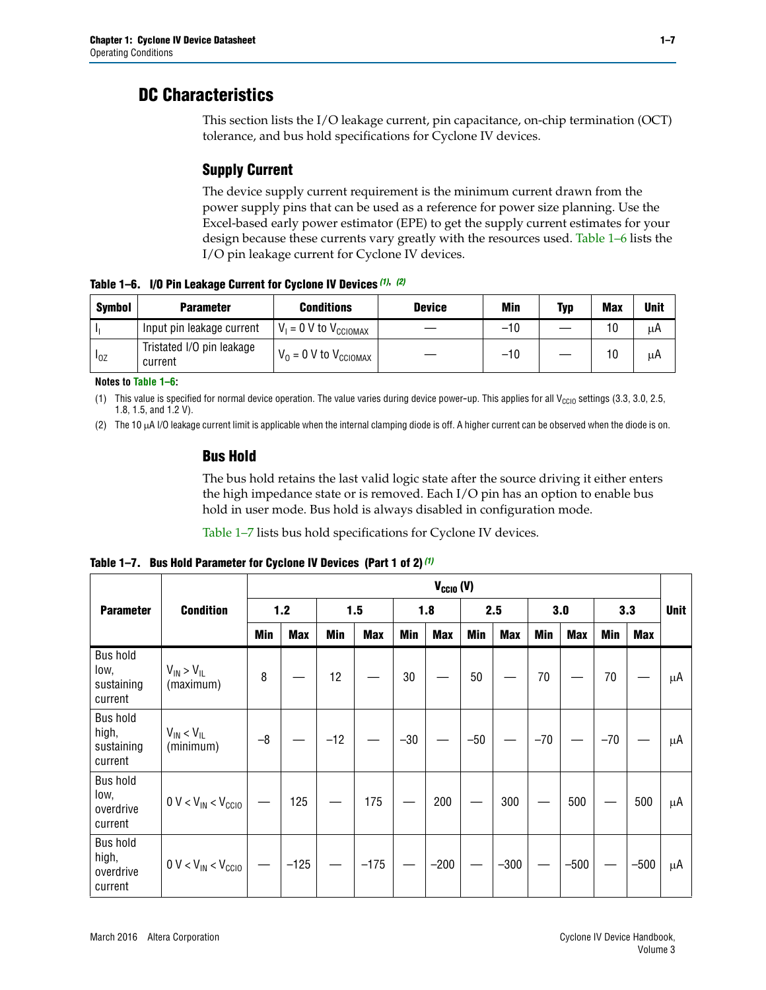## **DC Characteristics**

This section lists the I/O leakage current, pin capacitance, on-chip termination (OCT) tolerance, and bus hold specifications for Cyclone IV devices.

## **Supply Current**

The device supply current requirement is the minimum current drawn from the power supply pins that can be used as a reference for power size planning. Use the Excel-based early power estimator (EPE) to get the supply current estimates for your design because these currents vary greatly with the resources used. [Table 1–6](#page-6-0) lists the I/O pin leakage current for Cyclone IV devices.

<span id="page-6-0"></span>**Table 1–6. I/O Pin Leakage Current for Cyclone IV Devices** *[\(1\)](#page-6-1)***,** *[\(2\)](#page-6-2)*

| <b>Symbol</b> | <b>Parameter</b>                     | <b>Conditions</b>                   | <b>Device</b> | Min   | Typ | <b>Max</b> | <b>Unit</b> |
|---------------|--------------------------------------|-------------------------------------|---------------|-------|-----|------------|-------------|
|               | Input pin leakage current            | $V_1 = 0$ V to $V_{\text{CCIOMAX}}$ |               | $-10$ |     | 10         | μA          |
| $I_{0Z}$      | Tristated I/O pin leakage<br>current | $V_0 = 0$ V to $V_{\text{CCIOMAX}}$ |               | $-10$ |     | 10         | μA          |

**Notes to [Table 1–6](#page-6-0):**

<span id="page-6-1"></span>(1) This value is specified for normal device operation. The value varies during device power-up. This applies for all V<sub>CCIO</sub> settings (3.3, 3.0, 2.5, 1.8, 1.5, and 1.2 V).

<span id="page-6-2"></span>(2) The 10 µA I/O leakage current limit is applicable when the internal clamping diode is off. A higher current can be observed when the diode is on.

## **Bus Hold**

The bus hold retains the last valid logic state after the source driving it either enters the high impedance state or is removed. Each I/O pin has an option to enable bus hold in user mode. Bus hold is always disabled in configuration mode.

[Table 1–7](#page-6-3) lists bus hold specifications for Cyclone IV devices.

<span id="page-6-3"></span>**Table 1–7. Bus Hold Parameter for Cyclone IV Devices (Part 1 of 2)** *[\(1\)](#page-7-0)*

|                                                   |                                  | $V_{CGIO} (V)$ |            |       |            |            |            |            |            |       |            |       |        |             |
|---------------------------------------------------|----------------------------------|----------------|------------|-------|------------|------------|------------|------------|------------|-------|------------|-------|--------|-------------|
| <b>Parameter</b>                                  | <b>Condition</b>                 |                | 1.2        |       | 1.5        |            | 1.8        |            | 2.5        |       | 3.0        |       | 3.3    | <b>Unit</b> |
|                                                   |                                  | <b>Min</b>     | <b>Max</b> | Min   | <b>Max</b> | <b>Min</b> | <b>Max</b> | <b>Min</b> | <b>Max</b> | Min   | <b>Max</b> | Min   | Max    |             |
| <b>Bus hold</b><br>low,<br>sustaining<br>current  | $V_{IN}$ > $V_{IL}$<br>(maximum) | 8              |            | 12    |            | 30         |            | 50         |            | 70    |            | 70    |        | μA          |
| <b>Bus hold</b><br>high,<br>sustaining<br>current | $V_{IN}$ < $V_{IL}$<br>(minimum) | $-8$           |            | $-12$ |            | $-30$      |            | $-50$      |            | $-70$ |            | $-70$ |        | μA          |
| <b>Bus hold</b><br>low,<br>overdrive<br>current   | $0 V < V_{IN} < V_{CG10}$        |                | 125        |       | 175        |            | 200        |            | 300        |       | 500        |       | 500    | μA          |
| <b>Bus hold</b><br>high,<br>overdrive<br>current  | $0 V < V_{IN} < V_{CC10}$        |                | $-125$     |       | $-175$     |            | $-200$     |            | $-300$     |       | $-500$     |       | $-500$ | μA          |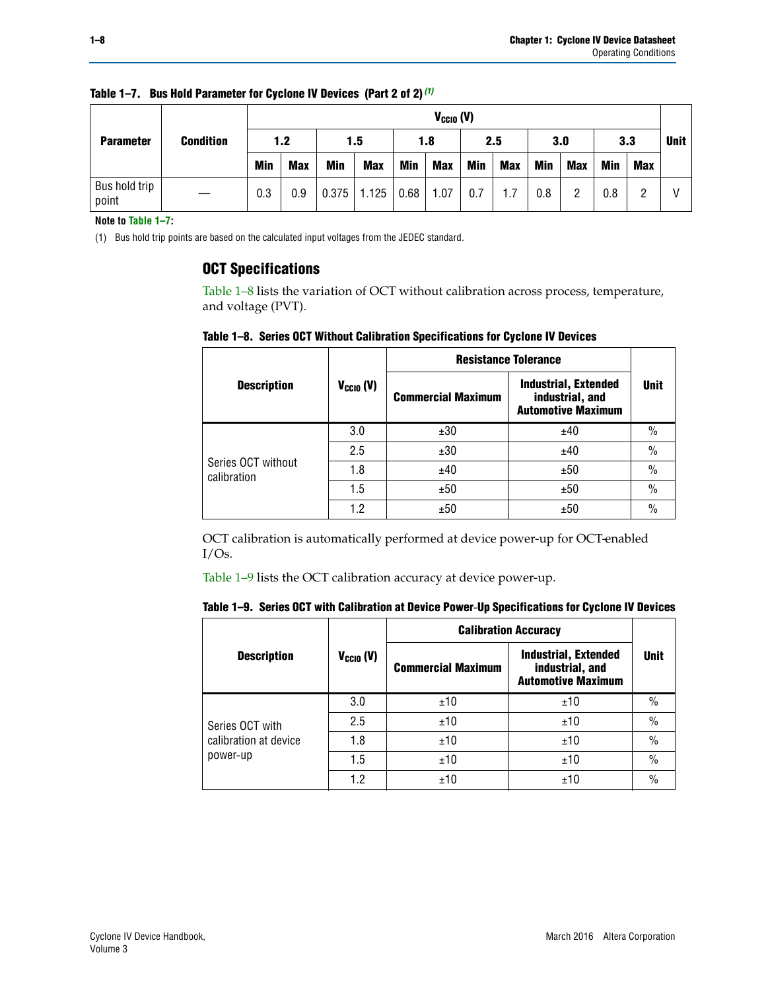|                        |                  |            | $V_{CGI0} (V)$ |       |            |      |            |     |            |     |            |     |            |             |
|------------------------|------------------|------------|----------------|-------|------------|------|------------|-----|------------|-----|------------|-----|------------|-------------|
| <b>Parameter</b>       | <b>Condition</b> |            | 1.2            |       | 1.5        |      | 1.8        |     | 2.5        |     | 3.0        |     | 3.3        | <b>Unit</b> |
|                        |                  | <b>Min</b> | <b>Max</b>     | Min   | <b>Max</b> | Min  | <b>Max</b> | Min | <b>Max</b> | Min | <b>Max</b> | Min | <b>Max</b> |             |
| Bus hold trip<br>point |                  | 0.3        | 0.9            | 0.375 | 1.125      | 0.68 | 1.07       | 0.7 | 1.7        | 0.8 | 2          | 0.8 | ŋ          |             |

**Table 1–7. Bus Hold Parameter for Cyclone IV Devices (Part 2 of 2)** *(1)*

**Note to [Table 1–7](#page-6-3):**

<span id="page-7-0"></span>(1) Bus hold trip points are based on the calculated input voltages from the JEDEC standard.

## **OCT Specifications**

[Table 1–8](#page-7-1) lists the variation of OCT without calibration across process, temperature, and voltage (PVT).

<span id="page-7-1"></span>**Table 1–8. Series OCT Without Calibration Specifications for Cyclone IV Devices**

|                                   |                | <b>Resistance Tolerance</b> |                                                                             |               |
|-----------------------------------|----------------|-----------------------------|-----------------------------------------------------------------------------|---------------|
| <b>Description</b>                | $V_{CGI0} (V)$ | <b>Commercial Maximum</b>   | <b>Industrial, Extended</b><br>industrial, and<br><b>Automotive Maximum</b> | <b>Unit</b>   |
|                                   | 3.0            | ±30                         | ±40                                                                         | $\frac{0}{0}$ |
|                                   | 2.5            | ±30                         | ±40                                                                         | $\frac{0}{0}$ |
| Series OCT without<br>calibration | 1.8            | ±40                         | ±50                                                                         | $\frac{0}{0}$ |
|                                   | 1.5            | ±50                         | ±50                                                                         | $\frac{0}{0}$ |
|                                   | 1.2            | ±50                         | ±50                                                                         | $\frac{0}{0}$ |

OCT calibration is automatically performed at device power-up for OCT-enabled I/Os.

[Table 1–9](#page-7-2) lists the OCT calibration accuracy at device power-up.

<span id="page-7-2"></span>

|  |  |  |  |  | Table 1–9. Series OCT with Calibration at Device Power-Up Specifications for Cyclone IV Devices |
|--|--|--|--|--|-------------------------------------------------------------------------------------------------|
|--|--|--|--|--|-------------------------------------------------------------------------------------------------|

|                       |                | <b>Calibration Accuracy</b> |                                                                             |               |
|-----------------------|----------------|-----------------------------|-----------------------------------------------------------------------------|---------------|
| <b>Description</b>    | $V_{CGI0} (V)$ | <b>Commercial Maximum</b>   | <b>Industrial, Extended</b><br>industrial, and<br><b>Automotive Maximum</b> | <b>Unit</b>   |
|                       | 3.0            | ±10                         | ±10                                                                         | $\%$          |
| Series OCT with       | 2.5            | ±10                         | ±10                                                                         | $\%$          |
| calibration at device | 1.8            | ±10                         | ±10                                                                         | $\%$          |
| power-up              | 1.5            | ±10                         | ±10                                                                         | $\%$          |
|                       | 1.2            | ±10                         | ±10                                                                         | $\frac{0}{0}$ |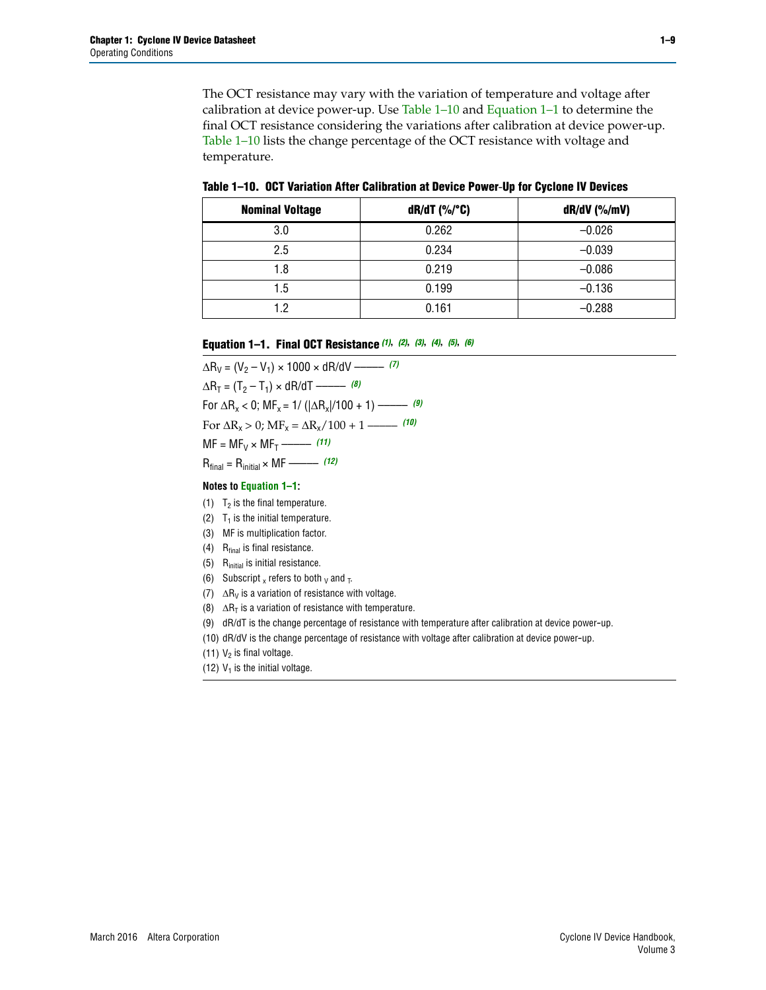The OCT resistance may vary with the variation of temperature and voltage after calibration at device power-up. Use [Table 1–10](#page-8-0) and [Equation 1–1](#page-8-1) to determine the final OCT resistance considering the variations after calibration at device power-up. [Table 1–10](#page-8-0) lists the change percentage of the OCT resistance with voltage and temperature.

<span id="page-8-0"></span>**Table 1–10. OCT Variation After Calibration at Device Power**-**Up for Cyclone IV Devices**

| <b>Nominal Voltage</b> | $dR/dT$ (%/°C) | $dR/dV$ (%/mV) |
|------------------------|----------------|----------------|
| 3.0                    | 0.262          | $-0.026$       |
| 2.5                    | 0.234          | $-0.039$       |
| 1.8                    | 0.219          | $-0.086$       |
| 1.5                    | 0.199          | $-0.136$       |
| 1.2                    | 0.161          | $-0.288$       |

#### <span id="page-8-1"></span>**Equation 1–1. Final OCT Resistance** *[\(1\)](#page-8-2)***,** *[\(2\)](#page-8-3)***,** *[\(3\)](#page-8-4)***,** *[\(4\)](#page-8-5)***,** *[\(5\)](#page-8-6)***,** *[\(6\)](#page-8-7)*

 $\Delta R_V = (V_2 - V_1) \times 1000 \times dR/dV$  ––––––––––––[\(7\)](#page-8-8)  $\Delta R_T = (T_2 - T_1) \times dR/dT$  –––––––– *[\(8\)](#page-8-9)* For  $\Delta R_x < 0$ ;  $MF_x = 1/$  ( $|\Delta R_x|/100 + 1$ ) ––––––––– [\(9\)](#page-8-10) For  $\Delta R_x > 0$ ;  $\text{MF}_x = \Delta R_x / 100 + 1$  ——– [\(10\)](#page-8-11)  $MF = MF_V \times MF_T$  –––––––––––[\(11\)](#page-8-12) Rfinal = Rinitial × MF ––––– *[\(12\)](#page-8-13)*

#### **Notes to [Equation 1–1:](#page-8-1)**

- <span id="page-8-2"></span>(1)  $T_2$  is the final temperature.
- <span id="page-8-3"></span>(2)  $T_1$  is the initial temperature.
- <span id="page-8-4"></span>(3) MF is multiplication factor.
- <span id="page-8-5"></span>(4)  $R<sub>final</sub>$  is final resistance.
- <span id="page-8-6"></span>(5) Rinitial is initial resistance.
- <span id="page-8-7"></span>(6) Subscript x refers to both  $\sqrt{v}$  and  $\sqrt{v}$ .
- <span id="page-8-8"></span>(7)  $\Delta R_V$  is a variation of resistance with voltage.
- <span id="page-8-9"></span>(8)  $\Delta R_T$  is a variation of resistance with temperature.
- <span id="page-8-10"></span>(9) dR/dT is the change percentage of resistance with temperature after calibration at device power-up.
- <span id="page-8-11"></span>(10) dR/dV is the change percentage of resistance with voltage after calibration at device power-up.

<span id="page-8-12"></span>(11)  $V_2$  is final voltage.

<span id="page-8-13"></span>(12)  $V_1$  is the initial voltage.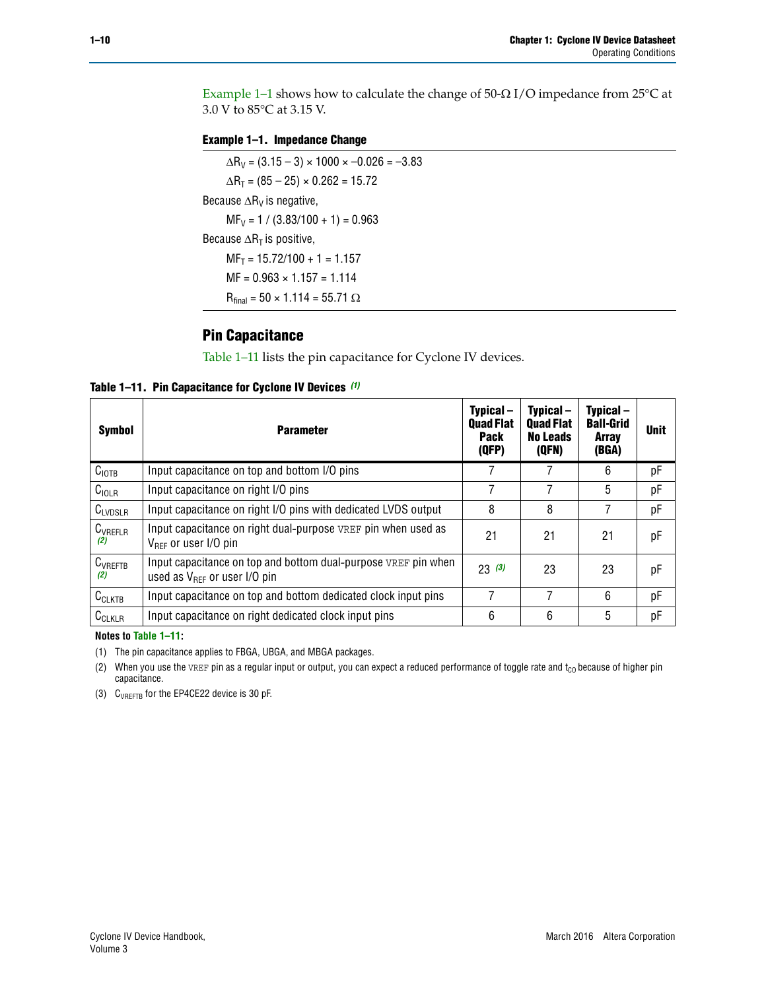Example 1-1 shows how to calculate the change of  $50$ - $\Omega$  I/O impedance from 25°C at 3.0 V to 85°C at 3.15 V.

<span id="page-9-0"></span>**Example 1–1. Impedance Change**

 $\Delta R_V = (3.15 - 3) \times 1000 \times -0.026 = -3.83$  $\Delta R_T = (85 - 25) \times 0.262 = 15.72$ Because  $\Delta R_V$  is negative,  $MF_V = 1 / (3.83/100 + 1) = 0.963$ Because  $\Delta R_T$  is positive,  $MF_T = 15.72/100 + 1 = 1.157$  $MF = 0.963 \times 1.157 = 1.114$  $R_{final} = 50 \times 1.114 = 55.71 \Omega$ 

## **Pin Capacitance**

[Table 1–11](#page-9-1) lists the pin capacitance for Cyclone IV devices.

<span id="page-9-1"></span>**Table 1–11. Pin Capacitance for Cyclone IV Devices** *[\(1\)](#page-9-4)*

| Symbol              | <b>Parameter</b>                                                                                           | Typical-<br><b>Quad Flat</b><br><b>Pack</b><br>(QFP) | Typical-<br><b>Quad Flat</b><br><b>No Leads</b><br>(QFN) | Typical-<br><b>Ball-Grid</b><br><b>Array</b><br>(BGA) | <b>Unit</b> |
|---------------------|------------------------------------------------------------------------------------------------------------|------------------------------------------------------|----------------------------------------------------------|-------------------------------------------------------|-------------|
| C <sub>IOTB</sub>   | Input capacitance on top and bottom I/O pins                                                               |                                                      |                                                          | 6                                                     | рF          |
| C <sub>IOLR</sub>   | Input capacitance on right I/O pins                                                                        |                                                      |                                                          | 5                                                     | рF          |
| $C_{LVDSLR}$        | Input capacitance on right I/O pins with dedicated LVDS output                                             | 8                                                    | 8                                                        |                                                       | рF          |
| $C_{VREFLR}$<br>(2) | Input capacitance on right dual-purpose VREF pin when used as<br>$V_{BFE}$ or user I/O pin                 | 21                                                   | 21                                                       | 21                                                    | pF          |
| $C_{VREFTB}$<br>(2) | Input capacitance on top and bottom dual-purpose VREF pin when<br>used as $V_{\text{RFF}}$ or user I/O pin | 23(3)                                                | 23                                                       | 23                                                    | pF          |
| $C_{CLKTB}$         | Input capacitance on top and bottom dedicated clock input pins                                             | 7                                                    | 7                                                        | 6                                                     | pF          |
| $C_{CLKLR}$         | Input capacitance on right dedicated clock input pins                                                      | 6                                                    | 6                                                        | 5                                                     | рF          |

#### **Notes to [Table 1–11:](#page-9-1)**

<span id="page-9-4"></span>(1) The pin capacitance applies to FBGA, UBGA, and MBGA packages.

<span id="page-9-2"></span>(2) When you use the VREF pin as a regular input or output, you can expect a reduced performance of toggle rate and  $t_{\rm CO}$  because of higher pin capacitance.

<span id="page-9-3"></span>(3) CVREFTB for the EP4CE22 device is 30 pF.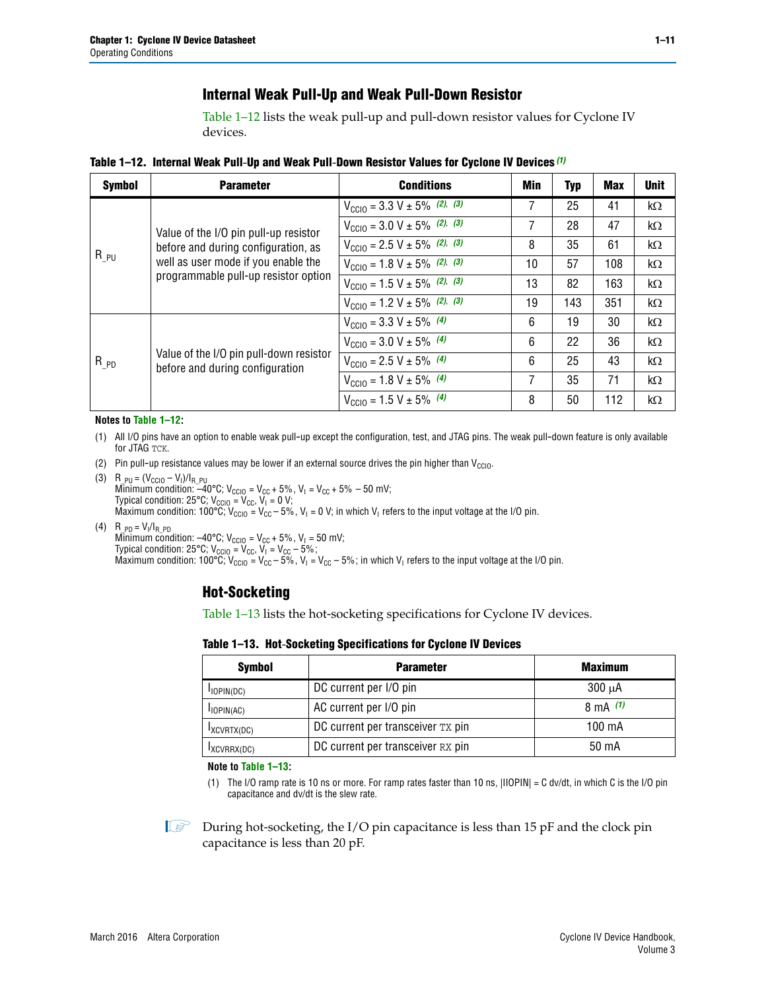## **Internal Weak Pull-Up and Weak Pull-Down Resistor**

[Table 1–12](#page-10-0) lists the weak pull-up and pull-down resistor values for Cyclone IV devices.

<span id="page-10-0"></span>**Table 1–12. Internal Weak Pull**-**Up and Weak Pull**-**Down Resistor Values for Cyclone IV Devices** *[\(1\)](#page-10-1)*

| <b>Symbol</b> | <b>Parameter</b>                                                            | <b>Conditions</b>                                  | Min | <b>Typ</b> | <b>Max</b> | <b>Unit</b> |
|---------------|-----------------------------------------------------------------------------|----------------------------------------------------|-----|------------|------------|-------------|
|               |                                                                             | $V_{\text{CC10}} = 3.3 \text{ V} \pm 5\%$ (2), (3) | 7   | 25         | 41         | $k\Omega$   |
| $R_{PU}$      | Value of the I/O pin pull-up resistor                                       | $V_{\text{CC10}} = 3.0 \text{ V} \pm 5\%$ (2), (3) | 7   | 28         | 47         | $k\Omega$   |
|               | before and during configuration, as                                         | $V_{\text{CC10}} = 2.5 V \pm 5\%$ (2), (3)         | 8   | 35         | 61         | $k\Omega$   |
|               | well as user mode if you enable the<br>programmable pull-up resistor option | $V_{\text{CC10}} = 1.8 V \pm 5\%$ (2), (3)         | 10  | 57         | 108        | $k\Omega$   |
|               |                                                                             | $V_{\text{CC10}} = 1.5 V \pm 5\%$ (2), (3)         | 13  | 82         | 163        | $k\Omega$   |
|               |                                                                             | $V_{\text{CC10}} = 1.2 V \pm 5\%$ (2), (3)         | 19  | 143        | 351        | kΩ          |
|               |                                                                             | $V_{\text{CC10}} = 3.3 V \pm 5\%$ (4)              | 6   | 19         | 30         | $k\Omega$   |
|               |                                                                             | $V_{\text{CC10}} = 3.0 V \pm 5\%$ (4)              | 6   | 22         | 36         | $k\Omega$   |
| $R_{PD}$      | Value of the I/O pin pull-down resistor<br>before and during configuration  | $V_{\text{CC10}} = 2.5 V \pm 5\%$ (4)              | 6   | 25         | 43         | $k\Omega$   |
|               |                                                                             | $V_{\text{CC10}} = 1.8 V \pm 5\%$ (4)              | 7   | 35         | 71         | $k\Omega$   |
|               |                                                                             | $V_{\text{CC10}} = 1.5 V \pm 5\%$ (4)              | 8   | 50         | 112        | kΩ          |

#### **Notes to [Table 1–12:](#page-10-0)**

- <span id="page-10-1"></span>(1) All I/O pins have an option to enable weak pull-up except the configuration, test, and JTAG pins. The weak pull-down feature is only available for JTAG TCK.
- <span id="page-10-2"></span>(2) Pin pull-up resistance values may be lower if an external source drives the pin higher than  $V_{\text{CCIO}}$ .
- <span id="page-10-3"></span>(3)  $R_{PU} = (V_{CC10} - V_1)/I_{R_PU}$ Minimum condition: –40°C; V<sub>CCIO</sub> = V<sub>CC</sub> + 5%, V<sub>I</sub> = V<sub>CC</sub> + 5% – 50 mV; Typical condition: 25°C; V<sub>CCIO</sub> = V<sub>CC</sub>, V<sub>I</sub> = 0 V; Maximum condition:  $100^{\circ}C$ ;  $V_{\text{CCIO}} = V_{\text{CC}} - 5\%$ ,  $V_1 = 0$  V; in which  $V_1$  refers to the input voltage at the I/O pin.
- <span id="page-10-4"></span>(4)  $R_{PD} = V_I/I_{R_PD}$ Minimum condition:  $-40^{\circ}$ C; V<sub>CCIO</sub> = V<sub>CC</sub> + 5%, V<sub>I</sub> = 50 mV; Typical condition: 25°C;  $V_{\text{CCIO}} = V_{\text{CC}}$ ,  $V_{\text{I}} = V_{\text{CC}} - 5\%$ ; Maximum condition: 100°C; V<sub>CClO</sub> = V<sub>CC</sub> – 5%, V<sub>I</sub> = V<sub>CC</sub> – 5%; in which V<sub>I</sub> refers to the input voltage at the I/O pin.

## **Hot-Socketing**

[Table 1–13](#page-10-5) lists the hot-socketing specifications for Cyclone IV devices.

<span id="page-10-5"></span>**Table 1–13. Hot**-**Socketing Specifications for Cyclone IV Devices**

| <b>Symbol</b> | <b>Parameter</b>                  | <b>Maximum</b> |
|---------------|-----------------------------------|----------------|
| $I$ IOPIN(DC) | DC current per I/O pin            | $300 \mu A$    |
| $I$ IOPIN(AC) | AC current per I/O pin            | 8 mA $(1)$     |
| IXCVRTX(DC)   | DC current per transceiver TX pin | 100 mA         |
| IXCVRRX(DC)   | DC current per transceiver RX pin | 50 mA          |

**Note to [Table 1–13:](#page-10-5)**

<span id="page-10-6"></span>(1) The I/O ramp rate is 10 ns or more. For ramp rates faster than 10 ns, |IIOPIN| = C dv/dt, in which C is the I/O pin capacitance and dv/dt is the slew rate.

 $\mathbb{I}$  During hot-socketing, the I/O pin capacitance is less than 15 pF and the clock pin capacitance is less than 20 pF.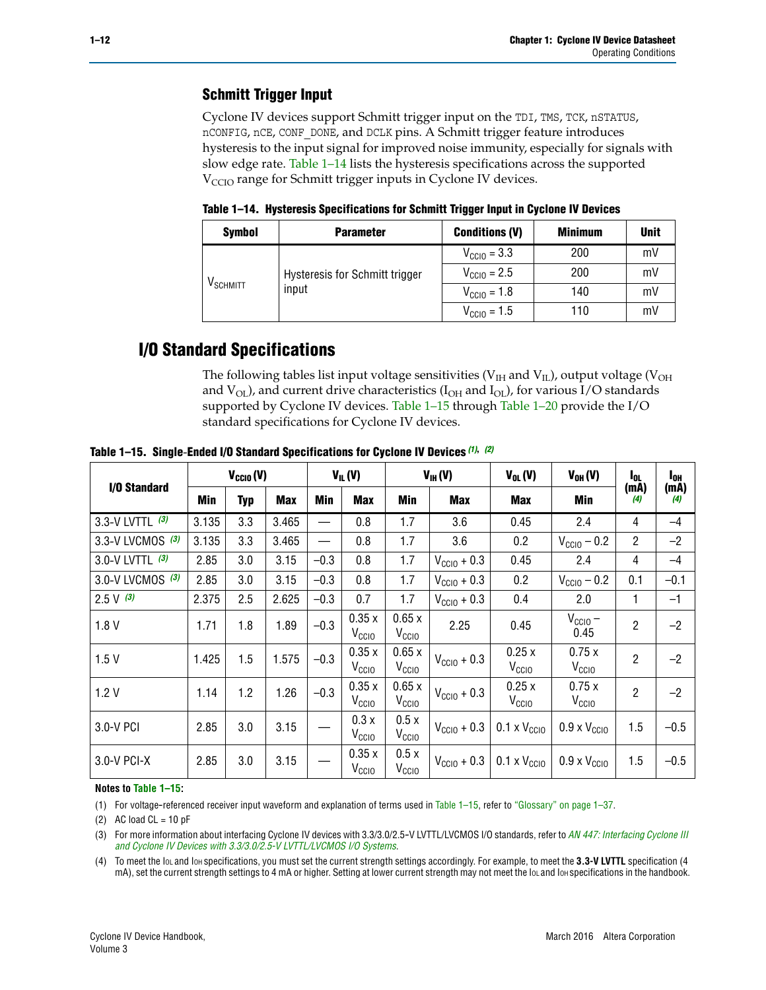## **Schmitt Trigger Input**

Cyclone IV devices support Schmitt trigger input on the TDI, TMS, TCK, nSTATUS, nCONFIG, nCE, CONF\_DONE, and DCLK pins. A Schmitt trigger feature introduces hysteresis to the input signal for improved noise immunity, especially for signals with slow edge rate. [Table 1–14](#page-11-0) lists the hysteresis specifications across the supported  $V<sub>CCIO</sub>$  range for Schmitt trigger inputs in Cyclone IV devices.

<span id="page-11-0"></span>**Table 1–14. Hysteresis Specifications for Schmitt Trigger Input in Cyclone IV Devices**

| <b>Symbol</b>          | <b>Parameter</b>               | <b>Conditions (V)</b>   | <b>Minimum</b> | <b>Unit</b> |
|------------------------|--------------------------------|-------------------------|----------------|-------------|
|                        |                                | $V_{\text{CGI0}} = 3.3$ | 200            | mV          |
| $\rm{V}_{\rm{SCHMIT}}$ | Hysteresis for Schmitt trigger | $V_{\text{CGI0}} = 2.5$ | 200            | mV          |
|                        | input                          | $V_{\text{CCIO}} = 1.8$ | 140            | mV          |
|                        |                                | $V_{\text{CCIO}} = 1.5$ | 110            | mV          |

## **I/O Standard Specifications**

The following tables list input voltage sensitivities ( $V<sub>IH</sub>$  and  $V<sub>II</sub>$ ), output voltage ( $V<sub>OH</sub>$ and  $V_{OL}$ ), and current drive characteristics ( $I_{OH}$  and  $I_{OL}$ ), for various I/O standards supported by Cyclone IV devices. [Table 1–15](#page-11-1) through [Table 1–20](#page-13-0) provide the I/O standard specifications for Cyclone IV devices.

|                    | $V_{CCl0}(V)$ |            |            |        | $V_{IL}(V)$                |                            | $V_{IH} (V)$            | $V_{OL}(V)$                  | $V_{OH} (V)$                 | l <sub>OL</sub> | $I_{0H}$    |
|--------------------|---------------|------------|------------|--------|----------------------------|----------------------------|-------------------------|------------------------------|------------------------------|-----------------|-------------|
| I/O Standard       | Min           | <b>Typ</b> | <b>Max</b> | Min    | <b>Max</b>                 | Min                        | Max                     | Max                          | Min                          | (mA)<br>(4)     | (mA)<br>(4) |
| 3.3-V LVTTL (3)    | 3.135         | 3.3        | 3.465      |        | 0.8                        | 1.7                        | 3.6                     | 0.45                         | 2.4                          | 4               | $-4$        |
| 3.3-V LVCMOS $(3)$ | 3.135         | 3.3        | 3.465      |        | 0.8                        | 1.7                        | 3.6                     | 0.2                          | $V_{\text{CC10}} - 0.2$      | $\overline{2}$  | $-2$        |
| 3.0-V LVTTL $(3)$  | 2.85          | 3.0        | 3.15       | $-0.3$ | 0.8                        | 1.7                        | $V_{\text{CC10}} + 0.3$ | 0.45                         | 2.4                          | 4               | $-4$        |
| 3.0-V LVCMOS (3)   | 2.85          | 3.0        | 3.15       | $-0.3$ | 0.8                        | 1.7                        | $V_{\rm CClO}$ + 0.3    | 0.2                          | $V_{\text{CC10}} - 0.2$      | 0.1             | $-0.1$      |
| $2.5 V$ (3)        | 2.375         | 2.5        | 2.625      | $-0.3$ | 0.7                        | 1.7                        | $V_{\text{CCIO}} + 0.3$ | 0.4                          | 2.0                          | 1               | $-1$        |
| 1.8V               | 1.71          | 1.8        | 1.89       | $-0.3$ | 0.35x<br>V <sub>CCIO</sub> | 0.65x<br>V <sub>CCIO</sub> | 2.25                    | 0.45                         | $V_{CGIO}$ –<br>0.45         | $\overline{2}$  | $-2$        |
| 1.5V               | 1.425         | 1.5        | 1.575      | $-0.3$ | 0.35x<br>V <sub>CCIO</sub> | 0.65x<br>V <sub>CCIO</sub> | $V_{\text{CC10}} + 0.3$ | 0.25x<br>V <sub>CClO</sub>   | 0.75x<br>V <sub>CCIO</sub>   | $\overline{2}$  | $-2$        |
| 1.2V               | 1.14          | 1.2        | 1.26       | $-0.3$ | 0.35x<br>V <sub>CCIO</sub> | 0.65x<br>V <sub>CCIO</sub> | $V_{\text{CC10}} + 0.3$ | 0.25x<br>V <sub>CClO</sub>   | 0.75x<br>V <sub>CCIO</sub>   | $\overline{2}$  | $-2$        |
| 3.0-V PCI          | 2.85          | 3.0        | 3.15       |        | 0.3x<br>V <sub>CCIO</sub>  | 0.5x<br>V <sub>CCIO</sub>  | $V_{\text{CCIO}} + 0.3$ | $0.1 \times V_{\text{CC10}}$ | $0.9 \times V_{\text{CC10}}$ | 1.5             | $-0.5$      |
| $3.0 - V$ PCI-X    | 2.85          | 3.0        | 3.15       |        | 0.35x<br>V <sub>CCIO</sub> | 0.5x<br>V <sub>CCIO</sub>  | $V_{\text{CC10}} + 0.3$ | $0.1 \times V_{\text{CC10}}$ | $0.9 \times V_{\text{CC10}}$ | 1.5             | $-0.5$      |

<span id="page-11-1"></span>**Table 1–15. Single**-**Ended I/O Standard Specifications for Cyclone IV Devices** *[\(1\)](#page-11-2)***,** *[\(2\)](#page-11-3)*

#### **Notes to [Table 1–15:](#page-11-1)**

<span id="page-11-2"></span>(1) For voltage-referenced receiver input waveform and explanation of terms used in [Table 1–15](#page-11-1), refer to ["Glossary" on page 1–37](#page-36-1).

<span id="page-11-3"></span>(2) AC load  $CL = 10$  pF

<span id="page-11-4"></span>(3) For more information about interfacing Cyclone IV devices with 3.3/3.0/2.5-V LVTTL/LVCMOS I/O standards, refer to *[AN 447: Interfacing Cyclone III](http://www.altera.com/literature/an/an447.pdf)  [and Cyclone IV Devices with 3.3/3.0/2.5-V LVTTL/LVCMOS I/O Systems](http://www.altera.com/literature/an/an447.pdf)*.

<span id="page-11-5"></span>(4) To meet the IOL and IOH specifications, you must set the current strength settings accordingly. For example, to meet the **3.3-V LVTTL** specification (4 mA), set the current strength settings to 4 mA or higher. Setting at lower current strength may not meet the lou and lon specifications in the handbook.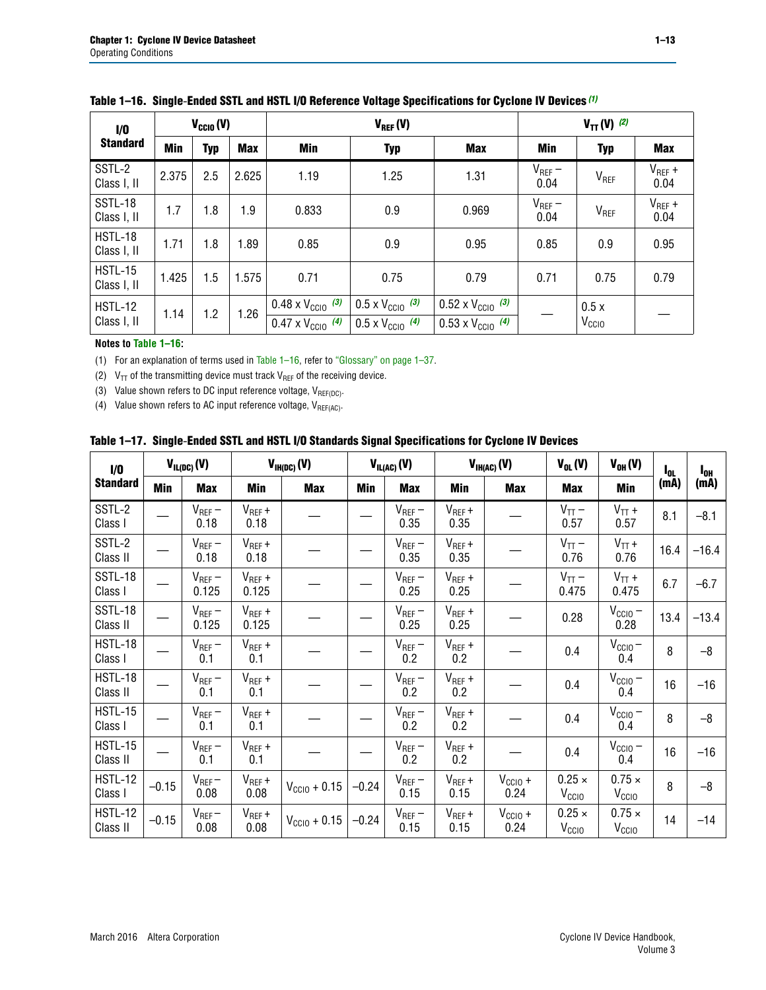| 1/0                           |                          | $V_{CGI0}(V)$ |                   |                                                                        | $V_{REF}(V)$                                                         | $V_{TT} (V)$ (2)                                                       |                     |                           |                     |
|-------------------------------|--------------------------|---------------|-------------------|------------------------------------------------------------------------|----------------------------------------------------------------------|------------------------------------------------------------------------|---------------------|---------------------------|---------------------|
| <b>Standard</b>               | <b>Min</b><br><b>Typ</b> |               | <b>Max</b><br>Min |                                                                        | <b>Typ</b>                                                           | <b>Max</b>                                                             | Min                 | <b>Typ</b>                | <b>Max</b>          |
| SSTL-2<br>Class I, II         | 2.375                    | 2.5           | 2.625             | 1.19                                                                   | 1.25                                                                 | 1.31                                                                   | $V_{REF}$ –<br>0.04 | V <sub>REF</sub>          | $V_{REF}$ +<br>0.04 |
| SSTL-18<br>Class I, II        | 1.7                      | 1.8           | 1.9               | 0.833                                                                  | 0.9                                                                  | 0.969                                                                  | $V_{REF}$ –<br>0.04 | V <sub>REF</sub>          | $V_{REF}$ +<br>0.04 |
| HSTL-18<br>Class I, II        | 1.71                     | 1.8           | 1.89              | 0.85                                                                   | 0.9<br>0.95                                                          |                                                                        | 0.85                | 0.9                       | 0.95                |
| <b>HSTL-15</b><br>Class I, II | 1.425                    | 1.5           | 1.575             | 0.71                                                                   | 0.75                                                                 | 0.79                                                                   |                     | 0.75                      | 0.79                |
| <b>HSTL-12</b><br>Class I, II | 1.14                     | 1.2           | 1.26              | $0.48 \times V_{\text{CC10}}$ (3)<br>$0.47 \times V_{\text{CC10}}$ (4) | $0.5 \times V_{\text{CC10}}$ (3)<br>$0.5 \times V_{\text{CC10}}$ (4) | $0.52 \times V_{\text{CC10}}$ (3)<br>$0.53 \times V_{\text{CC10}}$ (4) |                     | 0.5x<br>V <sub>CCIO</sub> |                     |

<span id="page-12-4"></span>

|  |  |  |  | Table 1–16. Single-Ended SSTL and HSTL I/O Reference Voltage Specifications for Cyclone IV Devices (1) |
|--|--|--|--|--------------------------------------------------------------------------------------------------------|
|--|--|--|--|--------------------------------------------------------------------------------------------------------|

### **Notes to [Table 1–16:](#page-12-4)**

<span id="page-12-0"></span>(1) For an explanation of terms used in [Table 1–16](#page-12-4), refer to ["Glossary" on page 1–37](#page-36-1).

<span id="page-12-1"></span>(2)  $V_{TT}$  of the transmitting device must track  $V_{REF}$  of the receiving device.

<span id="page-12-2"></span>(3) Value shown refers to DC input reference voltage,  $V_{REF(DC)}$ .

<span id="page-12-3"></span>(4) Value shown refers to AC input reference voltage,  $V_{REF(AC)}$ .

|  | Table 1–17.  Single-Ended SSTL and HSTL I/O Standards Signal Specifications for Cyclone IV Devices |  |  |  |  |  |
|--|----------------------------------------------------------------------------------------------------|--|--|--|--|--|
|--|----------------------------------------------------------------------------------------------------|--|--|--|--|--|

| I/O                        | $V_{IL(DC)}(V)$ |                        |                                      | $V_{IH(DC)}(V)$       |         | $V_{IL(AC)}(V)$     |                     | $V_{IH(AC)}(V)$      | $V_{OL}(V)$                        | $V_{OH} (V)$                       | l <sub>ol</sub> | $I_{0H}$ |
|----------------------------|-----------------|------------------------|--------------------------------------|-----------------------|---------|---------------------|---------------------|----------------------|------------------------------------|------------------------------------|-----------------|----------|
| <b>Standard</b>            | Min             | <b>Max</b>             | Min                                  | <b>Max</b>            | Min     | <b>Max</b>          | Min                 | <b>Max</b>           | <b>Max</b>                         | Min                                | (mA)            | (mA)     |
| SSTL-2<br>Class I          |                 | $\rm V_{REF}-$<br>0.18 | $V_{REF} +$<br>0.18                  |                       |         | $V_{REF}$ –<br>0.35 | $V_{REF} +$<br>0.35 |                      | $V_{TT}$ –<br>0.57                 | $V_{TT}$ +<br>0.57                 | 8.1             | $-8.1$   |
| SSTL-2<br>Class II         |                 | $V_{REF}$ –<br>0.18    | $V_{REF} +$<br>0.18                  |                       |         | $V_{REF}$ –<br>0.35 | $V_{REF} +$<br>0.35 |                      | $V_{TT}$ –<br>0.76                 | $V_{TT}$ +<br>0.76                 | 16.4            | $-16.4$  |
| <b>SSTL-18</b><br>Class I  |                 | $V_{REF}$ –<br>0.125   | $V_{REF}$ +<br>0.125                 |                       |         | $V_{REF}$ –<br>0.25 | $V_{REF}$ +<br>0.25 |                      | $V_{TT}$ –<br>0.475                | $V_{TT}$ +<br>0.475                | 6.7             | $-6.7$   |
| <b>SSTL-18</b><br>Class II |                 | $V_{REF}$ –<br>0.125   | $V_{REF}$ +<br>0.125                 |                       |         | $V_{REF}$ –<br>0.25 | $V_{REF}$ +<br>0.25 |                      | 0.28                               | $V_{CC10} -$<br>0.28               | 13.4            | $-13.4$  |
| HSTL-18<br>Class I         |                 | $V_{REF}$ –<br>0.1     | $V_{REF} +$<br>0.1                   |                       |         | $V_{REF}$ –<br>0.2  | $V_{REF}$ +<br>0.2  |                      | 0.4                                | $V_{CCIO}$ –<br>0.4                | 8               | $-8$     |
| HSTL-18<br>Class II        |                 | $V_{REF}$ –<br>0.1     | $V_{REF} +$<br>0.1                   |                       |         | $V_{REF}$ –<br>0.2  | $V_{REF} +$<br>0.2  |                      | 0.4                                | $V_{CC10}$ –<br>0.4                | 16              | $-16$    |
| HSTL-15<br>Class I         |                 | $V_{REF}$ –<br>0.1     | $V_{REF} +$<br>0.1                   |                       |         | $V_{REF}$ –<br>0.2  | $V_{REF}$ +<br>0.2  |                      | 0.4                                | $V_{\text{CC1O}} -$<br>0.4         | 8               | $-8$     |
| HSTL-15<br>Class II        |                 | $V_{REF}$ –<br>0.1     | $\mathsf{V}_{\mathsf{REF}}$ +<br>0.1 |                       |         | $V_{REF}$ –<br>0.2  | $V_{REF}$ +<br>0.2  |                      | 0.4                                | $V_{CC10}$ –<br>0.4                | 16              | $-16$    |
| <b>HSTL-12</b><br>Class I  | $-0.15$         | $V_{REF}-$<br>0.08     | $V_{REF} +$<br>0.08                  | $V_{CGI0} + 0.15$     | $-0.24$ | $V_{REF}$ –<br>0.15 | $V_{REF} +$<br>0.15 | $V_{CCIO} +$<br>0.24 | $0.25 \times$<br>V <sub>CCIO</sub> | $0.75 \times$<br>V <sub>CCIO</sub> | 8               | $-8$     |
| HSTL-12<br>Class II        | $-0.15$         | $V_{REF}-$<br>0.08     | $V_{REF} +$<br>0.08                  | $V_{\rm CClO} + 0.15$ | $-0.24$ | $V_{REF}$ –<br>0.15 | $V_{REF} +$<br>0.15 | $V_{CC10}$ +<br>0.24 | $0.25 \times$<br>V <sub>CCIO</sub> | $0.75 \times$<br>V <sub>CCIO</sub> | 14              | $-14$    |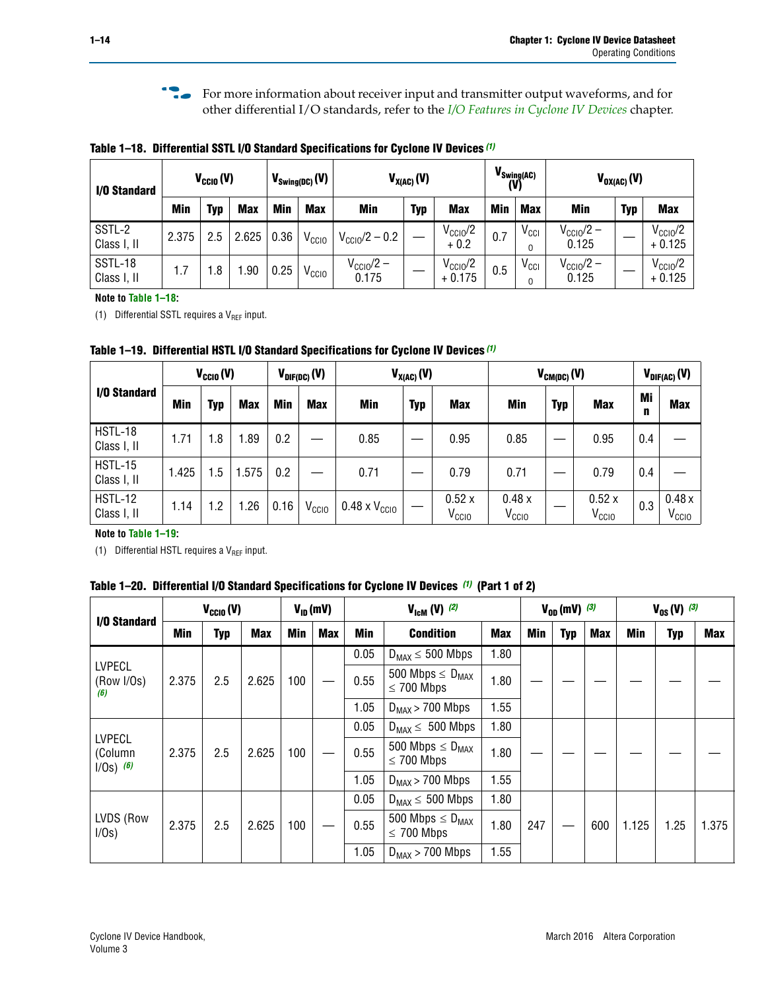**For more information about receiver input and transmitter output waveforms, and for** other differential I/O standards, refer to the *[I/O Features in Cyclone IV Devices](http://www.altera.com/literature/hb/cyclone-iv/cyiv-51006.pdf)* chapter*.*

<span id="page-13-1"></span>**Table 1–18. Differential SSTL I/O Standard Specifications for Cyclone IV Devices** *[\(1\)](#page-13-3)*

| I/O Standard           | $V_{\text{CCIO}}(V)$ |     |            | $V_{\text{Swing(DC)}}(V)$ |                   | $V_{X(AC)}(V)$                 |            | (V)                             | $V_{\text{Swing}(AC)}$ | $V_{OX(AC)}(V)$  |                                |            |                                 |
|------------------------|----------------------|-----|------------|---------------------------|-------------------|--------------------------------|------------|---------------------------------|------------------------|------------------|--------------------------------|------------|---------------------------------|
|                        | <b>Min</b>           | Typ | <b>Max</b> | <b>Min</b>                | <b>Max</b>        | <b>Min</b>                     | <b>Typ</b> | <b>Max</b>                      | <b>Min</b>             | <b>Max</b>       | Min                            | <b>Typ</b> | <b>Max</b>                      |
| SSTL-2<br>Class I, II  | 2.375                | 2.5 | 2.625      | 0.36                      | V <sub>CCIO</sub> | $V_{\rm CClO}$ /2 – 0.2        |            | $V_{\text{CC10}}/2$<br>$+0.2$   | 0.7                    | $V_{\text{CCI}}$ | $V_{\text{CC10}}/2 -$<br>0.125 |            | $V_{\text{CC10}}/2$<br>$+0.125$ |
| SSTL-18<br>Class I, II | 1.7                  | .8  | .90        | 0.25                      | V <sub>CCIO</sub> | $V_{\text{CC10}}/2 -$<br>0.175 |            | $V_{\text{CC10}}/2$<br>$+0.175$ | 0.5                    | $V_{\text{CCI}}$ | $V_{\text{CC10}}/2 -$<br>0.125 |            | $V_{\text{CC10}}/2$<br>$+0.125$ |

#### **Note to [Table 1–18:](#page-13-1)**

<span id="page-13-3"></span>(1) Differential SSTL requires a  $V_{REF}$  input.

<span id="page-13-2"></span>**Table 1–19. Differential HSTL I/O Standard Specifications for Cyclone IV Devices** *[\(1\)](#page-13-4)*

|                               |       | $V_{CClO}(V)$ |            | $V_{\text{DIF(DC)}}(V)$ |                   |                               | $V_{X(AC)}(V)$ |                            |                            | $V_{CM(DC)}(V)$ |                            | $V_{\text{DIF(AC)}}(V)$ |                            |
|-------------------------------|-------|---------------|------------|-------------------------|-------------------|-------------------------------|----------------|----------------------------|----------------------------|-----------------|----------------------------|-------------------------|----------------------------|
| I/O Standard                  | Min   | Typ           | <b>Max</b> | Min                     | <b>Max</b>        | Min                           | <b>Typ</b>     | <b>Max</b>                 | Min                        | <b>Typ</b>      | <b>Max</b>                 | Mi<br>n                 | <b>Max</b>                 |
| HSTL-18<br>Class I, II        | 1.71  | 1.8           | .89        | 0.2                     |                   | 0.85                          |                | 0.95                       | 0.85                       |                 | 0.95                       | 0.4                     |                            |
| <b>HSTL-15</b><br>Class I, II | 1.425 | 1.5           | .575       | $0.2\,$                 |                   | 0.71                          |                | 0.79                       | 0.71                       |                 | 0.79                       | 0.4                     |                            |
| <b>HSTL-12</b><br>Class I, II | 1.14  | 1.2           | 1.26       | 0.16                    | V <sub>CCIO</sub> | $0.48 \times V_{\text{CC10}}$ |                | 0.52x<br>V <sub>CCIO</sub> | 0.48x<br>V <sub>CCIO</sub> |                 | 0.52x<br>V <sub>CCIO</sub> | 0.3                     | 0.48x<br>V <sub>CCIO</sub> |

### **Note to [Table 1–19:](#page-13-2)**

<span id="page-13-4"></span>(1) Differential HSTL requires a  $V_{REF}$  input.

<span id="page-13-0"></span>**Table 1–20. Differential I/O Standard Specifications for Cyclone IV Devices** *[\(1\)](#page-14-0)* **(Part 1 of 2)**

| I/O Standard                            |       | $V_{CCl0} (V)$ |            |            | $V_{ID}$ (mV) |      | $V_{\text{lcm}}(V)^{(2)}$                           |            | $V_{0D}$ (mV) $(3)$ |     |     | $V_{0S} (V)^{(3)}$ |            |       |
|-----------------------------------------|-------|----------------|------------|------------|---------------|------|-----------------------------------------------------|------------|---------------------|-----|-----|--------------------|------------|-------|
|                                         | Min   | Typ            | <b>Max</b> | <b>Min</b> | <b>Max</b>    | Min  | <b>Condition</b>                                    | <b>Max</b> | Min                 | Typ | Max | Min                | <b>Typ</b> | Max   |
|                                         |       |                |            |            |               | 0.05 | $D_{MAX} \leq 500$ Mbps                             | 1.80       |                     |     |     |                    |            |       |
| <b>LVPECL</b><br>(Row I/Os)<br>(6)      | 2.375 | 2.5            | 2.625      | 100        |               | 0.55 | 500 Mbps $\leq$ D <sub>MAX</sub><br>$\leq$ 700 Mbps | 1.80       |                     |     |     |                    |            |       |
|                                         |       |                |            |            |               | 1.05 | $D_{MAX}$ > 700 Mbps                                | 1.55       |                     |     |     |                    |            |       |
|                                         |       |                |            |            |               | 0.05 | $D_{MAX} \leq 500$ Mbps                             | 1.80       |                     |     |     |                    |            |       |
| <b>LVPECL</b><br>(Column<br>$1/Os)$ (6) | 2.375 | 2.5            | 2.625      | 100        |               | 0.55 | 500 Mbps $\leq D_{MAX}$<br>$\leq$ 700 Mbps          | 1.80       |                     |     |     |                    |            |       |
|                                         |       |                |            |            |               | 1.05 | $D_{MAX}$ > 700 Mbps                                | 1.55       |                     |     |     |                    |            |       |
|                                         |       |                |            |            |               | 0.05 | $D_{MAX} \leq 500$ Mbps                             | 1.80       |                     |     |     |                    |            |       |
| LVDS (Row<br>I/Os)                      | 2.375 | 2.5            | 2.625      | 100        |               | 0.55 | 500 Mbps $\leq D_{MAX}$<br>$\leq 700$ Mbps          | 1.80       | 247                 |     | 600 | 1.125              | 1.25       | 1.375 |
|                                         |       |                |            |            |               | 1.05 | $D_{MAX}$ > 700 Mbps                                | 1.55       |                     |     |     |                    |            |       |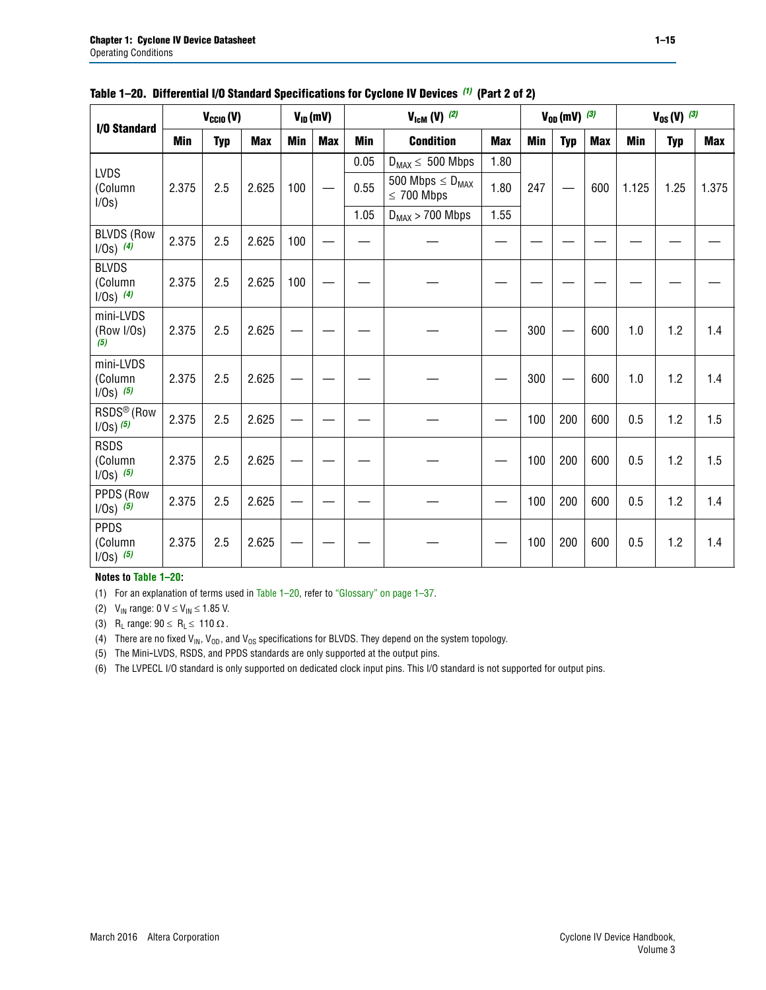|                                          |            | $V_{CClO}(V)$ |            |     | $V_{ID}(mV)$ | $V_{\text{ICM}}(V)$ (2)      |                                            |            |     | $V_{0D}$ (mV) $(3)$ |            | $V_{0S} (V)$ (3) |            |            |
|------------------------------------------|------------|---------------|------------|-----|--------------|------------------------------|--------------------------------------------|------------|-----|---------------------|------------|------------------|------------|------------|
| <b>I/O Standard</b>                      | <b>Min</b> | <b>Typ</b>    | <b>Max</b> | Min | <b>Max</b>   | Min                          | <b>Condition</b>                           | <b>Max</b> | Min | <b>Typ</b>          | <b>Max</b> | Min              | <b>Typ</b> | <b>Max</b> |
|                                          |            |               |            |     |              | 0.05                         | $D_{MAX} \leq 500$ Mbps                    | 1.80       |     |                     |            |                  |            |            |
| <b>LVDS</b><br>(Column<br>I/0s)          | 2.375      | 2.5           | 2.625      | 100 |              | 0.55                         | 500 Mbps $\leq D_{MAX}$<br>$\leq 700$ Mbps | 1.80       | 247 |                     | 600        | 1.125            | 1.25       | 1.375      |
|                                          |            |               |            |     |              | 1.05<br>$D_{MAX}$ > 700 Mbps |                                            | 1.55       |     |                     |            |                  |            |            |
| <b>BLVDS (Row</b><br>$1/0s)$ (4)         | 2.375      | 2.5           | 2.625      | 100 |              |                              |                                            |            |     |                     |            |                  |            |            |
| <b>BLVDS</b><br>(Column<br>$1/0s)$ (4)   | 2.375      | 2.5           | 2.625      | 100 |              |                              |                                            |            |     |                     |            |                  |            |            |
| mini-LVDS<br>(Row I/Os)<br>(5)           | 2.375      | 2.5           | 2.625      |     |              |                              |                                            |            | 300 |                     | 600        | 1.0              | 1.2        | 1.4        |
| mini-LVDS<br>(Column<br>$1/0s)$ (5)      | 2.375      | 2.5           | 2.625      |     |              |                              |                                            |            | 300 |                     | 600        | 1.0              | 1.2        | 1.4        |
| RSDS <sup>®</sup> (Row<br>$1/0s$ ) $(5)$ | 2.375      | 2.5           | 2.625      |     |              |                              |                                            |            | 100 | 200                 | 600        | 0.5              | 1.2        | 1.5        |
| <b>RSDS</b><br>(Column<br>$1/Os)$ (5)    | 2.375      | 2.5           | 2.625      |     |              |                              |                                            |            | 100 | 200                 | 600        | 0.5              | 1.2        | 1.5        |
| PPDS (Row<br>$1/0s)$ (5)                 | 2.375      | 2.5           | 2.625      |     |              |                              |                                            |            | 100 | 200                 | 600        | 0.5              | 1.2        | 1.4        |
| <b>PPDS</b><br>(Column<br>$1/0s)$ (5)    | 2.375      | 2.5           | 2.625      |     |              |                              |                                            |            | 100 | 200                 | 600        | 0.5              | 1.2        | 1.4        |

### **Table 1–20. Differential I/O Standard Specifications for Cyclone IV Devices** *(1)* **(Part 2 of 2)**

### **Notes to [Table 1–20:](#page-13-0)**

<span id="page-14-0"></span>(1) For an explanation of terms used in [Table 1–20](#page-13-0), refer to ["Glossary" on page 1–37](#page-36-1).

<span id="page-14-1"></span>(2)  $V_{IN}$  range: 0  $V \le V_{IN} \le 1.85$  V.

<span id="page-14-2"></span>(3) R<sub>L</sub> range:  $90 \le R_L \le 110 \Omega$ .

<span id="page-14-4"></span>(4) There are no fixed  $V_{IN}$ ,  $V_{OD}$ , and  $V_{OS}$  specifications for BLVDS. They depend on the system topology.

<span id="page-14-5"></span>(5) The Mini-LVDS, RSDS, and PPDS standards are only supported at the output pins.

<span id="page-14-3"></span>(6) The LVPECL I/O standard is only supported on dedicated clock input pins. This I/O standard is not supported for output pins.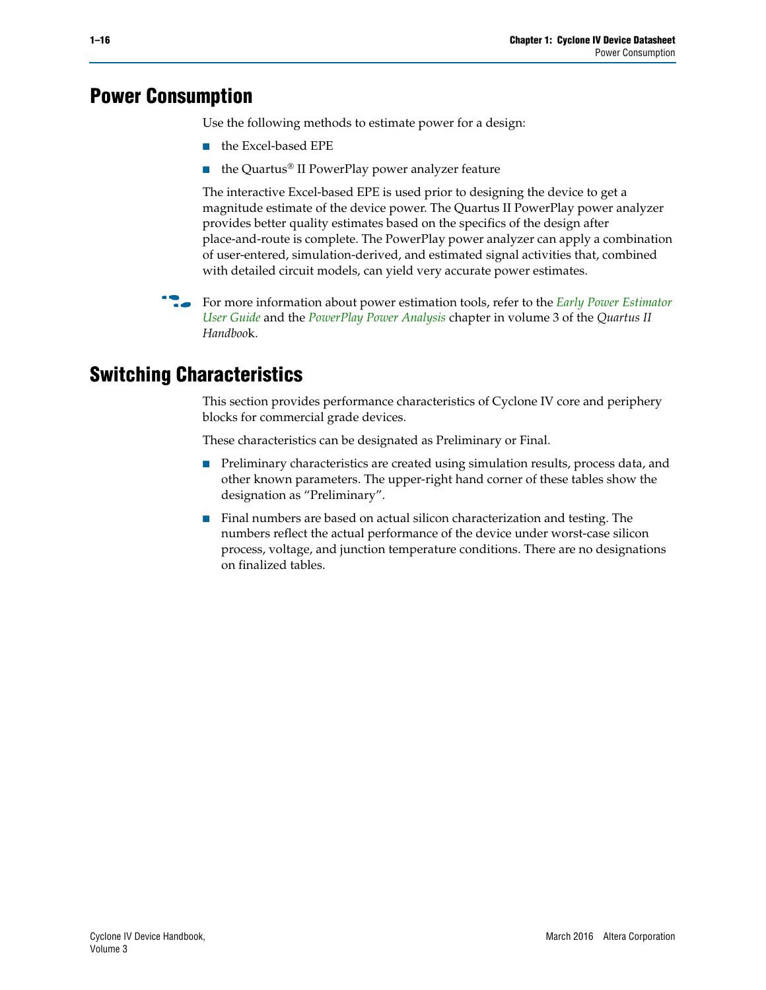## <span id="page-15-0"></span>**Power Consumption**

Use the following methods to estimate power for a design:

- the Excel-based EPE
- the Quartus® II PowerPlay power analyzer feature

The interactive Excel-based EPE is used prior to designing the device to get a magnitude estimate of the device power. The Quartus II PowerPlay power analyzer provides better quality estimates based on the specifics of the design after place-and-route is complete. The PowerPlay power analyzer can apply a combination of user-entered, simulation-derived, and estimated signal activities that, combined with detailed circuit models, can yield very accurate power estimates.

**For more information about power estimation tools, refer to the** *Early Power Estimator* **<b>For a** *[User Guide](http://www.altera.com/literature/ug/ug_epe.pdf
)* and the *[PowerPlay Power Analysis](http://www.altera.com/literature/hb/qts/qts_qii53013.pdf)* chapter in volume 3 of the *Quartus II Handboo*k.

## <span id="page-15-1"></span>**Switching Characteristics**

This section provides performance characteristics of Cyclone IV core and periphery blocks for commercial grade devices.

These characteristics can be designated as Preliminary or Final.

- Preliminary characteristics are created using simulation results, process data, and other known parameters. The upper-right hand corner of these tables show the designation as "Preliminary".
- Final numbers are based on actual silicon characterization and testing. The numbers reflect the actual performance of the device under worst-case silicon process, voltage, and junction temperature conditions. There are no designations on finalized tables.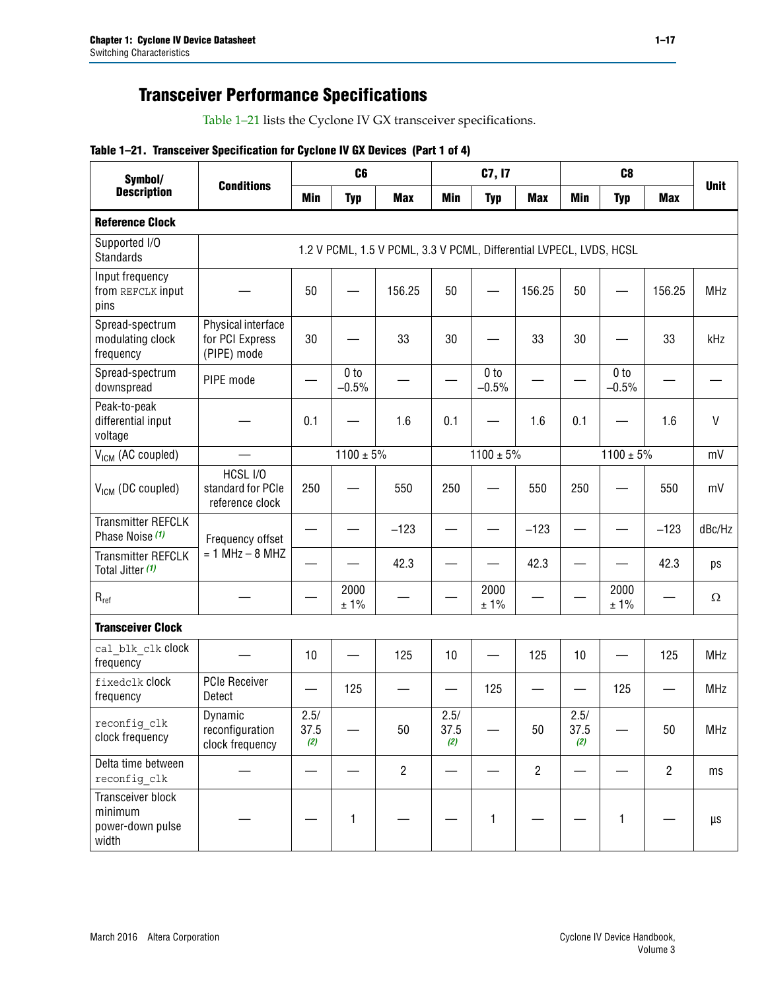## **Transceiver Performance Specifications**

[Table 1–21](#page-16-0) lists the Cyclone IV GX transceiver specifications.

## <span id="page-16-0"></span>**Table 1–21. Transceiver Specification for Cyclone IV GX Devices (Part 1 of 4)**

| Symbol/                                                          | <b>Conditions</b>                                    |                     | C <sub>6</sub>             |                                                                     |                     | C7, I7                     |                          |                     | C <sub>8</sub>             |                |              |
|------------------------------------------------------------------|------------------------------------------------------|---------------------|----------------------------|---------------------------------------------------------------------|---------------------|----------------------------|--------------------------|---------------------|----------------------------|----------------|--------------|
| <b>Description</b>                                               |                                                      | Min                 | <b>Typ</b>                 | <b>Max</b>                                                          | <b>Min</b>          | <b>Typ</b>                 | <b>Max</b>               | Min                 | <b>Typ</b>                 | <b>Max</b>     | <b>Unit</b>  |
| <b>Reference Clock</b>                                           |                                                      |                     |                            |                                                                     |                     |                            |                          |                     |                            |                |              |
| Supported I/O<br><b>Standards</b>                                |                                                      |                     |                            | 1.2 V PCML, 1.5 V PCML, 3.3 V PCML, Differential LVPECL, LVDS, HCSL |                     |                            |                          |                     |                            |                |              |
| Input frequency<br>from REFCLK input<br>pins                     |                                                      | 50                  |                            | 156.25                                                              | 50                  |                            | 156.25                   | 50                  |                            | 156.25         | <b>MHz</b>   |
| Spread-spectrum<br>modulating clock<br>frequency                 | Physical interface<br>for PCI Express<br>(PIPE) mode | 30                  |                            | 33                                                                  | 30                  |                            | 33                       | 30                  |                            | 33             | kHz          |
| Spread-spectrum<br>downspread                                    | PIPE mode                                            |                     | 0 <sub>to</sub><br>$-0.5%$ |                                                                     |                     | 0 <sub>to</sub><br>$-0.5%$ | $\overline{\phantom{0}}$ |                     | 0 <sub>to</sub><br>$-0.5%$ |                |              |
| Peak-to-peak<br>differential input<br>voltage                    |                                                      | 0.1                 |                            | 1.6                                                                 | 0.1                 |                            | 1.6                      | 0.1                 |                            | 1.6            | $\mathsf{V}$ |
| V <sub>ICM</sub> (AC coupled)                                    |                                                      |                     | $1100 \pm 5\%$             |                                                                     |                     | $1100 \pm 5\%$             |                          |                     | $1100 \pm 5\%$             |                | mV           |
| $V_{ICM}$ (DC coupled)                                           | HCSL I/O<br>standard for PCIe<br>reference clock     | 250                 |                            | 550                                                                 | 250                 |                            | 550                      | 250                 |                            | 550            | mV           |
| <b>Transmitter REFCLK</b><br>Phase Noise (1)                     | Frequency offset                                     |                     |                            | $-123$                                                              |                     |                            | $-123$                   |                     |                            | $-123$         | dBc/Hz       |
| <b>Transmitter REFCLK</b><br>Total Jitter (1)                    | $= 1$ MHz $- 8$ MHZ                                  |                     |                            | 42.3                                                                |                     |                            | 42.3                     |                     |                            | 42.3           | ps           |
| $R_{ref}$                                                        |                                                      |                     | 2000<br>±1%                |                                                                     |                     | 2000<br>± 1%               |                          |                     | 2000<br>±1%                |                | Ω            |
| <b>Transceiver Clock</b>                                         |                                                      |                     |                            |                                                                     |                     |                            |                          |                     |                            |                |              |
| cal blk clk clock<br>frequency                                   |                                                      | 10                  |                            | 125                                                                 | 10                  |                            | 125                      | 10                  |                            | 125            | <b>MHz</b>   |
| fixedclk Clock<br>frequency                                      | <b>PCIe Receiver</b><br>Detect                       |                     | 125                        |                                                                     |                     | 125                        |                          |                     | 125                        |                | <b>MHz</b>   |
| reconfig clk<br>clock frequency                                  | Dynamic<br>reconfiguration<br>clock frequency        | 2.5/<br>37.5<br>(2) |                            | 50                                                                  | 2.5/<br>37.5<br>(2) |                            | 50                       | 2.5/<br>37.5<br>(2) |                            | 50             | MHz          |
| Delta time between<br>reconfig clk                               |                                                      |                     |                            | $\overline{2}$                                                      |                     |                            | $\overline{2}$           |                     |                            | $\overline{2}$ | ms           |
| <b>Transceiver block</b><br>minimum<br>power-down pulse<br>width |                                                      |                     | $\mathbf{1}$               |                                                                     |                     | 1                          |                          |                     | 1                          |                | μs           |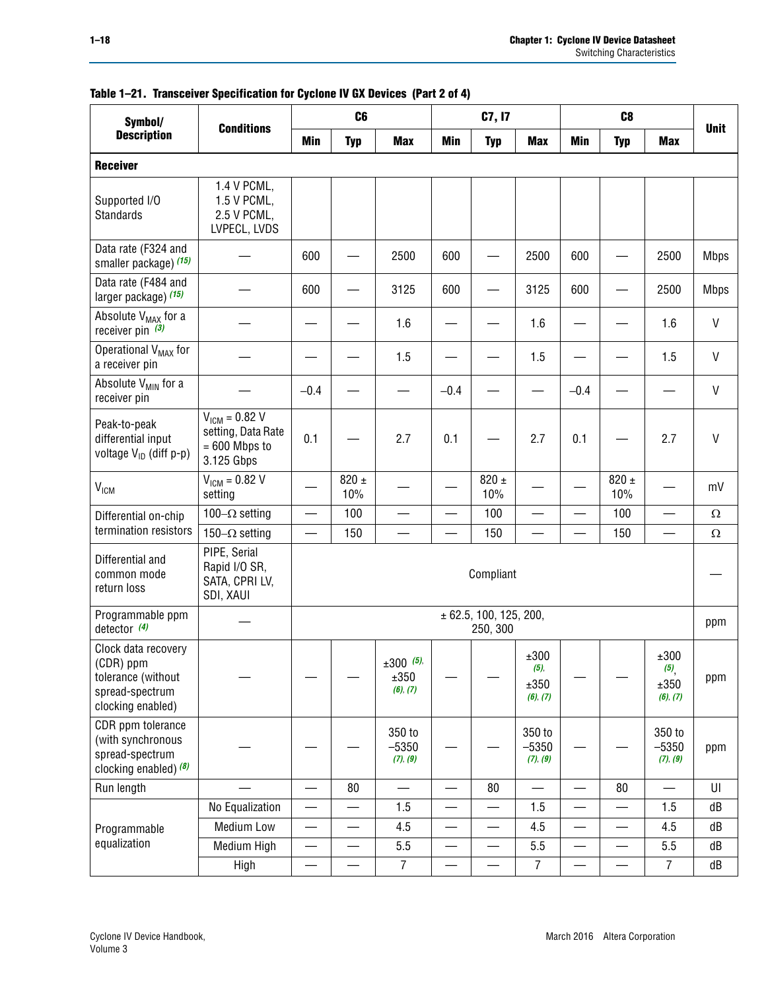| Symbol/                                                                                        |                                                                           |                          | C <sub>6</sub>   |                                 |                          | C7, I7                             |                                     |                          | C <sub>8</sub>           |                                                |              |
|------------------------------------------------------------------------------------------------|---------------------------------------------------------------------------|--------------------------|------------------|---------------------------------|--------------------------|------------------------------------|-------------------------------------|--------------------------|--------------------------|------------------------------------------------|--------------|
| <b>Description</b>                                                                             | <b>Conditions</b>                                                         | Min                      | <b>Typ</b>       | <b>Max</b>                      | <b>Min</b>               | <b>Typ</b>                         | <b>Max</b>                          | <b>Min</b>               | <b>Typ</b>               | <b>Max</b>                                     | <b>Unit</b>  |
| <b>Receiver</b>                                                                                |                                                                           |                          |                  |                                 |                          |                                    |                                     |                          |                          |                                                |              |
| Supported I/O<br>Standards                                                                     | 1.4 V PCML,<br>1.5 V PCML,<br>2.5 V PCML,<br>LVPECL, LVDS                 |                          |                  |                                 |                          |                                    |                                     |                          |                          |                                                |              |
| Data rate (F324 and<br>smaller package) (15)                                                   |                                                                           | 600                      |                  | 2500                            | 600                      |                                    | 2500                                | 600                      |                          | 2500                                           | <b>Mbps</b>  |
| Data rate (F484 and<br>larger package) (15)                                                    |                                                                           | 600                      |                  | 3125                            | 600                      |                                    | 3125                                | 600                      |                          | 2500                                           | <b>Mbps</b>  |
| Absolute V <sub>MAX</sub> for a<br>receiver pin $(3)$                                          |                                                                           |                          |                  | 1.6                             |                          |                                    | 1.6                                 |                          |                          | 1.6                                            | V            |
| Operational V <sub>MAX</sub> for<br>a receiver pin                                             |                                                                           |                          |                  | 1.5                             |                          |                                    | 1.5                                 |                          |                          | 1.5                                            | V            |
| Absolute V <sub>MIN</sub> for a<br>receiver pin                                                |                                                                           | $-0.4$                   |                  |                                 | $-0.4$                   |                                    |                                     | $-0.4$                   |                          |                                                | V            |
| Peak-to-peak<br>differential input<br>voltage V <sub>ID</sub> (diff p-p)                       | $V_{IGM} = 0.82 V$<br>setting, Data Rate<br>$= 600$ Mbps to<br>3.125 Gbps | 0.1                      |                  | 2.7                             | 0.1                      |                                    | 2.7                                 | 0.1                      |                          | 2.7                                            | $\mathsf{V}$ |
| V <sub>ICM</sub>                                                                               | $V_{IGM} = 0.82 V$<br>setting                                             |                          | $820 \pm$<br>10% |                                 |                          | $820 \pm$<br>10%                   |                                     |                          | $820 \pm$<br>10%         |                                                | mV           |
| Differential on-chip                                                                           | 100 $-\Omega$ setting                                                     | $\qquad \qquad$          | 100              |                                 | $\overline{\phantom{0}}$ | 100                                | —                                   |                          | 100                      | $\qquad \qquad$                                | $\Omega$     |
| termination resistors                                                                          | 150 $-\Omega$ setting                                                     | $\overline{\phantom{0}}$ | 150              |                                 |                          | 150                                | $\overline{\phantom{0}}$            | —                        | 150                      | $\overline{\phantom{0}}$                       | $\Omega$     |
| Differential and<br>common mode<br>return loss                                                 | PIPE, Serial<br>Rapid I/O SR,<br>SATA, CPRI LV,<br>SDI, XAUI              |                          |                  |                                 |                          | Compliant                          |                                     |                          |                          |                                                |              |
| Programmable ppm<br>detector $(4)$                                                             |                                                                           |                          |                  |                                 |                          | ± 62.5, 100, 125, 200,<br>250, 300 |                                     |                          |                          |                                                | ppm          |
| Clock data recovery<br>(CDR) ppm<br>tolerance (without<br>spread-spectrum<br>clocking enabled) |                                                                           |                          |                  | $±300$ (5),<br>±350<br>(6), (7) |                          |                                    | ±300<br>$(5)$ ,<br>±350<br>(6), (7) |                          |                          | ±300<br>$(5)$ <sub>,</sub><br>±350<br>(6), (7) | ppm          |
| CDR ppm tolerance<br>(with synchronous<br>spread-spectrum<br>clocking enabled) $(8)$           |                                                                           |                          |                  | 350 to<br>$-5350$<br>(7), (9)   |                          |                                    | 350 to<br>$-5350$<br>(7), (9)       |                          |                          | 350 to<br>$-5350$<br>(7), (9)                  | ppm          |
| Run length                                                                                     |                                                                           | $\overline{\phantom{0}}$ | 80               |                                 | $\overline{\phantom{0}}$ | 80                                 |                                     | $\overline{\phantom{0}}$ | 80                       | $\overline{\phantom{0}}$                       | UI           |
|                                                                                                | No Equalization                                                           | —                        |                  | 1.5                             | —                        |                                    | 1.5                                 |                          | —                        | 1.5                                            | dB           |
| Programmable                                                                                   | <b>Medium Low</b>                                                         | $\overline{\phantom{0}}$ |                  | 4.5                             | —                        |                                    | 4.5                                 |                          | $\overline{\phantom{0}}$ | 4.5                                            | dB           |
| equalization                                                                                   | Medium High                                                               | —                        | —                | 5.5                             | $\overline{\phantom{0}}$ |                                    | 5.5                                 | $\overline{\phantom{0}}$ | —                        | 5.5                                            | dB           |
|                                                                                                | High                                                                      |                          |                  | $\overline{7}$                  | —                        |                                    | $\overline{7}$                      |                          |                          | $\overline{7}$                                 | dB           |

|  |  | Table 1-21. Transceiver Specification for Cyclone IV GX Devices (Part 2 of 4) |  |
|--|--|-------------------------------------------------------------------------------|--|
|  |  |                                                                               |  |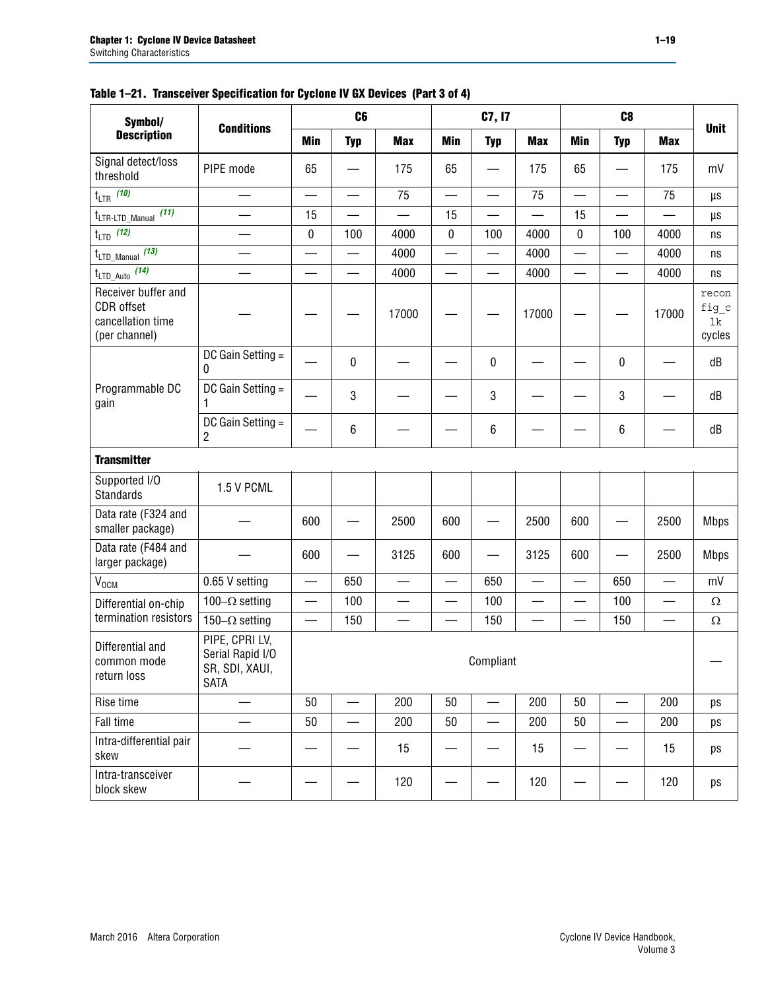| Symbol/                                                                 |                                                                     |                          | C <sub>6</sub>           |                          |                          | C7, I7                   |                          |                          | C <sub>8</sub>           |                          |                                |
|-------------------------------------------------------------------------|---------------------------------------------------------------------|--------------------------|--------------------------|--------------------------|--------------------------|--------------------------|--------------------------|--------------------------|--------------------------|--------------------------|--------------------------------|
| <b>Description</b>                                                      | <b>Conditions</b>                                                   | <b>Min</b>               | <b>Typ</b>               | <b>Max</b>               | <b>Min</b>               | <b>Typ</b>               | <b>Max</b>               | Min                      | <b>Typ</b>               | <b>Max</b>               | <b>Unit</b>                    |
| Signal detect/loss<br>threshold                                         | PIPE mode                                                           | 65                       |                          | 175                      | 65                       |                          | 175                      | 65                       |                          | 175                      | mV                             |
| $t_{LTR}$ (10)                                                          |                                                                     | $\overline{\phantom{0}}$ | $\overline{\phantom{0}}$ | 75                       | $\overline{\phantom{0}}$ |                          | 75                       | $\overline{\phantom{0}}$ | $\overline{\phantom{0}}$ | 75                       | μs                             |
| (11)<br>t <sub>LTR-LTD_Manual</sub>                                     |                                                                     | 15                       | $\overline{\phantom{0}}$ | $\overline{\phantom{0}}$ | 15                       |                          | $\overline{\phantom{0}}$ | 15                       | $\equiv$                 |                          | μs                             |
| (12)<br>$t_{LTD}$                                                       |                                                                     | $\mathbf 0$              | 100                      | 4000                     | 0                        | 100                      | 4000                     | $\mathbf 0$              | 100                      | 4000                     | ns                             |
| $t_{\text{LTD\_Manual}}$ (13)                                           |                                                                     | $\qquad \qquad$          | $\overline{\phantom{0}}$ | 4000                     | $\overline{\phantom{0}}$ | $\overline{\phantom{0}}$ | 4000                     | $\overline{\phantom{0}}$ |                          | 4000                     | ns                             |
| $t_{\text{LTD\_Auto}}$ (14)                                             |                                                                     |                          | —                        | 4000                     | —                        |                          | 4000                     |                          | $\overline{\phantom{0}}$ | 4000                     | ns                             |
| Receiver buffer and<br>CDR offset<br>cancellation time<br>(per channel) |                                                                     |                          |                          | 17000                    |                          |                          | 17000                    |                          |                          | 17000                    | recon<br>fig_c<br>lk<br>cycles |
|                                                                         | DC Gain Setting =<br>0                                              |                          | 0                        |                          |                          | $\mathbf 0$              |                          |                          | 0                        |                          | dB                             |
| Programmable DC<br>gain                                                 | DC Gain Setting =<br>1                                              |                          | 3                        |                          |                          | 3                        |                          |                          | 3                        |                          | dB                             |
|                                                                         | DC Gain Setting =<br>2                                              |                          | 6                        |                          |                          | $\,6\,$                  |                          |                          | 6                        |                          | dB                             |
| <b>Transmitter</b>                                                      |                                                                     |                          |                          |                          |                          |                          |                          |                          |                          |                          |                                |
| Supported I/O<br>Standards                                              | 1.5 V PCML                                                          |                          |                          |                          |                          |                          |                          |                          |                          |                          |                                |
| Data rate (F324 and<br>smaller package)                                 |                                                                     | 600                      |                          | 2500                     | 600                      |                          | 2500                     | 600                      |                          | 2500                     | <b>Mbps</b>                    |
| Data rate (F484 and<br>larger package)                                  |                                                                     | 600                      |                          | 3125                     | 600                      |                          | 3125                     | 600                      |                          | 2500                     | <b>Mbps</b>                    |
| $V_{OCM}$                                                               | 0.65 V setting                                                      |                          | 650                      |                          | —                        | 650                      | —                        |                          | 650                      |                          | mV                             |
| Differential on-chip                                                    | 100 $-\Omega$ setting                                               | $\qquad \qquad -$        | 100                      | —                        | $\equiv$                 | 100                      | $\equiv$                 |                          | 100                      | $\overline{\phantom{0}}$ | Ω                              |
| termination resistors                                                   | 150 $-\Omega$ setting                                               | —                        | 150                      |                          |                          | 150                      |                          |                          | 150                      |                          | Ω                              |
| Differential and<br>common mode<br>return loss                          | PIPE, CPRI LV,<br>Serial Rapid I/O<br>SR, SDI, XAUI,<br><b>SATA</b> |                          |                          |                          |                          | Compliant                |                          |                          |                          |                          |                                |
| Rise time                                                               | $\overline{\phantom{0}}$                                            | 50                       | $\overline{\phantom{0}}$ | 200                      | 50                       |                          | 200                      | 50                       | $\overline{\phantom{0}}$ | 200                      | ps                             |
| Fall time                                                               |                                                                     | 50                       |                          | 200                      | 50                       |                          | 200                      | 50                       |                          | 200                      | ps                             |
| Intra-differential pair<br>skew                                         |                                                                     |                          |                          | 15                       |                          |                          | 15                       |                          |                          | 15                       | ps                             |
| Intra-transceiver<br>block skew                                         |                                                                     |                          |                          | 120                      |                          |                          | 120                      |                          |                          | 120                      | ps                             |

## **Table 1–21. Transceiver Specification for Cyclone IV GX Devices (Part 3 of 4)**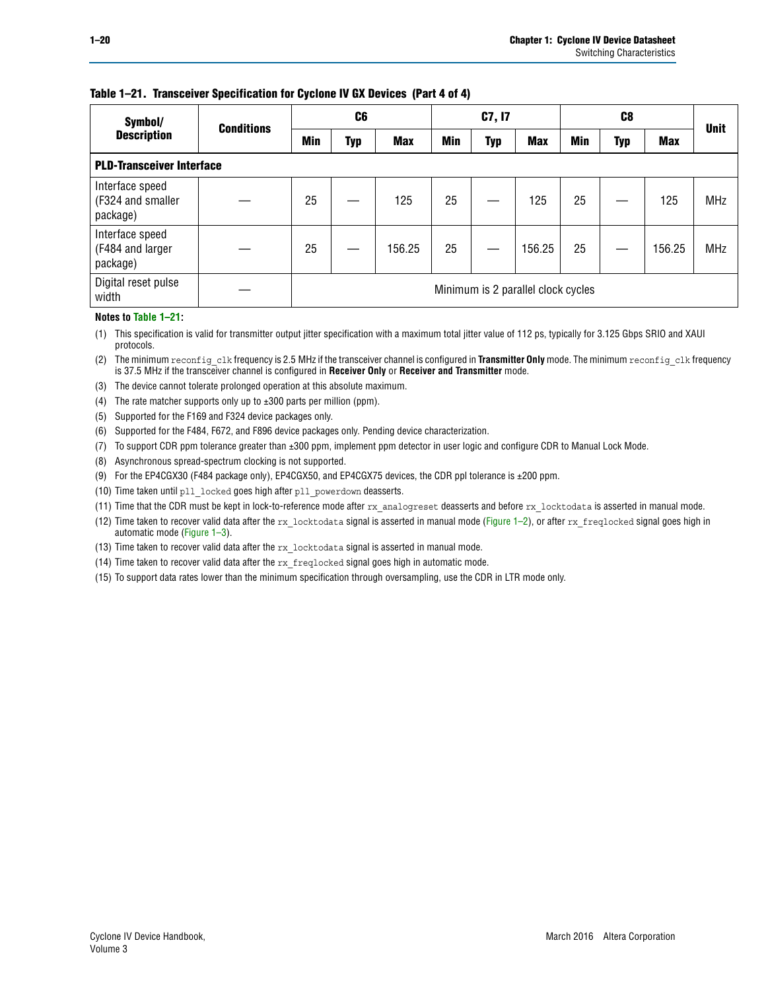## **Table 1–21. Transceiver Specification for Cyclone IV GX Devices (Part 4 of 4)**

| Symbol/                                          | <b>Conditions</b> |     | C <sub>6</sub> |            |     | C7, I7     |                                    |     |     | <b>Unit</b> |            |
|--------------------------------------------------|-------------------|-----|----------------|------------|-----|------------|------------------------------------|-----|-----|-------------|------------|
| <b>Description</b>                               |                   | Min | Typ            | <b>Max</b> | Min | <b>Typ</b> | <b>Max</b>                         | Min | Typ | <b>Max</b>  |            |
| <b>PLD-Transceiver Interface</b>                 |                   |     |                |            |     |            |                                    |     |     |             |            |
| Interface speed<br>(F324 and smaller<br>package) |                   | 25  |                | 125        | 25  |            | 125                                | 25  |     | 125         | <b>MHz</b> |
| Interface speed<br>(F484 and larger<br>package)  |                   | 25  |                | 156.25     | 25  |            | 156.25                             | 25  |     | 156.25      | <b>MHz</b> |
| Digital reset pulse<br>width                     |                   |     |                |            |     |            | Minimum is 2 parallel clock cycles |     |     |             |            |

#### **Notes to [Table 1–21:](#page-16-0)**

<span id="page-19-0"></span>(1) This specification is valid for transmitter output jitter specification with a maximum total jitter value of 112 ps, typically for 3.125 Gbps SRIO and XAUI protocols.

<span id="page-19-1"></span>(2) The minimum reconfig\_clk frequency is 2.5 MHz if the transceiver channel is configured in **Transmitter Only** mode. The minimum reconfig\_clk frequency is 37.5 MHz if the transceiver channel is configured in **Receiver Only** or **Receiver and Transmitter** mode.

- <span id="page-19-2"></span>(3) The device cannot tolerate prolonged operation at this absolute maximum.
- <span id="page-19-3"></span>(4) The rate matcher supports only up to  $\pm 300$  parts per million (ppm).
- <span id="page-19-4"></span>(5) Supported for the F169 and F324 device packages only.
- <span id="page-19-5"></span>(6) Supported for the F484, F672, and F896 device packages only. Pending device characterization.
- <span id="page-19-6"></span>(7) To support CDR ppm tolerance greater than ±300 ppm, implement ppm detector in user logic and configure CDR to Manual Lock Mode.
- <span id="page-19-8"></span>(8) Asynchronous spread-spectrum clocking is not supported.
- <span id="page-19-9"></span>(9) For the EP4CGX30 (F484 package only), EP4CGX50, and EP4CGX75 devices, the CDR ppl tolerance is ±200 ppm.
- <span id="page-19-10"></span>(10) Time taken until pll\_locked goes high after pll\_powerdown deasserts.
- <span id="page-19-11"></span>(11) Time that the CDR must be kept in lock-to-reference mode after rx analogreset deasserts and before rx locktodata is asserted in manual mode.

<span id="page-19-12"></span>(12) Time taken to recover valid data after the rx locktodata signal is asserted in manual mode ([Figure 1–2](#page-20-0)), or after rx freqlocked signal goes high in automatic mode [\(Figure 1–3](#page-20-1)).

<span id="page-19-13"></span>(13) Time taken to recover valid data after the rx locktodata signal is asserted in manual mode.

- <span id="page-19-14"></span>(14) Time taken to recover valid data after the rx\_freqlocked signal goes high in automatic mode.
- <span id="page-19-7"></span>(15) To support data rates lower than the minimum specification through oversampling, use the CDR in LTR mode only.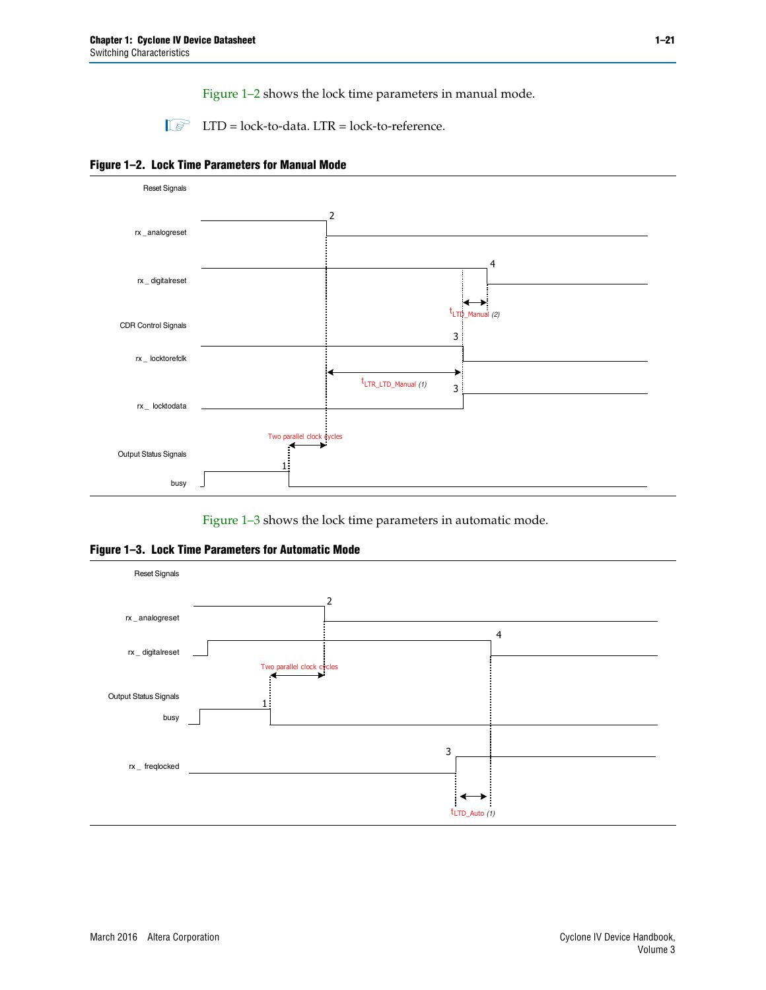[Figure 1–2](#page-20-0) shows the lock time parameters in manual mode.

 $\Box$  LTD = lock-to-data. LTR = lock-to-reference.

<span id="page-20-0"></span>



[Figure 1–3](#page-20-1) shows the lock time parameters in automatic mode.

<span id="page-20-1"></span>**Figure 1–3. Lock Time Parameters for Automatic Mode**

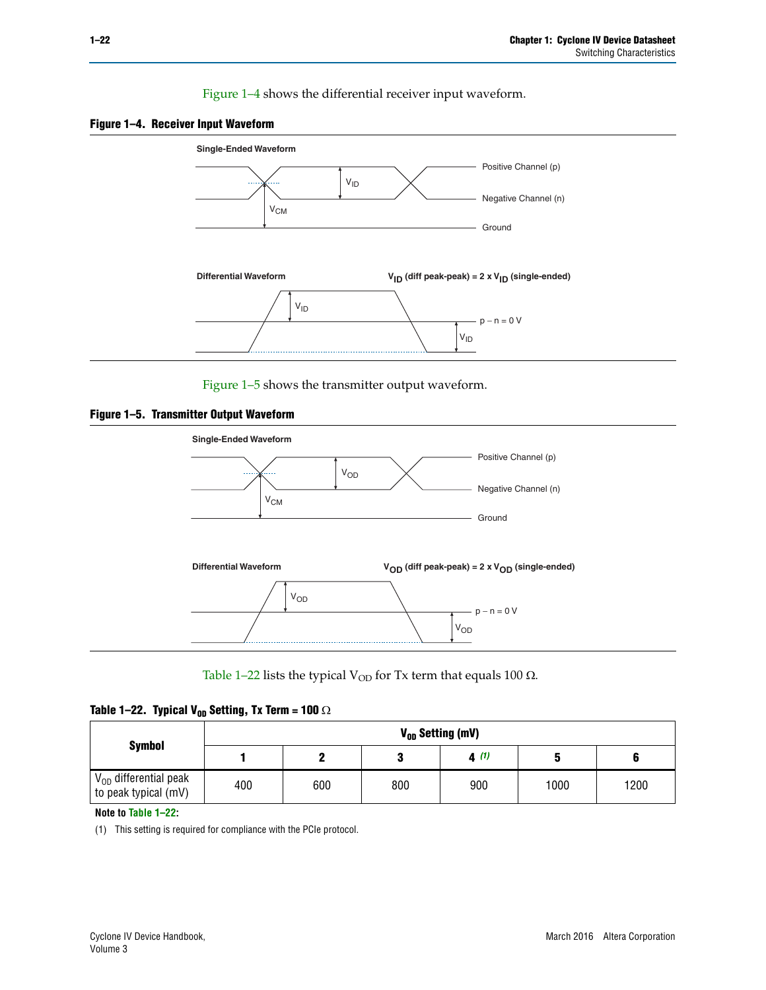[Figure 1–4](#page-21-0) shows the differential receiver input waveform.

<span id="page-21-0"></span>



[Figure 1–5](#page-21-2) shows the transmitter output waveform.

<span id="page-21-2"></span>



[Table 1–22](#page-21-3) lists the typical V<sub>OD</sub> for Tx term that equals 100  $\Omega$ .

<span id="page-21-3"></span>

|  | Table 1–22. Typical V <sub>0D</sub> Setting, Tx Term = 100 $\Omega$ |  |  |  |
|--|---------------------------------------------------------------------|--|--|--|
|--|---------------------------------------------------------------------|--|--|--|

|                                                    |     |     |     | V <sub>on</sub> Setting (mV) |      |      |
|----------------------------------------------------|-----|-----|-----|------------------------------|------|------|
| <b>Symbol</b>                                      |     |     |     | 4(1)                         |      |      |
| $V_{OD}$ differential peak<br>to peak typical (mV) | 400 | 600 | 800 | 900                          | 1000 | 1200 |

**Note to [Table 1–22:](#page-21-3)**

<span id="page-21-1"></span>(1) This setting is required for compliance with the PCIe protocol.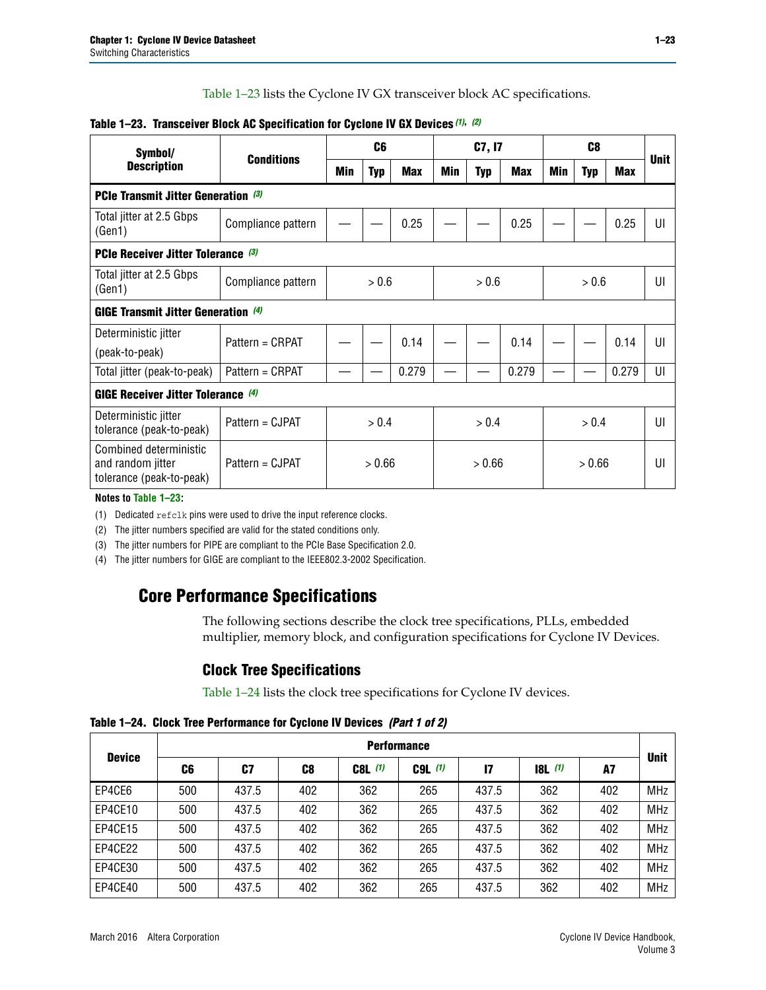[Table 1–23](#page-22-0) lists the Cyclone IV GX transceiver block AC specifications.

| Symbol/                                                                 |                    |     | C <sub>6</sub> |            |        | C7, I7     |            |        | C <sub>8</sub> |            |             |
|-------------------------------------------------------------------------|--------------------|-----|----------------|------------|--------|------------|------------|--------|----------------|------------|-------------|
| <b>Description</b>                                                      | <b>Conditions</b>  | Min | <b>Typ</b>     | <b>Max</b> | Min    | <b>Typ</b> | <b>Max</b> | Min    | <b>Typ</b>     | <b>Max</b> | <b>Unit</b> |
| PCIe Transmit Jitter Generation (3)                                     |                    |     |                |            |        |            |            |        |                |            |             |
| Total jitter at 2.5 Gbps<br>(Gen1)                                      | Compliance pattern |     |                | 0.25       |        |            | 0.25       |        |                | 0.25       | UI          |
| <b>PCIe Receiver Jitter Tolerance</b> (3)                               |                    |     |                |            |        |            |            |        |                |            |             |
| Total jitter at 2.5 Gbps<br>(Gen1)                                      | Compliance pattern |     | > 0.6          |            |        | > 0.6      |            |        | > 0.6          |            | UI          |
| <b>GIGE Transmit Jitter Generation (4)</b>                              |                    |     |                |            |        |            |            |        |                |            |             |
| Deterministic jitter                                                    | Pattern = CRPAT    |     |                | 0.14       |        |            | 0.14       |        |                | 0.14       | UI          |
| (peak-to-peak)                                                          |                    |     |                |            |        |            |            |        |                |            |             |
| Total jitter (peak-to-peak)                                             | Pattern = CRPAT    |     |                | 0.279      |        |            | 0.279      |        |                | 0.279      | UI          |
| <b>GIGE Receiver Jitter Tolerance (4)</b>                               |                    |     |                |            |        |            |            |        |                |            |             |
| Deterministic jitter<br>tolerance (peak-to-peak)                        | Pattern = CJPAT    |     | > 0.4          |            |        | > 0.4      |            |        | > 0.4          |            | UI          |
| Combined deterministic<br>and random jitter<br>tolerance (peak-to-peak) | Pattern = CJPAT    |     | > 0.66         |            | > 0.66 |            |            | > 0.66 |                |            | UI          |

### <span id="page-22-0"></span>**Table 1–23. Transceiver Block AC Specification for Cyclone IV GX Devices** *[\(1\)](#page-22-1)***,** *[\(2\)](#page-22-2)*

**Notes to [Table 1–23:](#page-22-0)**

<span id="page-22-1"></span>(1) Dedicated refclk pins were used to drive the input reference clocks.

<span id="page-22-2"></span>(2) The jitter numbers specified are valid for the stated conditions only.

<span id="page-22-3"></span>(3) The jitter numbers for PIPE are compliant to the PCIe Base Specification 2.0.

<span id="page-22-4"></span>(4) The jitter numbers for GIGE are compliant to the IEEE802.3-2002 Specification.

## **Core Performance Specifications**

The following sections describe the clock tree specifications, PLLs, embedded multiplier, memory block, and configuration specifications for Cyclone IV Devices.

## **Clock Tree Specifications**

[Table 1–24](#page-22-5) lists the clock tree specifications for Cyclone IV devices.

<span id="page-22-5"></span>**Table 1–24. Clock Tree Performance for Cyclone IV Devices** *(Part 1 of 2)*

|               | <b>Performance</b> |       |     |           |             |       |       |     |             |  |  |  |
|---------------|--------------------|-------|-----|-----------|-------------|-------|-------|-----|-------------|--|--|--|
| <b>Device</b> | C6                 | C7    | C8  | $C8L$ (1) | $C9L$ $(1)$ | 17    | 8L(1) | A7  | <b>Unit</b> |  |  |  |
| EP4CE6        | 500                | 437.5 | 402 | 362       | 265         | 437.5 | 362   | 402 | <b>MHz</b>  |  |  |  |
| EP4CE10       | 500                | 437.5 | 402 | 362       | 265         | 437.5 | 362   | 402 | <b>MHz</b>  |  |  |  |
| EP4CE15       | 500                | 437.5 | 402 | 362       | 265         | 437.5 | 362   | 402 | <b>MHz</b>  |  |  |  |
| EP4CE22       | 500                | 437.5 | 402 | 362       | 265         | 437.5 | 362   | 402 | <b>MHz</b>  |  |  |  |
| EP4CE30       | 500                | 437.5 | 402 | 362       | 265         | 437.5 | 362   | 402 | <b>MHz</b>  |  |  |  |
| EP4CE40       | 500                | 437.5 | 402 | 362       | 265         | 437.5 | 362   | 402 | <b>MHz</b>  |  |  |  |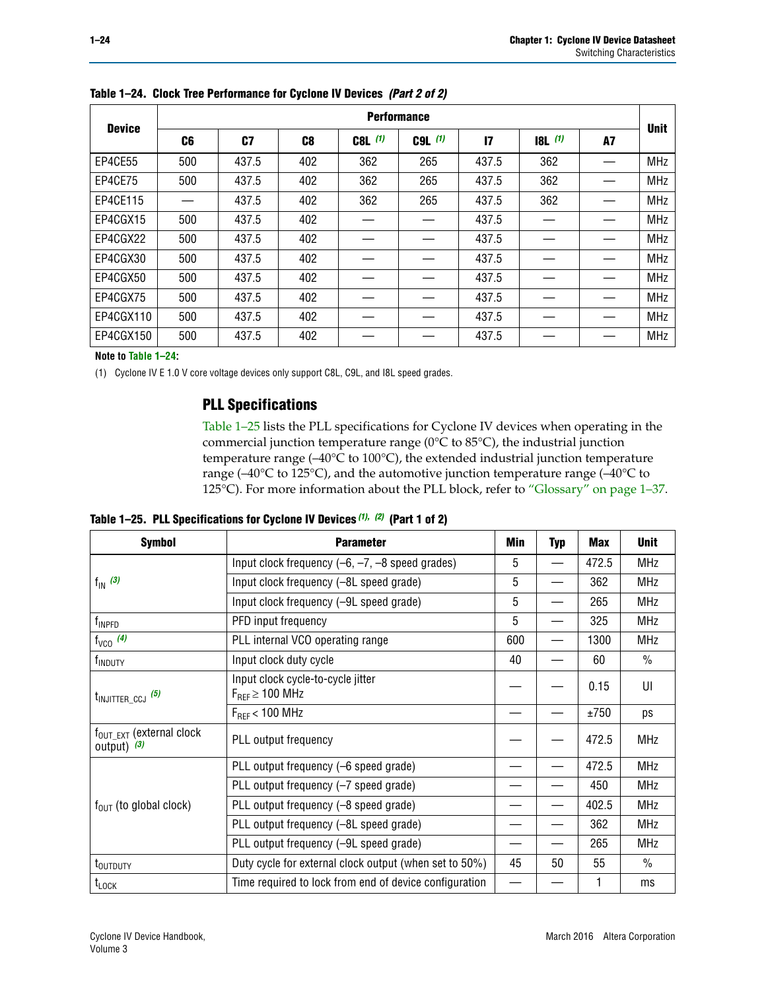|               | <b>Performance</b> |       |                |           |             |               |       |    |             |  |  |  |  |  |
|---------------|--------------------|-------|----------------|-----------|-------------|---------------|-------|----|-------------|--|--|--|--|--|
| <b>Device</b> | C6                 | C7    | C <sub>8</sub> | $C8L$ (1) | $C9L$ $(1)$ | $\mathsf{I}7$ | 8L(1) | A7 | <b>Unit</b> |  |  |  |  |  |
| EP4CE55       | 500                | 437.5 | 402            | 362       | 265         | 437.5         | 362   |    | <b>MHz</b>  |  |  |  |  |  |
| EP4CE75       | 500                | 437.5 | 402            | 362       | 265         | 437.5         | 362   |    | <b>MHz</b>  |  |  |  |  |  |
| EP4CE115      |                    | 437.5 | 402            | 362       | 265         | 437.5         | 362   |    | <b>MHz</b>  |  |  |  |  |  |
| EP4CGX15      | 500                | 437.5 | 402            |           |             | 437.5         |       |    | <b>MHz</b>  |  |  |  |  |  |
| EP4CGX22      | 500                | 437.5 | 402            |           |             | 437.5         |       |    | <b>MHz</b>  |  |  |  |  |  |
| EP4CGX30      | 500                | 437.5 | 402            |           |             | 437.5         |       |    | <b>MHz</b>  |  |  |  |  |  |
| EP4CGX50      | 500                | 437.5 | 402            |           |             | 437.5         |       |    | <b>MHz</b>  |  |  |  |  |  |
| EP4CGX75      | 500                | 437.5 | 402            |           |             | 437.5         |       |    | <b>MHz</b>  |  |  |  |  |  |
| EP4CGX110     | 500                | 437.5 | 402            |           |             | 437.5         |       |    | <b>MHz</b>  |  |  |  |  |  |
| EP4CGX150     | 500                | 437.5 | 402            |           |             | 437.5         |       |    | <b>MHz</b>  |  |  |  |  |  |

**Table 1–24. Clock Tree Performance for Cyclone IV Devices** *(Part 2 of 2)*

**Note to [Table 1–24:](#page-22-5)**

<span id="page-23-0"></span>(1) Cyclone IV E 1.0 V core voltage devices only support C8L, C9L, and I8L speed grades.

## **PLL Specifications**

[Table 1–25](#page-23-1) lists the PLL specifications for Cyclone IV devices when operating in the commercial junction temperature range (0°C to 85°C), the industrial junction temperature range (–40°C to 100°C), the extended industrial junction temperature range (–40°C to 125°C), and the automotive junction temperature range (–40°C to 125°C). For more information about the PLL block, refer to ["Glossary" on page 1–37.](#page-36-1)

<span id="page-23-1"></span>**Table 1–25. PLL Specifications for Cyclone IV Devices** *[\(1\),](#page-24-0) [\(2\)](#page-24-1)* **(Part 1 of 2)**

| <b>Symbol</b>                                          | <b>Parameter</b>                                            | Min | <b>Typ</b>               | <b>Max</b> | <b>Unit</b>   |
|--------------------------------------------------------|-------------------------------------------------------------|-----|--------------------------|------------|---------------|
|                                                        | Input clock frequency $(-6, -7, -8)$ speed grades)          | 5   | $\overline{\phantom{0}}$ | 472.5      | <b>MHz</b>    |
| $f_{\text{IN}}(3)$                                     | Input clock frequency (-8L speed grade)                     | 5   |                          | 362        | <b>MHz</b>    |
|                                                        | Input clock frequency (-9L speed grade)                     | 5   |                          | 265        | <b>MHz</b>    |
| f <sub>INPFD</sub>                                     | PFD input frequency                                         | 5   |                          | 325        | <b>MHz</b>    |
| $f_{VCO}$ (4)                                          | PLL internal VCO operating range                            | 600 |                          | 1300       | <b>MHz</b>    |
| f <sub>INDUTY</sub>                                    | Input clock duty cycle                                      | 40  |                          | 60         | $\frac{0}{0}$ |
| $t_{\text{INJITTER\_CCJ}}$ (5)                         | Input clock cycle-to-cycle jitter<br>$F_{REF} \geq 100$ MHz |     |                          | 0.15       | UI            |
|                                                        | $F_{RFF}$ < 100 MHz                                         |     |                          | ±750       | ps            |
| $f_{\text{OUT\_EXT}}$ (external clock<br>output) $(3)$ | PLL output frequency                                        |     |                          | 472.5      | <b>MHz</b>    |
|                                                        | PLL output frequency (-6 speed grade)                       |     |                          | 472.5      | <b>MHz</b>    |
|                                                        | PLL output frequency (-7 speed grade)                       |     |                          | 450        | <b>MHz</b>    |
| $f_{OUT}$ (to global clock)                            | PLL output frequency (-8 speed grade)                       |     |                          | 402.5      | <b>MHz</b>    |
|                                                        | PLL output frequency (-8L speed grade)                      |     |                          | 362        | <b>MHz</b>    |
|                                                        | PLL output frequency (-9L speed grade)                      |     |                          | 265        | <b>MHz</b>    |
| t <sub>outputy</sub>                                   | Duty cycle for external clock output (when set to 50%)      | 45  | 50                       | 55         | $\frac{0}{0}$ |
| $t_{\text{LOCK}}$                                      | Time required to lock from end of device configuration      |     |                          |            | ms            |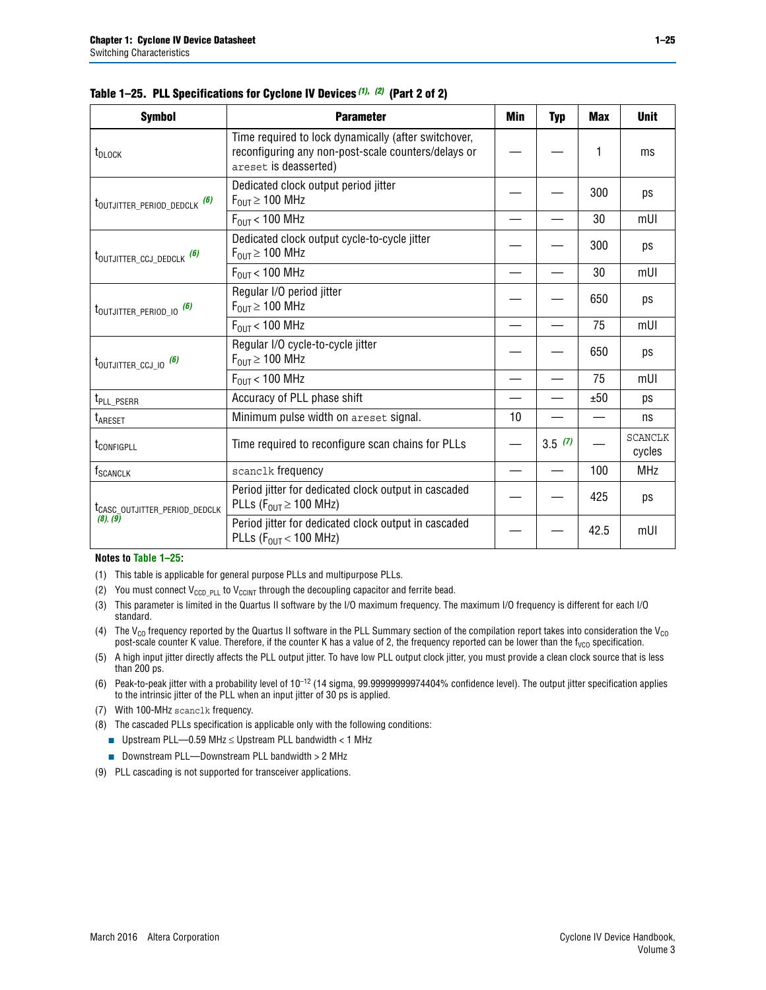| <b>Symbol</b>                             | <b>Parameter</b>                                                                                                                     | Min | <b>Typ</b> | <b>Max</b> | <b>Unit</b>              |
|-------------------------------------------|--------------------------------------------------------------------------------------------------------------------------------------|-----|------------|------------|--------------------------|
| t <sub>DLOCK</sub>                        | Time required to lock dynamically (after switchover,<br>reconfiguring any non-post-scale counters/delays or<br>areset is deasserted) |     |            | 1          | ms                       |
| t <sub>outjitter_period_dedclk</sub> (6)  | Dedicated clock output period jitter<br>$F_{\text{OUT}} \geq 100 \text{ MHz}$                                                        |     |            | 300        | ps                       |
|                                           | $F_{OUT}$ < 100 MHz                                                                                                                  |     |            | 30         | mUI                      |
| t <sub>outjitter_ccj_dedclk</sub> (6)     | Dedicated clock output cycle-to-cycle jitter<br>$F_{OUT} \geq 100$ MHz                                                               |     |            | 300        | ps                       |
|                                           | $F_{\text{OUT}}$ < 100 MHz                                                                                                           |     |            | 30         | mUI                      |
| t <sub>outjitter_period_io</sub> (6)      | Regular I/O period jitter<br>$F_{\text{OUT}} \geq 100 \text{ MHz}$                                                                   |     |            | 650        | ps                       |
|                                           | $F_{\text{OUT}}$ < 100 MHz                                                                                                           |     |            | 75         | mUI                      |
| $t_{\text{OUTJITTER\_CCJ\_IO}}$ (6)       | Regular I/O cycle-to-cycle jitter<br>$F_{\text{OUT}} \geq 100 \text{ MHz}$                                                           |     |            | 650        | ps                       |
|                                           | $F_{\text{OUT}}$ < 100 MHz                                                                                                           |     |            | 75         | mUI                      |
| t <sub>PLL_PSERR</sub>                    | Accuracy of PLL phase shift                                                                                                          |     |            | ±50        | ps                       |
| t <sub>ARESET</sub>                       | Minimum pulse width on areset signal.                                                                                                | 10  |            |            | ns                       |
| t <sub>configpll</sub>                    | Time required to reconfigure scan chains for PLLs                                                                                    |     | 3.5(7)     |            | <b>SCANCLK</b><br>cycles |
| f <sub>SCANCLK</sub>                      | scanclk frequency                                                                                                                    |     |            | 100        | <b>MHz</b>               |
| t <sub>CASC_OUTJITTER_PERIOD_DEDCLK</sub> | Period jitter for dedicated clock output in cascaded<br>PLLs ( $F_{OUT} \ge 100$ MHz)                                                |     |            | 425        | ps                       |
| (8), (9)                                  | Period jitter for dedicated clock output in cascaded<br>PLLs ( $F_{OUT}$ < 100 MHz)                                                  |     |            | 42.5       | mUI                      |

|  |  | Table 1–25. PLL Specifications for Cyclone IV Devices (1), (2) (Part 2 of 2) |  |
|--|--|------------------------------------------------------------------------------|--|
|--|--|------------------------------------------------------------------------------|--|

#### **Notes to [Table 1–25:](#page-23-1)**

- <span id="page-24-0"></span>(1) This table is applicable for general purpose PLLs and multipurpose PLLs.
- <span id="page-24-1"></span>(2) You must connect  $V_{CCD-PLL}$  to  $V_{CCINT}$  through the decoupling capacitor and ferrite bead.
- <span id="page-24-2"></span>(3) This parameter is limited in the Quartus II software by the I/O maximum frequency. The maximum I/O frequency is different for each I/O standard.
- <span id="page-24-3"></span>(4) The  $V_{CO}$  frequency reported by the Quartus II software in the PLL Summary section of the compilation report takes into consideration the  $V_{CO}$ post-scale counter K value. Therefore, if the counter K has a value of 2, the frequency reported can be lower than the f<sub>VCO</sub> specification.
- <span id="page-24-4"></span>(5) A high input jitter directly affects the PLL output jitter. To have low PLL output clock jitter, you must provide a clean clock source that is less than 200 ps.
- <span id="page-24-5"></span>(6) Peak-to-peak jitter with a probability level of 10–12 (14 sigma, 99.99999999974404% confidence level). The output jitter specification applies to the intrinsic jitter of the PLL when an input jitter of 30 ps is applied.
- <span id="page-24-6"></span>(7) With 100-MHz scanclk frequency.
- <span id="page-24-7"></span>(8) The cascaded PLLs specification is applicable only with the following conditions:
	- Upstream PLL—0.59 MHz  $≤$  Upstream PLL bandwidth  $<$  1 MHz
	- Downstream PLL—Downstream PLL bandwidth > 2 MHz
- <span id="page-24-8"></span>(9) PLL cascading is not supported for transceiver applications.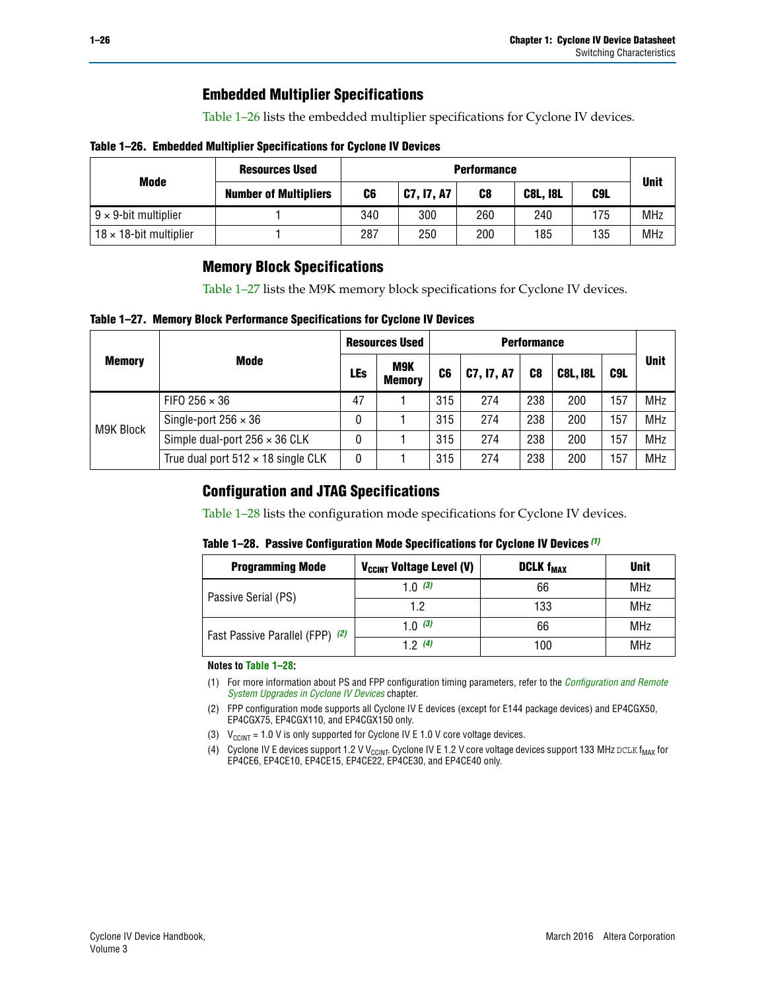## **Embedded Multiplier Specifications**

[Table 1–26](#page-25-1) lists the embedded multiplier specifications for Cyclone IV devices.

### <span id="page-25-1"></span>**Table 1–26. Embedded Multiplier Specifications for Cyclone IV Devices**

|                                | <b>Resources Used</b>        |     | <b>Performance</b> |     |                 |     |             |  |  |  |  |  |
|--------------------------------|------------------------------|-----|--------------------|-----|-----------------|-----|-------------|--|--|--|--|--|
| Mode                           | <b>Number of Multipliers</b> | C6  | <b>C7, I7, A7</b>  | C8  | <b>C8L, I8L</b> | C9L | <b>Unit</b> |  |  |  |  |  |
| $9 \times 9$ -bit multiplier   |                              | 340 | 300                | 260 | 240             | 175 | <b>MHz</b>  |  |  |  |  |  |
| $18 \times 18$ -bit multiplier |                              | 287 | 250                | 200 | 185             | 135 | <b>MHz</b>  |  |  |  |  |  |

## **Memory Block Specifications**

[Table 1–27](#page-25-2) lists the M9K memory block specifications for Cyclone IV devices.

### <span id="page-25-2"></span>**Table 1–27. Memory Block Performance Specifications for Cyclone IV Devices**

|               |                                           |     | <b>Resources Used</b> |                |            |                |                 |     |             |
|---------------|-------------------------------------------|-----|-----------------------|----------------|------------|----------------|-----------------|-----|-------------|
| <b>Memory</b> | <b>Mode</b>                               | LEs | M9K<br><b>Memory</b>  | C <sub>6</sub> | C7, I7, A7 | C <sub>8</sub> | <b>C8L, I8L</b> | C9L | <b>Unit</b> |
|               | FIFO 256 $\times$ 36                      | 47  |                       | 315            | 274        | 238            | 200             | 57  | <b>MHz</b>  |
|               | Single-port $256 \times 36$               | 0   |                       | 315            | 274        | 238            | 200             | 157 | <b>MHz</b>  |
| M9K Block     | Simple dual-port $256 \times 36$ CLK      | 0   |                       | 315            | 274        | 238            | 200             | 57  | <b>MHz</b>  |
|               | True dual port $512 \times 18$ single CLK | 0   |                       | 315            | 274        | 238            | 200             | :57 | <b>MHz</b>  |

## **Configuration and JTAG Specifications**

[Table 1–28](#page-25-3) lists the configuration mode specifications for Cyclone IV devices.

### <span id="page-25-3"></span>**Table 1–28. Passive Configuration Mode Specifications for Cyclone IV Devices** *[\(1\)](#page-25-6)*

| <b>Programming Mode</b>         | V <sub>CCINT</sub> Voltage Level (V) | <b>DCLK f<sub>MAX</sub></b> | <b>Unit</b> |
|---------------------------------|--------------------------------------|-----------------------------|-------------|
| Passive Serial (PS)             | 1.0 $(3)$                            | 66                          | MHz         |
|                                 | 1.2                                  | 133                         | MHz         |
| Fast Passive Parallel (FPP) (2) | 1.0 $(3)$                            | 66                          | MHz         |
|                                 | 12(4)                                | 100                         | <b>MHz</b>  |

#### **Notes to [Table 1–28:](#page-25-3)**

- <span id="page-25-6"></span>(1) For more information about PS and FPP configuration timing parameters, refer to the *[Configuration and Remote](http://www.altera.com/literature/hb/cyclone-iv/cyiv-51008.pdf)  [System Upgrades in Cyclone IV Devices](http://www.altera.com/literature/hb/cyclone-iv/cyiv-51008.pdf)* chapter.
- <span id="page-25-5"></span>(2) FPP configuration mode supports all Cyclone IV E devices (except for E144 package devices) and EP4CGX50, EP4CGX75, EP4CGX110, and EP4CGX150 only.
- <span id="page-25-0"></span>(3)  $V_{CCMT}$  = 1.0 V is only supported for Cyclone IV E 1.0 V core voltage devices.
- <span id="page-25-4"></span>(4) Cyclone IV E devices support 1.2 V V<sub>CCINT</sub>. Cyclone IV E 1.2 V core voltage devices support 133 MHz DCLK f<sub>MAX</sub> for EP4CE6, EP4CE10, EP4CE15, EP4CE22, EP4CE30, and EP4CE40 only.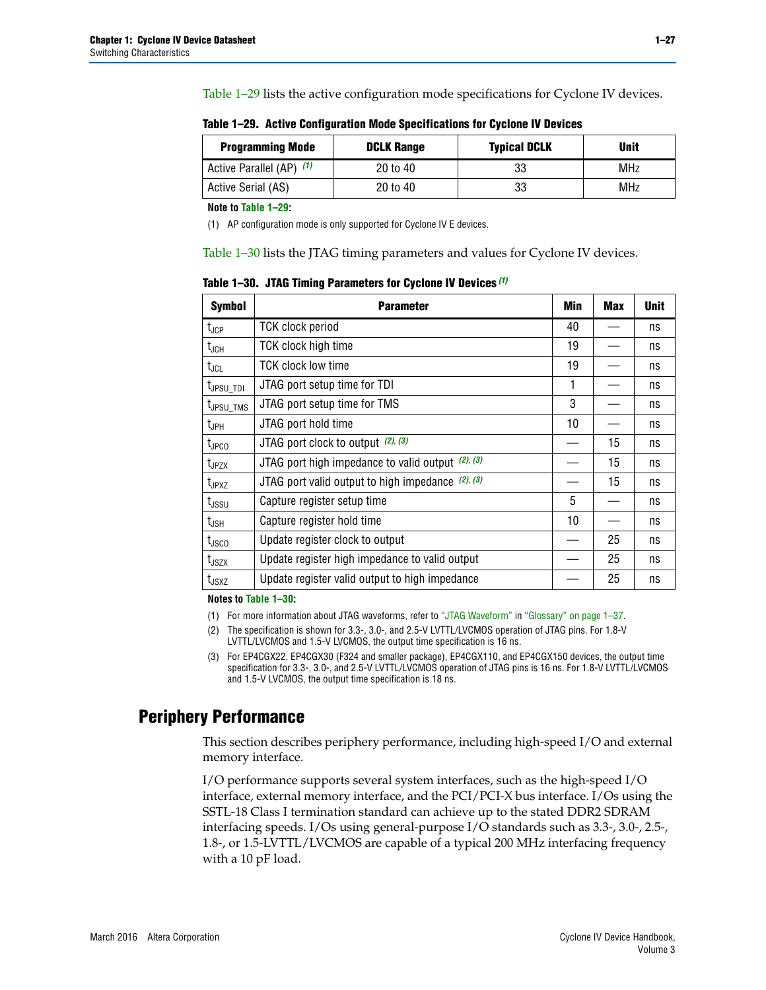[Table 1–29](#page-26-0) lists the active configuration mode specifications for Cyclone IV devices.

| <b>Programming Mode</b>  | <b>DCLK Range</b> | <b>Typical DCLK</b> | <b>Unit</b> |
|--------------------------|-------------------|---------------------|-------------|
| Active Parallel (AP) (1) | 20 to 40          | 33                  | <b>MHz</b>  |
| Active Serial (AS)       | 20 to 40          | 33                  | MHz         |

<span id="page-26-0"></span>**Table 1–29. Active Configuration Mode Specifications for Cyclone IV Devices**

**Note to [Table 1–29:](#page-26-0)**

<span id="page-26-1"></span>(1) AP configuration mode is only supported for Cyclone IV E devices.

[Table 1–30](#page-26-2) lists the JTAG timing parameters and values for Cyclone IV devices.

<span id="page-26-2"></span>**Table 1–30. JTAG Timing Parameters for Cyclone IV Devices** *[\(1\)](#page-26-3)*

| <b>Symbol</b>         | <b>Parameter</b>                                       | Min | <b>Max</b> | <b>Unit</b> |
|-----------------------|--------------------------------------------------------|-----|------------|-------------|
| $t_{\text{JCP}}$      | <b>TCK clock period</b>                                | 40  |            | ns          |
| $t_{\sf JCH}$         | TCK clock high time                                    | 19  |            | ns          |
| $t_{JCL}$             | <b>TCK clock low time</b>                              | 19  |            | ns          |
| t <sub>JPSU_TDI</sub> | JTAG port setup time for TDI                           | 1   |            | ns          |
| t <sub>JPSU_TMS</sub> | JTAG port setup time for TMS                           | 3   |            | ns          |
| $t_{\mathsf{JPH}}$    | JTAG port hold time                                    | 10  |            | ns          |
| t <sub>JPCO</sub>     | JTAG port clock to output (2), (3)                     |     | 15         | ns          |
| $t_{JPZX}$            | JTAG port high impedance to valid output $(2)$ , $(3)$ |     | 15         | ns          |
| t <sub>JPXZ</sub>     | JTAG port valid output to high impedance $(2)$ , $(3)$ |     | 15         | ns          |
| $t_{\rm JSSU}$        | Capture register setup time                            | 5   |            | ns          |
| $t_{\mathsf{JSH}}$    | Capture register hold time                             | 10  |            | ns          |
| $t_{\rm JSCO}$        | Update register clock to output                        |     | 25         | ns          |
| $t_{\text{JSZX}}$     | Update register high impedance to valid output         |     | 25         | ns          |
| t <sub>JSXZ</sub>     | Update register valid output to high impedance         |     | 25         | ns          |

**Notes to [Table 1–30:](#page-26-2)**

<span id="page-26-3"></span>(1) For more information about JTAG waveforms, refer to ["JTAG Waveform"](#page-37-0) in ["Glossary" on page 1–37](#page-36-1).

<span id="page-26-4"></span>(2) The specification is shown for 3.3-, 3.0-, and 2.5-V LVTTL/LVCMOS operation of JTAG pins. For 1.8-V LVTTL/LVCMOS and 1.5-V LVCMOS, the output time specification is 16 ns.

<span id="page-26-5"></span>(3) For EP4CGX22, EP4CGX30 (F324 and smaller package), EP4CGX110, and EP4CGX150 devices, the output time specification for 3.3-, 3.0-, and 2.5-V LVTTL/LVCMOS operation of JTAG pins is 16 ns. For 1.8-V LVTTL/LVCMOS and 1.5-V LVCMOS, the output time specification is 18 ns.

## **Periphery Performance**

This section describes periphery performance, including high-speed I/O and external memory interface.

I/O performance supports several system interfaces, such as the high-speed I/O interface, external memory interface, and the PCI/PCI-X bus interface. I/Os using the SSTL-18 Class I termination standard can achieve up to the stated DDR2 SDRAM interfacing speeds. I/Os using general-purpose I/O standards such as 3.3-, 3.0-, 2.5-, 1.8-, or 1.5-LVTTL/LVCMOS are capable of a typical 200 MHz interfacing frequency with a 10 pF load.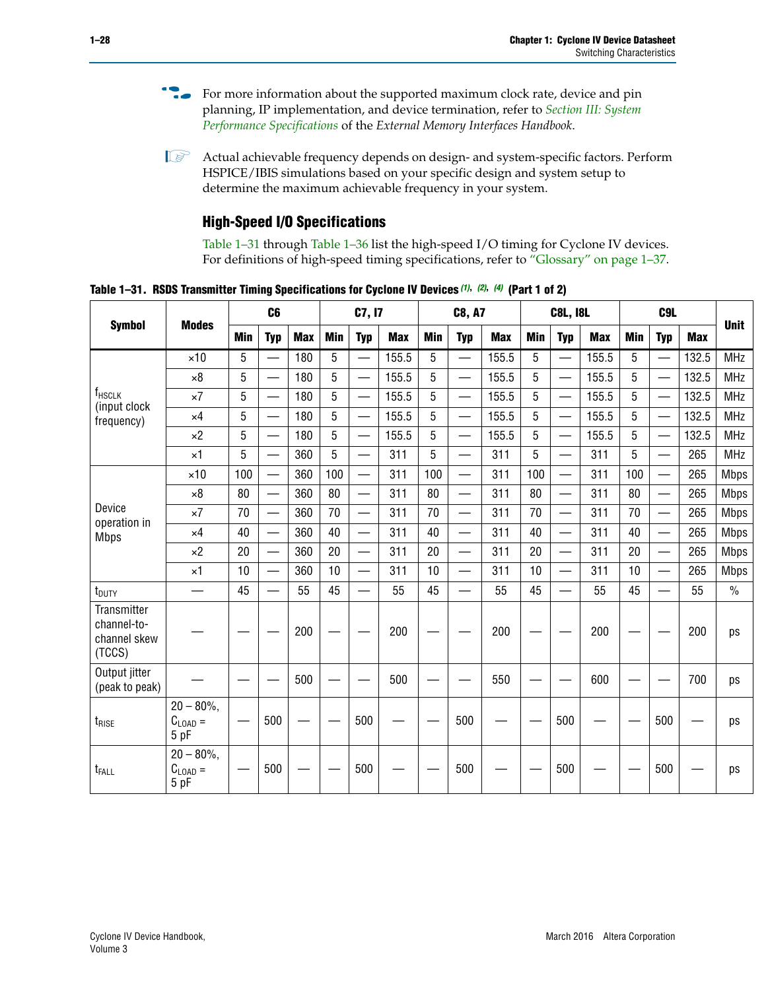- For more information about the supported maximum clock rate, device and pin planning, IP implementation, and device termination, refer to *[Section III: System](http://www.altera.com/literature/hb/external-memory/emi_intro_specs.pdf)  [Performance Specifications](http://www.altera.com/literature/hb/external-memory/emi_intro_specs.pdf)* of the *External Memory Interfaces Handbook*.
- **1 Actual achievable frequency depends on design- and system-specific factors. Perform** HSPICE/IBIS simulations based on your specific design and system setup to determine the maximum achievable frequency in your system.

## **High-Speed I/O Specifications**

[Table 1–31](#page-27-0) through [Table 1–36](#page-31-0) list the high-speed I/O timing for Cyclone IV devices. For definitions of high-speed timing specifications, refer to ["Glossary" on page 1–37.](#page-36-1)

<span id="page-27-0"></span>**Table 1–31. RSDS Transmitter Timing Specifications for Cyclone IV Devices** *[\(1\)](#page-28-0)***,** *[\(2\)](#page-28-1)***,** *[\(4\)](#page-28-2)* **(Part 1 of 2)**

|                                                             |                                     |     | C <sub>6</sub>           |            |            | C7, I7                   |            |            | <b>C8, A7</b>            |            | <b>C8L, I8L</b> |                          |            | C <sub>9</sub> L |                          |            | <b>Unit</b>   |
|-------------------------------------------------------------|-------------------------------------|-----|--------------------------|------------|------------|--------------------------|------------|------------|--------------------------|------------|-----------------|--------------------------|------------|------------------|--------------------------|------------|---------------|
| <b>Symbol</b>                                               | <b>Modes</b>                        | Min | <b>Typ</b>               | <b>Max</b> | <b>Min</b> | <b>Typ</b>               | <b>Max</b> | <b>Min</b> | <b>Typ</b>               | <b>Max</b> | <b>Min</b>      | <b>Typ</b>               | <b>Max</b> | <b>Min</b>       | <b>Typ</b>               | <b>Max</b> |               |
|                                                             | $\times$ 10                         | 5   |                          | 180        | 5          |                          | 155.5      | 5          | $\overline{\phantom{0}}$ | 155.5      | 5               |                          | 155.5      | 5                |                          | 132.5      | <b>MHz</b>    |
|                                                             | $\times 8$                          | 5   |                          | 180        | 5          | $\overline{\phantom{0}}$ | 155.5      | 5          | $\overline{\phantom{0}}$ | 155.5      | 5               | $\overline{\phantom{0}}$ | 155.5      | 5                | $\overline{\phantom{0}}$ | 132.5      | <b>MHz</b>    |
| f <sub>HSCLK</sub><br>(input clock                          | $\times 7$                          | 5   | —                        | 180        | 5          | $\overline{\phantom{0}}$ | 155.5      | 5          | $\overline{\phantom{0}}$ | 155.5      | 5               | $\overline{\phantom{0}}$ | 155.5      | 5                | —                        | 132.5      | <b>MHz</b>    |
| frequency)                                                  | $\times$ 4                          | 5   |                          | 180        | 5          | ÷,                       | 155.5      | 5          | $\overline{\phantom{0}}$ | 155.5      | 5               | $\overline{\phantom{0}}$ | 155.5      | 5                | $\overline{\phantom{0}}$ | 132.5      | <b>MHz</b>    |
|                                                             | $\times 2$                          | 5   |                          | 180        | 5          |                          | 155.5      | 5          | $\overline{\phantom{0}}$ | 155.5      | 5               | $\overline{\phantom{0}}$ | 155.5      | 5                | —                        | 132.5      | <b>MHz</b>    |
|                                                             | $\times$ 1                          | 5   |                          | 360        | 5          |                          | 311        | 5          | $\overline{\phantom{0}}$ | 311        | 5               | $\overline{\phantom{0}}$ | 311        | 5                | $\overline{\phantom{0}}$ | 265        | <b>MHz</b>    |
|                                                             | $\times$ 10                         | 100 |                          | 360        | 100        |                          | 311        | 100        | $\overline{\phantom{0}}$ | 311        | 100             | $\overline{\phantom{0}}$ | 311        | 100              | $\overline{\phantom{0}}$ | 265        | <b>Mbps</b>   |
|                                                             | $\times 8$                          | 80  | $\qquad \qquad$          | 360        | 80         |                          | 311        | 80         | $\overline{\phantom{0}}$ | 311        | 80              | $\qquad \qquad$          | 311        | 80               | $\overline{\phantom{0}}$ | 265        | <b>Mbps</b>   |
| Device<br>operation in                                      | $\times 7$                          | 70  |                          | 360        | 70         | $\overline{\phantom{0}}$ | 311        | 70         | $\overline{\phantom{0}}$ | 311        | 70              |                          | 311        | 70               | $\overline{\phantom{0}}$ | 265        | <b>Mbps</b>   |
| <b>Mbps</b>                                                 | $\times$ 4                          | 40  |                          | 360        | 40         |                          | 311        | 40         | $\overline{\phantom{0}}$ | 311        | 40              |                          | 311        | 40               | $\overline{\phantom{0}}$ | 265        | <b>Mbps</b>   |
|                                                             | $\times 2$                          | 20  | $\qquad \qquad$          | 360        | 20         | $\equiv$                 | 311        | 20         | $\overline{\phantom{0}}$ | 311        | 20              |                          | 311        | 20               | $\overline{\phantom{0}}$ | 265        | <b>Mbps</b>   |
|                                                             | $\times$ 1                          | 10  | $\overline{\phantom{0}}$ | 360        | 10         |                          | 311        | 10         | $\overline{\phantom{0}}$ | 311        | 10              |                          | 311        | 10               |                          | 265        | <b>Mbps</b>   |
| t <sub>DUTY</sub>                                           | $\overline{\phantom{0}}$            | 45  | $\overline{\phantom{0}}$ | 55         | 45         |                          | 55         | 45         | $\overline{\phantom{0}}$ | 55         | 45              | $\equiv$                 | 55         | 45               |                          | 55         | $\frac{0}{0}$ |
| <b>Transmitter</b><br>channel-to-<br>channel skew<br>(TCCS) |                                     |     |                          | 200        |            |                          | 200        |            |                          | 200        |                 |                          | 200        |                  |                          | 200        | ps            |
| Output jitter<br>(peak to peak)                             |                                     |     |                          | 500        |            |                          | 500        |            |                          | 550        |                 |                          | 600        |                  |                          | 700        | ps            |
| t <sub>rise</sub>                                           | $20 - 80\%$<br>$C_{LOAD} =$<br>5 pF |     | 500                      |            |            | 500                      |            |            | 500                      |            |                 | 500                      |            |                  | 500                      |            | ps            |
| t <sub>FALL</sub>                                           | $20 - 80\%$<br>$C_{LOAD} =$<br>5 pF |     | 500                      |            |            | 500                      |            |            | 500                      |            |                 | 500                      |            |                  | 500                      |            | ps            |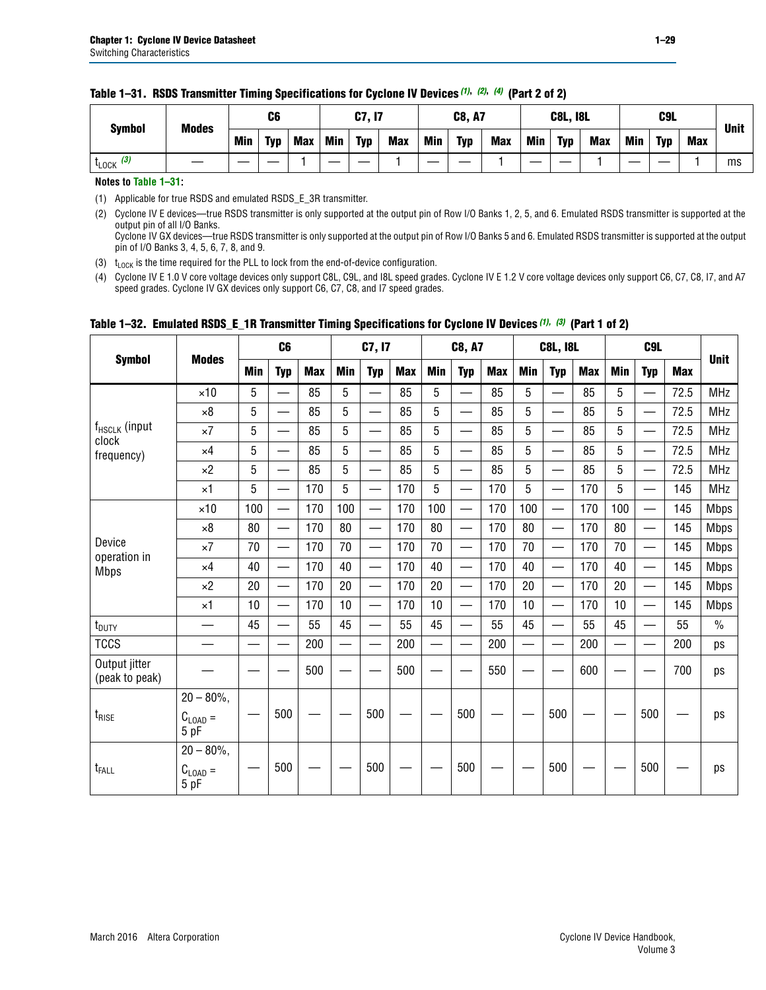| <b>Symbol</b>         | <b>Modes</b> | C6         |            |            | C7, I7     |            |            | <b>C8, A7</b> |            |            |            | <b>C8L, I8L</b> |            | C <sub>9</sub> L |            |            | <b>Unit</b> |
|-----------------------|--------------|------------|------------|------------|------------|------------|------------|---------------|------------|------------|------------|-----------------|------------|------------------|------------|------------|-------------|
|                       |              | <b>Min</b> | <b>Typ</b> | <b>Max</b> | <b>Min</b> | <b>Typ</b> | <b>Max</b> | <b>Min</b>    | <b>Typ</b> | <b>Max</b> | <b>Min</b> | <b>Typ</b>      | <b>Max</b> | Min              | <b>Typ</b> | <b>Max</b> |             |
| $t_{\text{LOCK}}$ (3) |              |            |            |            |            |            |            |               |            |            |            |                 |            |                  |            |            | ms          |

#### **Table 1–31. RSDS Transmitter Timing Specifications for Cyclone IV Devices** *(1)***,** *(2)***,** *(4)* **(Part 2 of 2)**

**Notes to [Table 1–31:](#page-27-0)**

<span id="page-28-0"></span>(1) Applicable for true RSDS and emulated RSDS\_E\_3R transmitter.

<span id="page-28-1"></span>(2) Cyclone IV E devices—true RSDS transmitter is only supported at the output pin of Row I/O Banks 1, 2, 5, and 6. Emulated RSDS transmitter is supported at the output pin of all I/O Banks. Cyclone IV GX devices—true RSDS transmitter is only supported at the output pin of Row I/O Banks 5 and 6. Emulated RSDS transmitter is supported at the output

pin of I/O Banks 3, 4, 5, 6, 7, 8, and 9. (3)  $t_{\text{LOCK}}$  is the time required for the PLL to lock from the end-of-device configuration.

<span id="page-28-3"></span><span id="page-28-2"></span>(4) Cyclone IV E 1.0 V core voltage devices only support C8L, C9L, and I8L speed grades. Cyclone IV E 1.2 V core voltage devices only support C6, C7, C8, I7, and A7 speed grades. Cyclone IV GX devices only support C6, C7, C8, and I7 speed grades.

|                                 |                             |            | C <sub>6</sub>           |            |                          | C7, I7                   |            |                | C8, A7                   |            |            | <b>C8L, I8L</b>          |            | C <sub>9L</sub> |                          |            |               |
|---------------------------------|-----------------------------|------------|--------------------------|------------|--------------------------|--------------------------|------------|----------------|--------------------------|------------|------------|--------------------------|------------|-----------------|--------------------------|------------|---------------|
| <b>Symbol</b>                   | <b>Modes</b>                | <b>Min</b> | <b>Typ</b>               | <b>Max</b> | <b>Min</b>               | <b>Typ</b>               | <b>Max</b> | <b>Min</b>     | <b>Typ</b>               | <b>Max</b> | <b>Min</b> | <b>Typ</b>               | <b>Max</b> | <b>Min</b>      | <b>Typ</b>               | <b>Max</b> | <b>Unit</b>   |
|                                 | $\times$ 10                 | 5          |                          | 85         | 5                        | —                        | 85         | 5              | $\overline{\phantom{0}}$ | 85         | 5          | —                        | 85         | 5               | $\overline{\phantom{0}}$ | 72.5       | <b>MHz</b>    |
|                                 | $\times 8$                  | 5          | $\overline{\phantom{0}}$ | 85         | 5                        | $\overline{\phantom{0}}$ | 85         | 5              | $\overline{\phantom{0}}$ | 85         | 5          |                          | 85         | 5               |                          | 72.5       | <b>MHz</b>    |
| f <sub>HSCLK</sub> (input       | $\times 7$                  | 5          |                          | 85         | 5                        | $\sim$                   | 85         | 5              | $\overline{\phantom{0}}$ | 85         | 5          | $\overline{\phantom{0}}$ | 85         | 5               |                          | 72.5       | <b>MHz</b>    |
| clock<br>frequency)             | $\times$ 4                  | 5          | $\equiv$                 | 85         | 5                        | $\overline{\phantom{0}}$ | 85         | 5              | $\overline{\phantom{0}}$ | 85         | 5          | $\overline{\phantom{0}}$ | 85         | 5               |                          | 72.5       | <b>MHz</b>    |
|                                 | $\times 2$                  | 5          |                          | 85         | 5                        |                          | 85         | 5              |                          | 85         | 5          | —                        | 85         | 5               |                          | 72.5       | <b>MHz</b>    |
|                                 | $\times$ 1                  | 5          | $\overline{\phantom{0}}$ | 170        | 5                        | $\overline{\phantom{0}}$ | 170        | $\overline{5}$ | $\overline{\phantom{0}}$ | 170        | 5          | $\overline{\phantom{0}}$ | 170        | 5               | —                        | 145        | <b>MHz</b>    |
|                                 | $\times$ 10                 | 100        | $\overline{\phantom{0}}$ | 170        | 100                      |                          | 170        | 100            | $\qquad \qquad$          | 170        | 100        |                          | 170        | 100             |                          | 145        | <b>Mbps</b>   |
|                                 | $\times 8$                  | 80         | $\overline{\phantom{0}}$ | 170        | 80                       | $\overline{\phantom{0}}$ | 170        | 80             | $\overline{\phantom{0}}$ | 170        | 80         |                          | 170        | 80              | $\overline{\phantom{0}}$ | 145        | <b>Mbps</b>   |
| Device                          | $\times 7$                  | 70         | $\overline{\phantom{0}}$ | 170        | 70                       | $\overline{\phantom{0}}$ | 170        | 70             |                          | 170        | 70         |                          | 170        | 70              |                          | 145        | <b>Mbps</b>   |
| operation in<br><b>Mbps</b>     | $\times$ 4                  | 40         |                          | 170        | 40                       | $\overline{\phantom{0}}$ | 170        | 40             | $\overline{\phantom{0}}$ | 170        | 40         | $\overline{\phantom{0}}$ | 170        | 40              |                          | 145        | <b>Mbps</b>   |
|                                 | $\times 2$                  | 20         | $\equiv$                 | 170        | 20                       | $\equiv$                 | 170        | 20             | $\overline{\phantom{0}}$ | 170        | 20         |                          | 170        | 20              |                          | 145        | <b>Mbps</b>   |
|                                 | $\times$ 1                  | 10         | $\equiv$                 | 170        | 10                       |                          | 170        | 10             | $\overline{\phantom{0}}$ | 170        | 10         | $\overline{\phantom{0}}$ | 170        | 10              |                          | 145        | <b>Mbps</b>   |
| t <sub>DUTY</sub>               |                             | 45         |                          | 55         | 45                       |                          | 55         | 45             |                          | 55         | 45         | —                        | 55         | 45              |                          | 55         | $\frac{0}{0}$ |
| <b>TCCS</b>                     | $\overline{\phantom{0}}$    |            | —                        | 200        | $\overline{\phantom{0}}$ |                          | 200        | —              |                          | 200        |            | —                        | 200        | —               |                          | 200        | ps            |
| Output jitter<br>(peak to peak) |                             |            |                          | 500        |                          |                          | 500        |                |                          | 550        |            |                          | 600        |                 |                          | 700        | ps            |
|                                 | $20 - 80\%$ ,               |            |                          |            |                          |                          |            |                |                          |            |            |                          |            |                 |                          |            |               |
| $t_{\sf RISE}$                  | $C_{\text{LOAD}} =$<br>5 pF |            | 500                      |            |                          | 500                      |            |                | 500                      |            |            | 500                      |            |                 | 500                      |            | ps            |
|                                 | $20 - 80\%$ ,               |            |                          |            |                          |                          |            |                |                          |            |            |                          |            |                 |                          |            |               |
| t <sub>FALL</sub>               | $C_{LOAD}$ =<br>5 pF        |            | 500                      |            |                          | 500                      |            |                | 500                      |            |            | 500                      |            |                 | 500                      |            | ps            |

## <span id="page-28-4"></span>**Table 1–32. Emulated RSDS\_E\_1R Transmitter Timing Specifications for Cyclone IV Devices** *[\(1\)](#page-29-0), [\(3\)](#page-29-1)* **(Part 1 of 2)**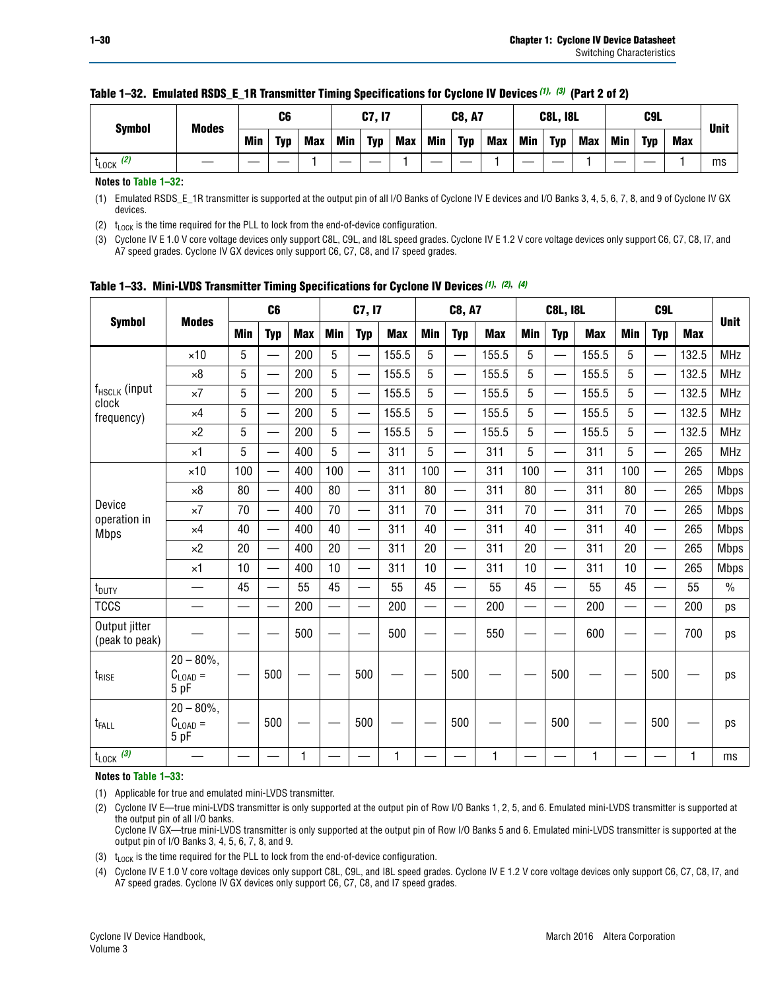|                       | <b>Modes</b><br><b>Symbol</b> |            | C6  |     | C7, I7     |            | <b>C8, A7</b> |            | <b>C8L, I8L</b> |            |            | C <sub>9</sub> L |     |            |     |             |    |
|-----------------------|-------------------------------|------------|-----|-----|------------|------------|---------------|------------|-----------------|------------|------------|------------------|-----|------------|-----|-------------|----|
|                       | Min                           | <b>Typ</b> | Max | Min | <b>Typ</b> | <b>Max</b> | Min           | <b>Typ</b> | Max             | <b>Min</b> | <b>Typ</b> | <b>Max</b>       | Min | <b>Typ</b> | Max | <b>Unit</b> |    |
| $t_{\text{LOCK}}$ (2) |                               |            |     |     |            |            |               |            |                 |            |            |                  |     |            |     |             | ms |

### **Table 1–32. Emulated RSDS\_E\_1R Transmitter Timing Specifications for Cyclone IV Devices** *(1), (3)* **(Part 2 of 2)**

**Notes to [Table 1–32:](#page-28-4)**

<span id="page-29-0"></span>(1) Emulated RSDS\_E\_1R transmitter is supported at the output pin of all I/O Banks of Cyclone IV E devices and I/O Banks 3, 4, 5, 6, 7, 8, and 9 of Cyclone IV GX devices.

<span id="page-29-2"></span>(2)  $t_{\text{LOCK}}$  is the time required for the PLL to lock from the end-of-device configuration.

<span id="page-29-1"></span>(3) Cyclone IV E 1.0 V core voltage devices only support C8L, C9L, and I8L speed grades. Cyclone IV E 1.2 V core voltage devices only support C6, C7, C8, I7, and A7 speed grades. Cyclone IV GX devices only support C6, C7, C8, and I7 speed grades.

|                                    |                                              |     | C <sub>6</sub>                |            |            | C7, I7                   |            |            | C8, A7                   |            |     | <b>C8L, I8L</b>          |            |            | C <sub>9</sub> L |            |               |
|------------------------------------|----------------------------------------------|-----|-------------------------------|------------|------------|--------------------------|------------|------------|--------------------------|------------|-----|--------------------------|------------|------------|------------------|------------|---------------|
| <b>Symbol</b>                      | <b>Modes</b>                                 | Min | <b>Typ</b>                    | <b>Max</b> | <b>Min</b> | <b>Typ</b>               | <b>Max</b> | <b>Min</b> | <b>Typ</b>               | <b>Max</b> | Min | <b>Typ</b>               | <b>Max</b> | <b>Min</b> | <b>Typ</b>       | <b>Max</b> | <b>Unit</b>   |
|                                    | $\times$ 10                                  | 5   | $\overbrace{\phantom{aaaaa}}$ | 200        | 5          | —                        | 155.5      | 5          | —                        | 155.5      | 5   | $\overline{\phantom{0}}$ | 155.5      | 5          | —                | 132.5      | <b>MHz</b>    |
|                                    | $\times 8$                                   | 5   |                               | 200        | 5          | —                        | 155.5      | 5          | $\qquad \qquad$          | 155.5      | 5   | —                        | 155.5      | 5          |                  | 132.5      | <b>MHz</b>    |
| f <sub>HSCLK</sub> (input<br>clock | $\times 7$                                   | 5   | $\overline{\phantom{0}}$      | 200        | 5          | —                        | 155.5      | 5          | $\overline{\phantom{0}}$ | 155.5      | 5   | $\overline{\phantom{0}}$ | 155.5      | 5          | —                | 132.5      | <b>MHz</b>    |
| frequency)                         | $\times 4$                                   | 5   | $\overline{\phantom{0}}$      | 200        | 5          | ÷,                       | 155.5      | 5          | $\overline{\phantom{0}}$ | 155.5      | 5   | —                        | 155.5      | 5          | <u>—</u>         | 132.5      | <b>MHz</b>    |
|                                    | $\times 2$                                   | 5   | $\overline{\phantom{0}}$      | 200        | 5          | —                        | 155.5      | 5          | $\overline{\phantom{0}}$ | 155.5      | 5   | $\overline{\phantom{0}}$ | 155.5      | 5          | <u>—</u>         | 132.5      | <b>MHz</b>    |
|                                    | $\times$ 1                                   | 5   | $\overline{\phantom{0}}$      | 400        | 5          |                          | 311        | 5          | $\overline{\phantom{0}}$ | 311        | 5   | —                        | 311        | 5          |                  | 265        | <b>MHz</b>    |
|                                    | $\times$ 10                                  | 100 |                               | 400        | 100        |                          | 311        | 100        | $\overline{\phantom{0}}$ | 311        | 100 |                          | 311        | 100        |                  | 265        | <b>Mbps</b>   |
|                                    | $\times 8$                                   | 80  | $\overline{\phantom{0}}$      | 400        | 80         |                          | 311        | 80         | $\qquad \qquad$          | 311        | 80  | $\overline{\phantom{0}}$ | 311        | 80         |                  | 265        | <b>Mbps</b>   |
| Device                             | $\times 7$                                   | 70  |                               | 400        | 70         |                          | 311        | 70         | $\overline{\phantom{0}}$ | 311        | 70  |                          | 311        | 70         |                  | 265        | <b>Mbps</b>   |
| operation in<br><b>Mbps</b>        | $\times$ 4                                   | 40  | $\qquad \qquad$               | 400        | 40         |                          | 311        | 40         | —                        | 311        | 40  |                          | 311        | 40         |                  | 265        | <b>Mbps</b>   |
|                                    | $\times 2$                                   | 20  | $\overline{\phantom{0}}$      | 400        | 20         | —                        | 311        | 20         | $\overline{\phantom{0}}$ | 311        | 20  | $\overline{\phantom{0}}$ | 311        | 20         | —                | 265        | <b>Mbps</b>   |
|                                    | $\times$ 1                                   | 10  |                               | 400        | 10         | $\overline{\phantom{0}}$ | 311        | 10         | $\overline{\phantom{0}}$ | 311        | 10  |                          | 311        | 10         |                  | 265        | <b>Mbps</b>   |
| t <sub>DUTY</sub>                  |                                              | 45  |                               | 55         | 45         |                          | 55         | 45         | $\qquad \qquad$          | 55         | 45  | —                        | 55         | 45         |                  | 55         | $\frac{0}{0}$ |
| <b>TCCS</b>                        |                                              |     |                               | 200        |            |                          | 200        |            | —                        | 200        | —   |                          | 200        |            |                  | 200        | ps            |
| Output jitter<br>(peak to peak)    |                                              |     |                               | 500        |            |                          | 500        |            |                          | 550        |     |                          | 600        |            |                  | 700        | ps            |
| $t_{\text{RISE}}$                  | $20 - 80\%$ ,<br>$C_{\text{LOAD}} =$<br>5 pF |     | 500                           |            |            | 500                      |            |            | 500                      |            |     | 500                      |            |            | 500              |            | ps            |
| t <sub>FALL</sub>                  | $20 - 80\%$<br>$C_{LOAD} =$<br>5 pF          |     | 500                           |            |            | 500                      |            |            | 500                      |            |     | 500                      |            |            | 500              |            | ps            |
| $t_{\text{LOCK}}$ (3)              |                                              |     |                               | 1          |            |                          | 1          |            |                          | 1          |     |                          | 1          |            |                  |            | ms            |

<span id="page-29-6"></span>**Table 1–33. Mini-LVDS Transmitter Timing Specifications for Cyclone IV Devices** *[\(1\)](#page-29-3)***,** *[\(2\)](#page-29-4)***,** *[\(4\)](#page-29-7)*

**Notes to [Table 1–33:](#page-29-6)**

<span id="page-29-3"></span>(1) Applicable for true and emulated mini-LVDS transmitter.

<span id="page-29-4"></span>(2) Cyclone IV E—true mini-LVDS transmitter is only supported at the output pin of Row I/O Banks 1, 2, 5, and 6. Emulated mini-LVDS transmitter is supported at the output pin of all I/O banks.

Cyclone IV GX—true mini-LVDS transmitter is only supported at the output pin of Row I/O Banks 5 and 6. Emulated mini-LVDS transmitter is supported at the output pin of I/O Banks 3, 4, 5, 6, 7, 8, and 9.

<span id="page-29-5"></span>(3)  $t_{\text{LOCK}}$  is the time required for the PLL to lock from the end-of-device configuration.

<span id="page-29-7"></span>(4) Cyclone IV E 1.0 V core voltage devices only support C8L, C9L, and I8L speed grades. Cyclone IV E 1.2 V core voltage devices only support C6, C7, C8, I7, and A7 speed grades. Cyclone IV GX devices only support C6, C7, C8, and I7 speed grades.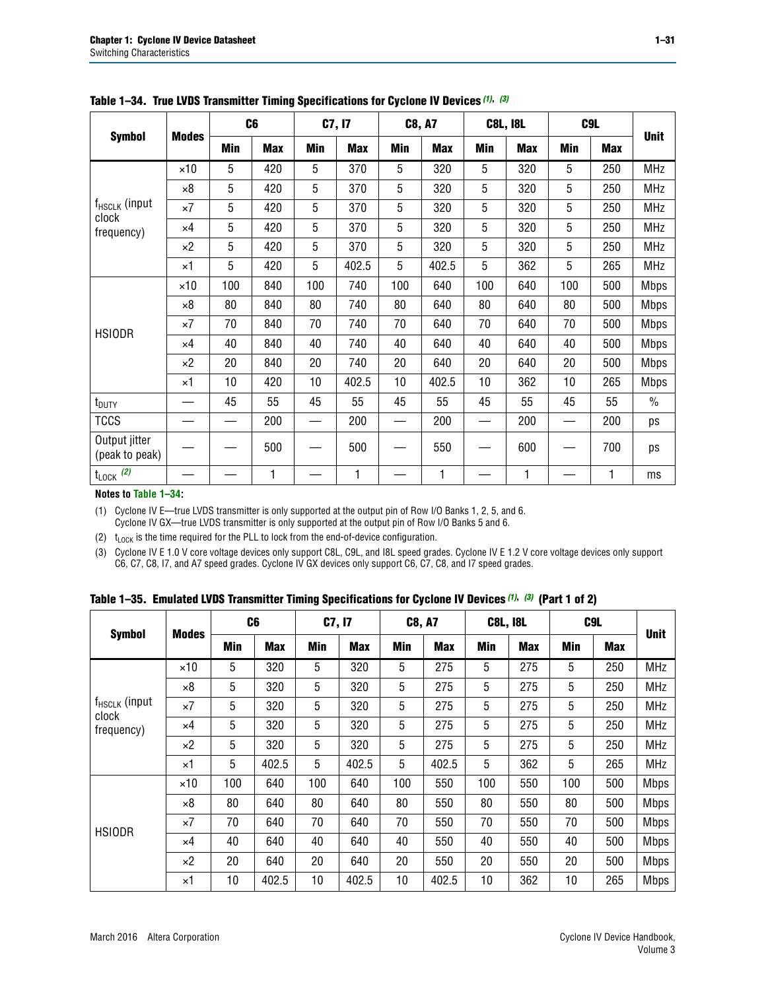|                                 |              |     | C <sub>6</sub> |     | C7, I7     |            | <b>C8, A7</b> |     | <b>C8L, I8L</b> |            | C9L        |               |
|---------------------------------|--------------|-----|----------------|-----|------------|------------|---------------|-----|-----------------|------------|------------|---------------|
| <b>Symbol</b>                   | <b>Modes</b> | Min | <b>Max</b>     | Min | <b>Max</b> | <b>Min</b> | <b>Max</b>    | Min | <b>Max</b>      | <b>Min</b> | <b>Max</b> | <b>Unit</b>   |
|                                 | $\times$ 10  | 5   | 420            | 5   | 370        | 5          | 320           | 5   | 320             | 5          | 250        | <b>MHz</b>    |
|                                 | $\times 8$   | 5   | 420            | 5   | 370        | 5          | 320           | 5   | 320             | 5          | 250        | <b>MHz</b>    |
| $f_{HSCLK}$ (input              | $\times 7$   | 5   | 420            | 5   | 370        | 5          | 320           | 5   | 320             | 5          | 250        | <b>MHz</b>    |
| clock<br>frequency)             | $\times 4$   | 5   | 420            | 5   | 370        | 5          | 320           | 5   | 320             | 5          | 250        | <b>MHz</b>    |
|                                 | $\times 2$   | 5   | 420            | 5   | 370        | 5          | 320           | 5   | 320             | 5          | 250        | <b>MHz</b>    |
|                                 | $\times$ 1   | 5   | 420            | 5   | 402.5      | 5          | 402.5         | 5   | 362             | 5          | 265        | <b>MHz</b>    |
|                                 | $\times$ 10  | 100 | 840            | 100 | 740        | 100        | 640           | 100 | 640             | 100        | 500        | Mbps          |
|                                 | $\times 8$   | 80  | 840            | 80  | 740        | 80         | 640           | 80  | 640             | 80         | 500        | <b>Mbps</b>   |
| <b>HSIODR</b>                   | $\times 7$   | 70  | 840            | 70  | 740        | 70         | 640           | 70  | 640             | 70         | 500        | <b>Mbps</b>   |
|                                 | $\times$ 4   | 40  | 840            | 40  | 740        | 40         | 640           | 40  | 640             | 40         | 500        | <b>Mbps</b>   |
|                                 | $\times 2$   | 20  | 840            | 20  | 740        | 20         | 640           | 20  | 640             | 20         | 500        | <b>Mbps</b>   |
|                                 | $\times$ 1   | 10  | 420            | 10  | 402.5      | 10         | 402.5         | 10  | 362             | 10         | 265        | <b>Mbps</b>   |
| t <sub>DUTY</sub>               |              | 45  | 55             | 45  | 55         | 45         | 55            | 45  | 55              | 45         | 55         | $\frac{0}{0}$ |
| <b>TCCS</b>                     |              | —   | 200            |     | 200        |            | 200           | —   | 200             |            | 200        | ps            |
| Output jitter<br>(peak to peak) |              |     | 500            |     | 500        |            | 550           |     | 600             |            | 700        | ps            |
| $t_{\text{LOCK}}$ (2)<br>.      |              |     | 1              |     | 1          |            | 1             |     | 1               |            | 1          | ms            |

<span id="page-30-3"></span>**Table 1–34. True LVDS Transmitter Timing Specifications for Cyclone IV Devices** *[\(1\)](#page-30-0)***,** *[\(3\)](#page-30-1)*

**Notes to [Table 1–34:](#page-30-3)**

<span id="page-30-0"></span>(1) Cyclone IV E—true LVDS transmitter is only supported at the output pin of Row I/O Banks 1, 2, 5, and 6. Cyclone IV GX—true LVDS transmitter is only supported at the output pin of Row I/O Banks 5 and 6.

<span id="page-30-2"></span>(2)  $t_{\text{LOCK}}$  is the time required for the PLL to lock from the end-of-device configuration.

<span id="page-30-1"></span>(3) Cyclone IV E 1.0 V core voltage devices only support C8L, C9L, and I8L speed grades. Cyclone IV E 1.2 V core voltage devices only support C6, C7, C8, I7, and A7 speed grades. Cyclone IV GX devices only support C6, C7, C8, and I7 speed grades.

<span id="page-30-4"></span>

|  |  |  |  | Table 1–35. Emulated LVDS Transmitter Timing Specifications for Cyclone IV Devices <sup>(1),</sup> <sup>(3)</sup> (Part 1 of 2) |  |  |
|--|--|--|--|---------------------------------------------------------------------------------------------------------------------------------|--|--|
|--|--|--|--|---------------------------------------------------------------------------------------------------------------------------------|--|--|

| <b>Symbol</b>               |              | C <sub>6</sub> |            | C7, I7     |            | <b>C8, A7</b> |            | <b>C8L, I8L</b> |            |            | C <sub>9</sub> L |             |
|-----------------------------|--------------|----------------|------------|------------|------------|---------------|------------|-----------------|------------|------------|------------------|-------------|
|                             | <b>Modes</b> | Min            | <b>Max</b> | <b>Min</b> | <b>Max</b> | <b>Min</b>    | <b>Max</b> | <b>Min</b>      | <b>Max</b> | <b>Min</b> | <b>Max</b>       | <b>Unit</b> |
|                             | $\times$ 10  | 5              | 320        | 5          | 320        | 5             | 275        | 5               | 275        | 5          | 250              | <b>MHz</b>  |
|                             | $\times 8$   | 5              | 320        | 5          | 320        | 5             | 275        | 5               | 275        | 5          | 250              | <b>MHz</b>  |
| $f_{HSCLK}$ (input<br>clock | $\times 7$   | 5              | 320        | 5          | 320        | 5             | 275        | 5               | 275        | 5          | 250              | <b>MHz</b>  |
| frequency)                  | $\times$ 4   | 5              | 320        | 5          | 320        | 5             | 275        | 5               | 275        | 5          | 250              | <b>MHz</b>  |
|                             | $\times 2$   | 5              | 320        | 5          | 320        | 5             | 275        | 5               | 275        | 5          | 250              | <b>MHz</b>  |
|                             | $\times$ 1   | 5              | 402.5      | 5          | 402.5      | 5             | 402.5      | 5               | 362        | 5          | 265              | <b>MHz</b>  |
|                             | $\times$ 10  | 100            | 640        | 100        | 640        | 100           | 550        | 100             | 550        | 100        | 500              | <b>Mbps</b> |
|                             | $\times 8$   | 80             | 640        | 80         | 640        | 80            | 550        | 80              | 550        | 80         | 500              | <b>Mbps</b> |
| <b>HSIODR</b>               | $\times 7$   | 70             | 640        | 70         | 640        | 70            | 550        | 70              | 550        | 70         | 500              | <b>Mbps</b> |
|                             | $\times$ 4   | 40             | 640        | 40         | 640        | 40            | 550        | 40              | 550        | 40         | 500              | <b>Mbps</b> |
|                             | $\times 2$   | 20             | 640        | 20         | 640        | 20            | 550        | 20              | 550        | 20         | 500              | <b>Mbps</b> |
|                             | $\times$ 1   | 10             | 402.5      | 10         | 402.5      | 10            | 402.5      | 10              | 362        | 10         | 265              | <b>Mbps</b> |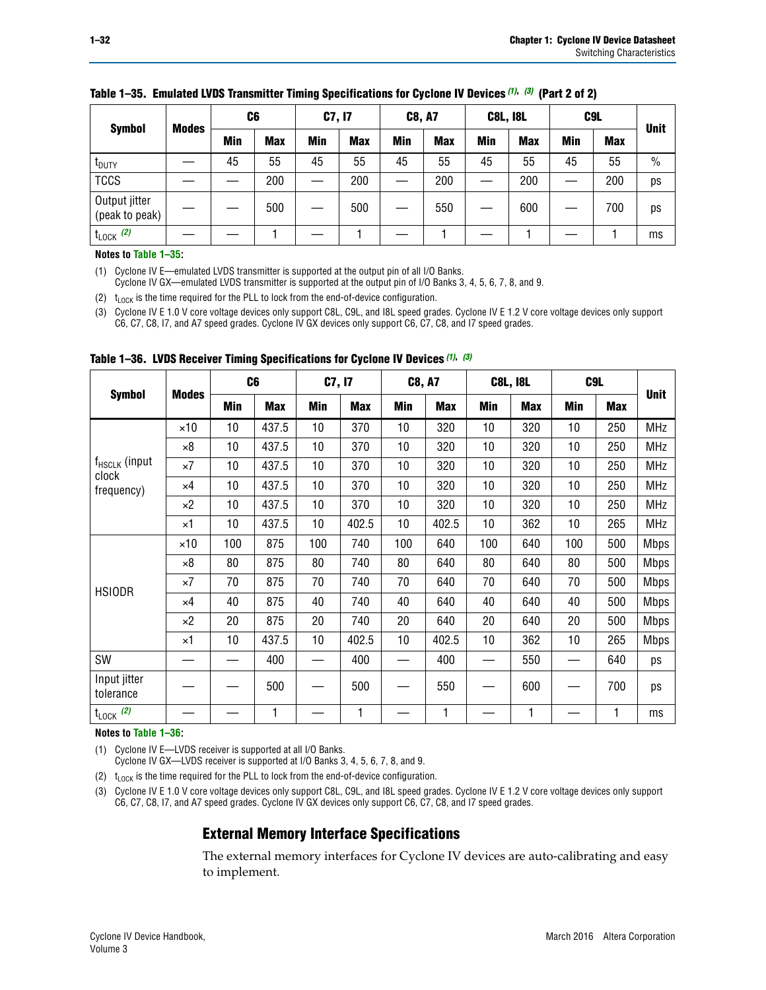| <b>Symbol</b>                   | <b>Modes</b> | C6  |            | C7, I7 |            | <b>C8, A7</b> |            | <b>C8L, I8L</b> |            |     | C <sub>9</sub> L | <b>Unit</b>   |
|---------------------------------|--------------|-----|------------|--------|------------|---------------|------------|-----------------|------------|-----|------------------|---------------|
|                                 |              | Min | <b>Max</b> | Min    | <b>Max</b> | Min           | <b>Max</b> | Min             | <b>Max</b> | Min | <b>Max</b>       |               |
| <b>I</b> <sub>DUTY</sub>        |              | 45  | 55         | 45     | 55         | 45            | 55         | 45              | 55         | 45  | 55               | $\frac{0}{0}$ |
| <b>TCCS</b>                     |              |     | 200        |        | 200        |               | 200        |                 | 200        | —   | 200              | ps            |
| Output jitter<br>(peak to peak) |              |     | 500        |        | 500        |               | 550        |                 | 600        |     | 700              | ps            |
| $t_{\text{LOCK}}$ (2)           |              |     |            |        |            |               |            |                 |            |     |                  | ms            |

### **Table 1–35. Emulated LVDS Transmitter Timing Specifications for Cyclone IV Devices** *(1)***,** *(3)* **(Part 2 of 2)**

#### **Notes to [Table 1–35:](#page-30-4)**

<span id="page-31-1"></span>(1) Cyclone IV E—emulated LVDS transmitter is supported at the output pin of all I/O Banks.

Cyclone IV GX—emulated LVDS transmitter is supported at the output pin of I/O Banks 3, 4, 5, 6, 7, 8, and 9.

<span id="page-31-3"></span>(2)  $t_{\text{LOCK}}$  is the time required for the PLL to lock from the end-of-device configuration.

<span id="page-31-2"></span>(3) Cyclone IV E 1.0 V core voltage devices only support C8L, C9L, and I8L speed grades. Cyclone IV E 1.2 V core voltage devices only support C6, C7, C8, I7, and A7 speed grades. Cyclone IV GX devices only support C6, C7, C8, and I7 speed grades.

|                           |              |     | C <sub>6</sub> | <b>C7, I7</b> |            | <b>C8, A7</b> |            |     | <b>C8L, I8L</b> | C <sub>9</sub> L |     |             |
|---------------------------|--------------|-----|----------------|---------------|------------|---------------|------------|-----|-----------------|------------------|-----|-------------|
| <b>Symbol</b>             | <b>Modes</b> | Min | <b>Max</b>     | Min           | <b>Max</b> | Min           | <b>Max</b> | Min | <b>Max</b>      | Min              | Max | <b>Unit</b> |
|                           | $\times$ 10  | 10  | 437.5          | 10            | 370        | 10            | 320        | 10  | 320             | 10               | 250 | MHz         |
|                           | $\times 8$   | 10  | 437.5          | 10            | 370        | 10            | 320        | 10  | 320             | 10               | 250 | <b>MHz</b>  |
| $f_{HSCLK}$ (input        | $\times 7$   | 10  | 437.5          | 10            | 370        | 10            | 320        | 10  | 320             | 10               | 250 | <b>MHz</b>  |
| clock<br>frequency)       | $\times 4$   | 10  | 437.5          | 10            | 370        | 10            | 320        | 10  | 320             | 10               | 250 | <b>MHz</b>  |
|                           | $\times 2$   | 10  | 437.5          | 10            | 370        | 10            | 320        | 10  | 320             | 10               | 250 | <b>MHz</b>  |
|                           | ×1           | 10  | 437.5          | 10            | 402.5      | 10            | 402.5      | 10  | 362             | 10               | 265 | <b>MHz</b>  |
|                           | $\times$ 10  | 100 | 875            | 100           | 740        | 100           | 640        | 100 | 640             | 100              | 500 | <b>Mbps</b> |
|                           | $\times 8$   | 80  | 875            | 80            | 740        | 80            | 640        | 80  | 640             | 80               | 500 | <b>Mbps</b> |
| <b>HSIODR</b>             | ×7           | 70  | 875            | 70            | 740        | 70            | 640        | 70  | 640             | 70               | 500 | <b>Mbps</b> |
|                           | $\times 4$   | 40  | 875            | 40            | 740        | 40            | 640        | 40  | 640             | 40               | 500 | <b>Mbps</b> |
|                           | $\times 2$   | 20  | 875            | 20            | 740        | 20            | 640        | 20  | 640             | 20               | 500 | <b>Mbps</b> |
|                           | ×1           | 10  | 437.5          | 10            | 402.5      | 10            | 402.5      | 10  | 362             | 10               | 265 | <b>Mbps</b> |
| SW                        |              |     | 400            |               | 400        | —             | 400        |     | 550             | —                | 640 | ps          |
| Input jitter<br>tolerance |              |     | 500            |               | 500        |               | 550        |     | 600             |                  | 700 | ps          |
| $t_{\text{LOCK}}$ (2)     |              |     | 1              |               | 1          |               | 1          |     | 1               |                  | 1   | ms          |

<span id="page-31-0"></span>**Table 1–36. LVDS Receiver Timing Specifications for Cyclone IV Devices** *[\(1\)](#page-31-4)***,** *[\(3\)](#page-31-6)*

#### **Notes to [Table 1–36:](#page-31-0)**

<span id="page-31-4"></span>(1) Cyclone IV E—LVDS receiver is supported at all I/O Banks.

Cyclone IV GX—LVDS receiver is supported at I/O Banks 3, 4, 5, 6, 7, 8, and 9.

<span id="page-31-5"></span>(2)  $t_{\text{LOCK}}$  is the time required for the PLL to lock from the end-of-device configuration.

<span id="page-31-6"></span>(3) Cyclone IV E 1.0 V core voltage devices only support C8L, C9L, and I8L speed grades. Cyclone IV E 1.2 V core voltage devices only support C6, C7, C8, I7, and A7 speed grades. Cyclone IV GX devices only support C6, C7, C8, and I7 speed grades.

## **External Memory Interface Specifications**

The external memory interfaces for Cyclone IV devices are auto-calibrating and easy to implement.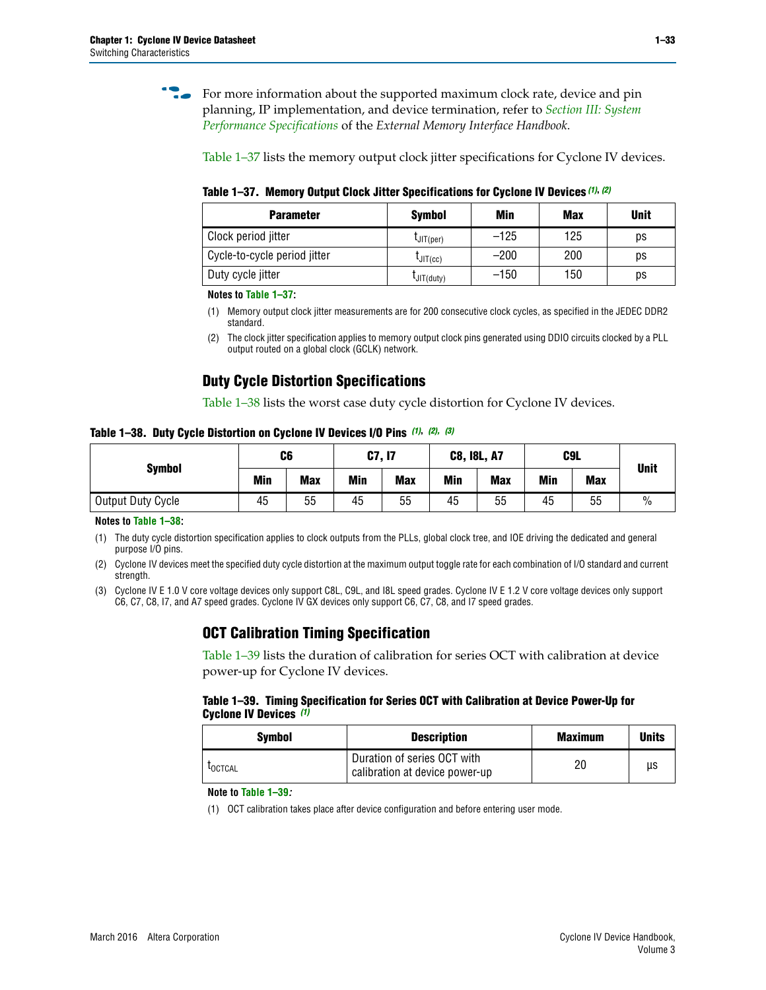**for more information about the supported maximum clock rate, device and pin** planning, IP implementation, and device termination, refer to *[Section III: System](http://www.altera.com/literature/hb/external-memory/emi_intro_specs.pdf)  [Performance Specifications](http://www.altera.com/literature/hb/external-memory/emi_intro_specs.pdf)* of the *External Memory Interface Handbook*.

[Table 1–37](#page-32-0) lists the memory output clock jitter specifications for Cyclone IV devices.

<span id="page-32-0"></span>**Table 1–37. Memory Output Clock Jitter Specifications for Cyclone IV Devices** *[\(1\)](#page-32-2)***,** *[\(2\)](#page-32-3)*

| <b>Parameter</b>             | <b>Symbol</b>  | Min    | <b>Max</b> | <b>Unit</b> |
|------------------------------|----------------|--------|------------|-------------|
| Clock period jitter          | $L$ JIT(per)   | $-125$ | 125        | ps          |
| Cycle-to-cycle period jitter | $L$ JIT $(cc)$ | $-200$ | 200        | ps          |
| Duty cycle jitter            | LJIT(duty)     | $-150$ | 150        | рs          |

**Notes to [Table 1–37:](#page-32-0)**

<span id="page-32-2"></span>(1) Memory output clock jitter measurements are for 200 consecutive clock cycles, as specified in the JEDEC DDR2 standard.

## **Duty Cycle Distortion Specifications**

[Table 1–38](#page-32-4) lists the worst case duty cycle distortion for Cyclone IV devices.

<span id="page-32-4"></span>**Table 1–38. Duty Cycle Distortion on Cyclone IV Devices I/O Pins** *[\(1\)](#page-32-5)***,** *[\(2\),](#page-32-6) [\(3\)](#page-32-1)*

| <b>Symbol</b>     | C6  |            | C7, I7     |            | <b>C8, I8L, A7</b> |            | C9L        | <b>Unit</b> |               |
|-------------------|-----|------------|------------|------------|--------------------|------------|------------|-------------|---------------|
|                   | Min | <b>Max</b> | <b>Min</b> | <b>Max</b> | Min                | <b>Max</b> | <b>Min</b> | <b>Max</b>  |               |
| Output Duty Cycle | 45  | 55         | 45         | 55         | 45                 | 55         | 45         | 55          | $\frac{0}{0}$ |

**Notes to [Table 1–38:](#page-32-4)**

<span id="page-32-5"></span>(1) The duty cycle distortion specification applies to clock outputs from the PLLs, global clock tree, and IOE driving the dedicated and general purpose I/O pins.

<span id="page-32-6"></span>(2) Cyclone IV devices meet the specified duty cycle distortion at the maximum output toggle rate for each combination of I/O standard and current strength.

<span id="page-32-1"></span>(3) Cyclone IV E 1.0 V core voltage devices only support C8L, C9L, and I8L speed grades. Cyclone IV E 1.2 V core voltage devices only support C6, C7, C8, I7, and A7 speed grades. Cyclone IV GX devices only support C6, C7, C8, and I7 speed grades.

## **OCT Calibration Timing Specification**

[Table 1–39](#page-32-7) lists the duration of calibration for series OCT with calibration at device power-up for Cyclone IV devices.

#### <span id="page-32-7"></span>**Table 1–39. Timing Specification for Series OCT with Calibration at Device Power-Up for Cyclone IV Devices** *[\(1\)](#page-32-8)*

| Symbol  | <b>Description</b>                                            | <b>Maximum</b> | <b>Units</b> |
|---------|---------------------------------------------------------------|----------------|--------------|
| LOCTCAL | Duration of series OCT with<br>calibration at device power-up | 20             | μs           |

#### **Note to [Table 1–39](#page-32-7)***:*

<span id="page-32-8"></span>(1) OCT calibration takes place after device configuration and before entering user mode.

<span id="page-32-3"></span><sup>(2)</sup> The clock jitter specification applies to memory output clock pins generated using DDIO circuits clocked by a PLL output routed on a global clock (GCLK) network.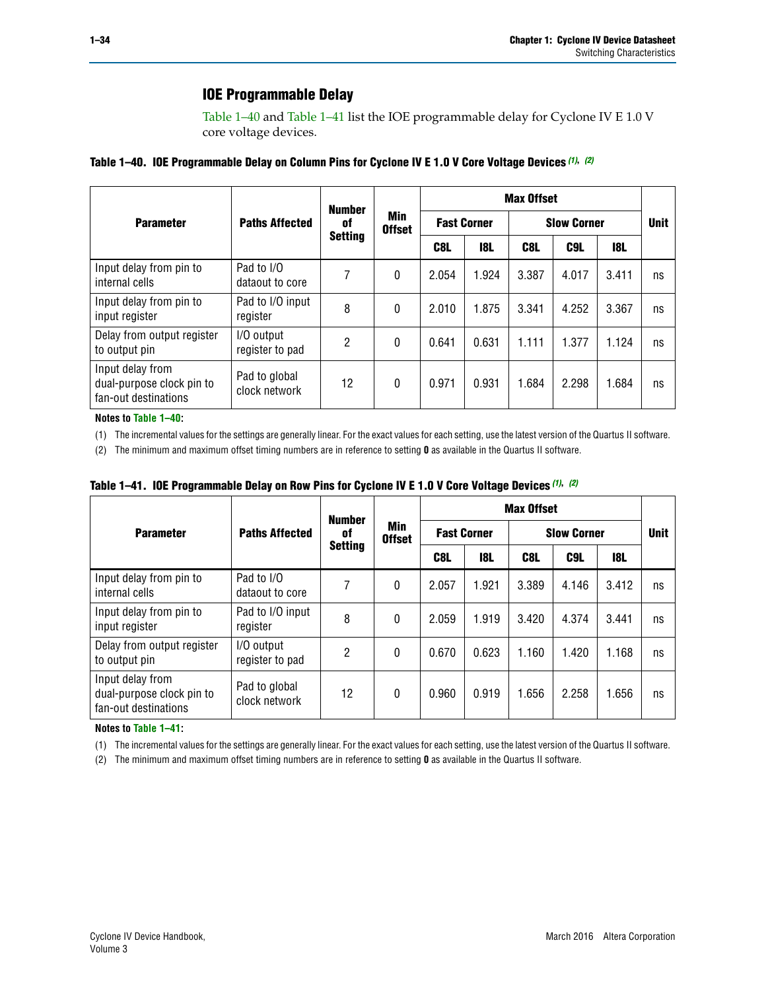## **IOE Programmable Delay**

[Table 1–40](#page-33-0) and [Table 1–41](#page-33-1) list the IOE programmable delay for Cyclone IV E 1.0 V core voltage devices.

<span id="page-33-0"></span>

| Table 1–40. IOE Programmable Delay on Column Pins for Cyclone IV E 1.0 V Core Voltage Devices (1), (2) |
|--------------------------------------------------------------------------------------------------------|
|--------------------------------------------------------------------------------------------------------|

|                                                                       |                                | <b>Number</b>  |                      | <b>Max Offset</b>  |       |       |                    |       |             |  |
|-----------------------------------------------------------------------|--------------------------------|----------------|----------------------|--------------------|-------|-------|--------------------|-------|-------------|--|
| <b>Parameter</b>                                                      | <b>Paths Affected</b>          | 0f             | Min<br><b>Offset</b> | <b>Fast Corner</b> |       |       | <b>Slow Corner</b> |       | <b>Unit</b> |  |
|                                                                       |                                | <b>Setting</b> |                      | C8L                | 18L   | C8L   | C9L                | 18L   |             |  |
| Input delay from pin to<br>internal cells                             | Pad to I/O<br>dataout to core  | 7              | $\mathbf{0}$         | 2.054              | 1.924 | 3.387 | 4.017              | 3.411 | ns          |  |
| Input delay from pin to<br>input register                             | Pad to I/O input<br>register   | 8              | $\mathbf{0}$         | 2.010              | 1.875 | 3.341 | 4.252              | 3.367 | ns          |  |
| Delay from output register<br>to output pin                           | I/O output<br>register to pad  | 2              | $\Omega$             | 0.641              | 0.631 | 1.111 | 1.377              | 1.124 | ns          |  |
| Input delay from<br>dual-purpose clock pin to<br>fan-out destinations | Pad to global<br>clock network | 12             | 0                    | 0.971              | 0.931 | 1.684 | 2.298              | 1.684 | ns          |  |

#### **Notes to [Table 1–40:](#page-33-0)**

<span id="page-33-2"></span>(1) The incremental values for the settings are generally linear. For the exact values for each setting, use the latest version of the Quartus II software.

<span id="page-33-3"></span>(2) The minimum and maximum offset timing numbers are in reference to setting **0** as available in the Quartus II software.

<span id="page-33-1"></span>

| Table 1–41. IOE Programmable Delay on Row Pins for Cyclone IV E 1.0 V Core Voltage Devices (1), (2) |  |  |
|-----------------------------------------------------------------------------------------------------|--|--|
|-----------------------------------------------------------------------------------------------------|--|--|

|                                                                       |                                | <b>Number</b>  |                      |                    |            | <b>Max Offset</b> |                    |       |             |
|-----------------------------------------------------------------------|--------------------------------|----------------|----------------------|--------------------|------------|-------------------|--------------------|-------|-------------|
| <b>Parameter</b>                                                      | <b>Paths Affected</b>          | 0f             | Min<br><b>Offset</b> | <b>Fast Corner</b> |            |                   | <b>Slow Corner</b> |       | <b>Unit</b> |
|                                                                       |                                | <b>Setting</b> |                      | C8L                | <b>18L</b> | C8L               | C9L                | 18L   |             |
| Input delay from pin to<br>internal cells                             | Pad to I/O<br>dataout to core  |                | 0                    | 2.057              | 1.921      | 3.389             | 4.146              | 3.412 | ns          |
| Input delay from pin to<br>input register                             | Pad to I/O input<br>register   | 8              | 0                    | 2.059              | 1.919      | 3.420             | 4.374              | 3.441 | ns          |
| Delay from output register<br>to output pin                           | I/O output<br>register to pad  | $\overline{2}$ | 0                    | 0.670              | 0.623      | 1.160             | 1.420              | 1.168 | ns          |
| Input delay from<br>dual-purpose clock pin to<br>fan-out destinations | Pad to global<br>clock network | 12             | 0                    | 0.960              | 0.919      | 1.656             | 2.258              | 1.656 | ns          |

#### **Notes to [Table 1–41:](#page-33-1)**

<span id="page-33-4"></span>(1) The incremental values for the settings are generally linear. For the exact values for each setting, use the latest version of the Quartus II software.

<span id="page-33-5"></span>(2) The minimum and maximum offset timing numbers are in reference to setting **0** as available in the Quartus II software.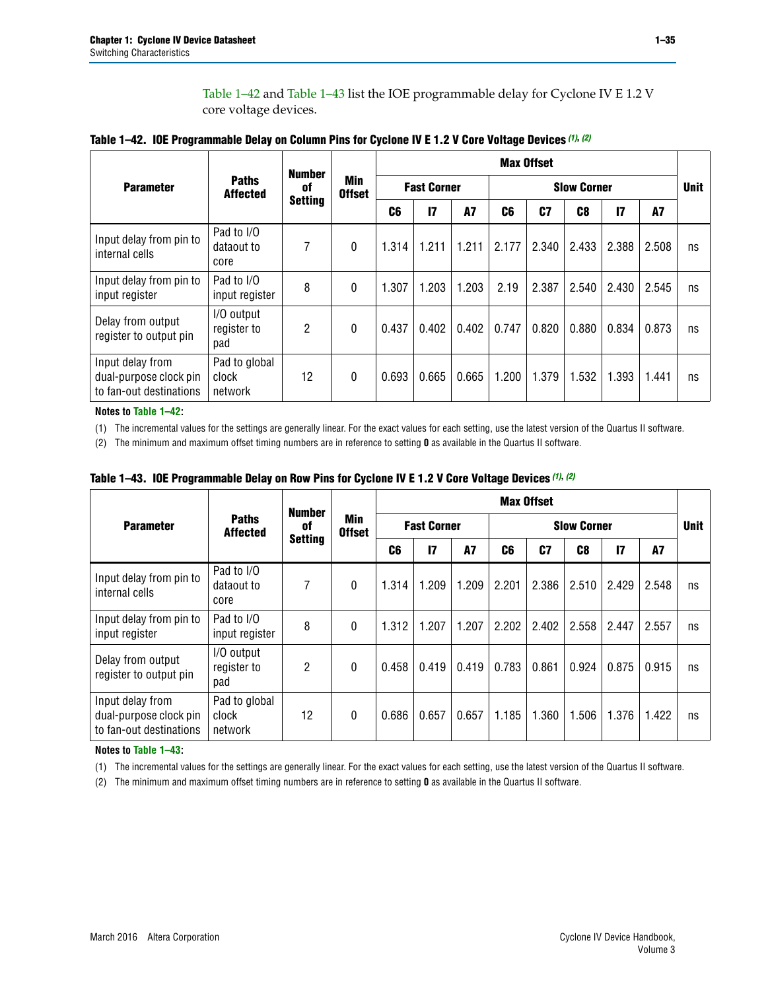[Table 1–42](#page-34-0) and [Table 1–43](#page-34-1) list the IOE programmable delay for Cyclone IV E 1.2 V core voltage devices.

|                                                                       |                                   | <b>Number</b>  |                      |                |                    |           |       | <b>Max Offset</b> |                    |                 |           |             |
|-----------------------------------------------------------------------|-----------------------------------|----------------|----------------------|----------------|--------------------|-----------|-------|-------------------|--------------------|-----------------|-----------|-------------|
| <b>Parameter</b>                                                      | <b>Paths</b><br><b>Affected</b>   | 0f             | Min<br><b>Offset</b> |                | <b>Fast Corner</b> |           |       |                   | <b>Slow Corner</b> |                 |           | <b>Unit</b> |
|                                                                       |                                   | <b>Setting</b> |                      | C <sub>6</sub> | 17                 | <b>A7</b> | C6    | C <sub>7</sub>    | C <sub>8</sub>     | $\overline{17}$ | <b>A7</b> |             |
| Input delay from pin to<br>internal cells                             | Pad to I/O<br>dataout to<br>core  | 7              | 0                    | 1.314          | 1.211              | 1.211     | 2.177 | 2.340             | 2.433              | 2.388           | 2.508     | ns          |
| Input delay from pin to<br>input register                             | Pad to I/O<br>input register      | 8              | 0                    | 1.307          | 1.203              | 1.203     | 2.19  | 2.387             | 2.540              | 2.430           | 2.545     | ns          |
| Delay from output<br>register to output pin                           | I/O output<br>register to<br>pad  | $\overline{2}$ | 0                    | 0.437          | 0.402              | 0.402     | 0.747 | 0.820             | 0.880              | 0.834           | 0.873     | ns          |
| Input delay from<br>dual-purpose clock pin<br>to fan-out destinations | Pad to global<br>clock<br>network | 12             | 0                    | 0.693          | 0.665              | 0.665     | 1.200 | 1.379             | 1.532              | 1.393           | 1.441     | ns          |

<span id="page-34-0"></span>

**Notes to [Table 1–42:](#page-34-0)**

<span id="page-34-4"></span>(1) The incremental values for the settings are generally linear. For the exact values for each setting, use the latest version of the Quartus II software.

<span id="page-34-5"></span>(2) The minimum and maximum offset timing numbers are in reference to setting **0** as available in the Quartus II software.

|                                                                       |                                   | <b>Number</b>  |                      |                |                    |       |       | <b>Max Offset</b> |                    |       |           |             |
|-----------------------------------------------------------------------|-----------------------------------|----------------|----------------------|----------------|--------------------|-------|-------|-------------------|--------------------|-------|-----------|-------------|
| <b>Parameter</b>                                                      | <b>Paths</b><br><b>Affected</b>   | 0f             | Min<br><b>Offset</b> |                | <b>Fast Corner</b> |       |       |                   | <b>Slow Corner</b> |       |           | <b>Unit</b> |
|                                                                       |                                   | <b>Setting</b> |                      | C <sub>6</sub> | 17                 | A7    | C6    | C <sub>7</sub>    | C8                 | 17    | <b>A7</b> |             |
| Input delay from pin to<br>internal cells                             | Pad to I/O<br>dataout to<br>core  | 7              | $\mathbf{0}$         | 1.314          | 1.209              | 1.209 | 2.201 | 2.386             | 2.510              | 2.429 | 2.548     | ns          |
| Input delay from pin to<br>input register                             | Pad to I/O<br>input register      | 8              | $\theta$             | 1.312          | 1.207              | 1.207 | 2.202 | 2.402             | 2.558              | 2.447 | 2.557     | ns          |
| Delay from output<br>register to output pin                           | I/O output<br>register to<br>pad  | 2              | 0                    | 0.458          | 0.419              | 0.419 | 0.783 | 0.861             | 0.924              | 0.875 | 0.915     | ns          |
| Input delay from<br>dual-purpose clock pin<br>to fan-out destinations | Pad to global<br>clock<br>network | 12             | 0                    | 0.686          | 0.657              | 0.657 | 1.185 | 1.360             | 1.506              | 1.376 | 1.422     | ns          |

<span id="page-34-1"></span>**Table 1–43. IOE Programmable Delay on Row Pins for Cyclone IV E 1.2 V Core Voltage Devices** *[\(1\)](#page-34-2)***,** *[\(2\)](#page-34-3)*

#### **Notes to [Table 1–43:](#page-34-1)**

<span id="page-34-2"></span>(1) The incremental values for the settings are generally linear. For the exact values for each setting, use the latest version of the Quartus II software.

<span id="page-34-3"></span>(2) The minimum and maximum offset timing numbers are in reference to setting **0** as available in the Quartus II software.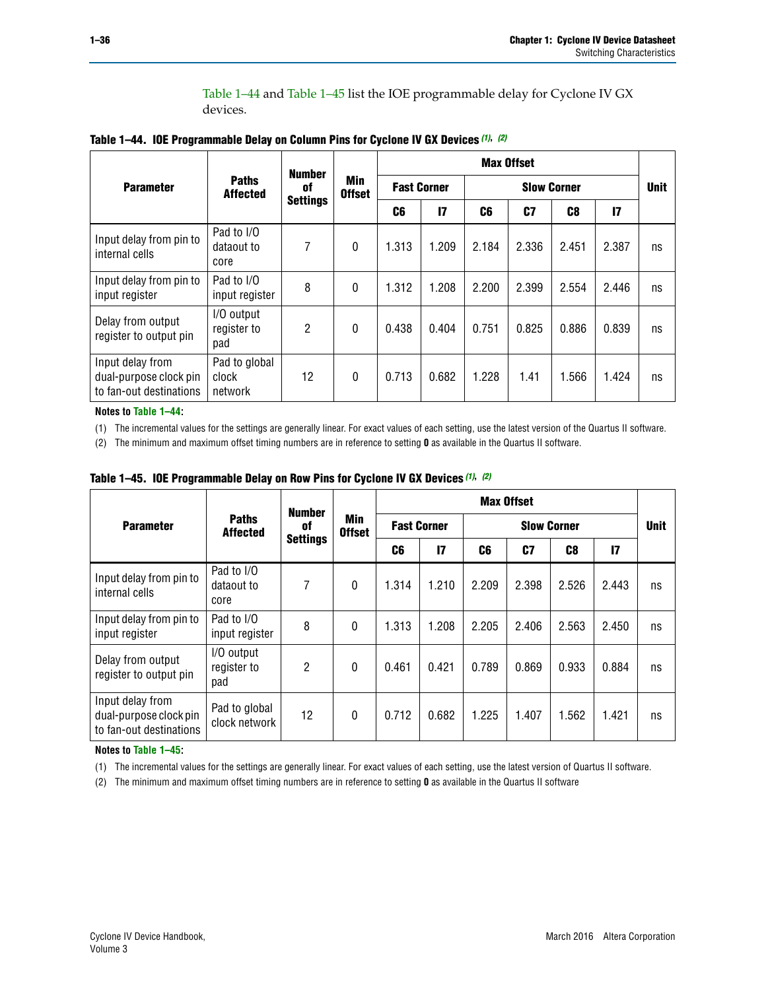[Table 1–44](#page-35-2) and [Table 1–45](#page-35-5) list the IOE programmable delay for Cyclone IV GX devices.

<span id="page-35-2"></span>

|  |  |  | Table 1-44. IOE Programmable Delay on Column Pins for Cyclone IV GX Devices (1), (2) |
|--|--|--|--------------------------------------------------------------------------------------|
|--|--|--|--------------------------------------------------------------------------------------|

|                                                                       |                                   | <b>Number</b>   |                             | <b>Max Offset</b> |                    |       |                    |       |       |             |  |
|-----------------------------------------------------------------------|-----------------------------------|-----------------|-----------------------------|-------------------|--------------------|-------|--------------------|-------|-------|-------------|--|
| <b>Parameter</b>                                                      | <b>Paths</b><br><b>Affected</b>   | 0f              | <b>Min</b><br><b>Offset</b> |                   | <b>Fast Corner</b> |       | <b>Slow Corner</b> |       |       | <b>Unit</b> |  |
|                                                                       |                                   | <b>Settings</b> |                             | C6                | $\mathsf{I}7$      | C6    | C7                 | C8    | 17    |             |  |
| Input delay from pin to<br>internal cells                             | Pad to I/O<br>dataout to<br>core  | 7               | $\Omega$                    | 1.313             | 1.209              | 2.184 | 2.336              | 2.451 | 2.387 | ns          |  |
| Input delay from pin to<br>input register                             | Pad to I/O<br>input register      | 8               | $\Omega$                    | 1.312             | 1.208              | 2.200 | 2.399              | 2.554 | 2.446 | ns          |  |
| Delay from output<br>register to output pin                           | I/O output<br>register to<br>pad  | 2               | $\Omega$                    | 0.438             | 0.404              | 0.751 | 0.825              | 0.886 | 0.839 | ns          |  |
| Input delay from<br>dual-purpose clock pin<br>to fan-out destinations | Pad to global<br>clock<br>network | 12              | $\mathbf{0}$                | 0.713             | 0.682              | 1.228 | 1.41               | 1.566 | 1.424 | ns          |  |

**Notes to [Table 1–44:](#page-35-2)**

<span id="page-35-0"></span>(1) The incremental values for the settings are generally linear. For exact values of each setting, use the latest version of the Quartus II software.

<span id="page-35-1"></span>(2) The minimum and maximum offset timing numbers are in reference to setting **0** as available in the Quartus II software.

|                                                                       |                                  | <b>Number</b>   |                      |       |                    |       | <b>Max Offset</b> |                    |                 |             |
|-----------------------------------------------------------------------|----------------------------------|-----------------|----------------------|-------|--------------------|-------|-------------------|--------------------|-----------------|-------------|
| <b>Parameter</b>                                                      | <b>Paths</b><br><b>Affected</b>  | of              | Min<br><b>Offset</b> |       | <b>Fast Corner</b> |       |                   | <b>Slow Corner</b> |                 | <b>Unit</b> |
|                                                                       |                                  | <b>Settings</b> |                      | C6    | $\mathbf{I}$       | C6    | C7                | C <sub>8</sub>     | $\overline{17}$ |             |
| Input delay from pin to<br>internal cells                             | Pad to I/O<br>dataout to<br>core | 7               | $\theta$             | 1.314 | 1.210              | 2.209 | 2.398             | 2.526              | 2.443           | ns          |
| Input delay from pin to<br>input register                             | Pad to I/O<br>input register     | 8               | $\Omega$             | 1.313 | 1.208              | 2.205 | 2.406             | 2.563              | 2.450           | ns          |
| Delay from output<br>register to output pin                           | I/O output<br>register to<br>pad | 2               | $\mathbf{0}$         | 0.461 | 0.421              | 0.789 | 0.869             | 0.933              | 0.884           | ns          |
| Input delay from<br>dual-purpose clock pin<br>to fan-out destinations | Pad to global<br>clock network   | 12              | 0                    | 0.712 | 0.682              | 1.225 | 1.407             | 1.562              | 1.421           | ns          |

<span id="page-35-5"></span>**Table 1–45. IOE Programmable Delay on Row Pins for Cyclone IV GX Devices** *[\(1\)](#page-35-3)***,** *[\(2\)](#page-35-4)*

#### **Notes to [Table 1–45:](#page-35-5)**

<span id="page-35-3"></span>(1) The incremental values for the settings are generally linear. For exact values of each setting, use the latest version of Quartus II software.

<span id="page-35-4"></span>(2) The minimum and maximum offset timing numbers are in reference to setting **0** as available in the Quartus II software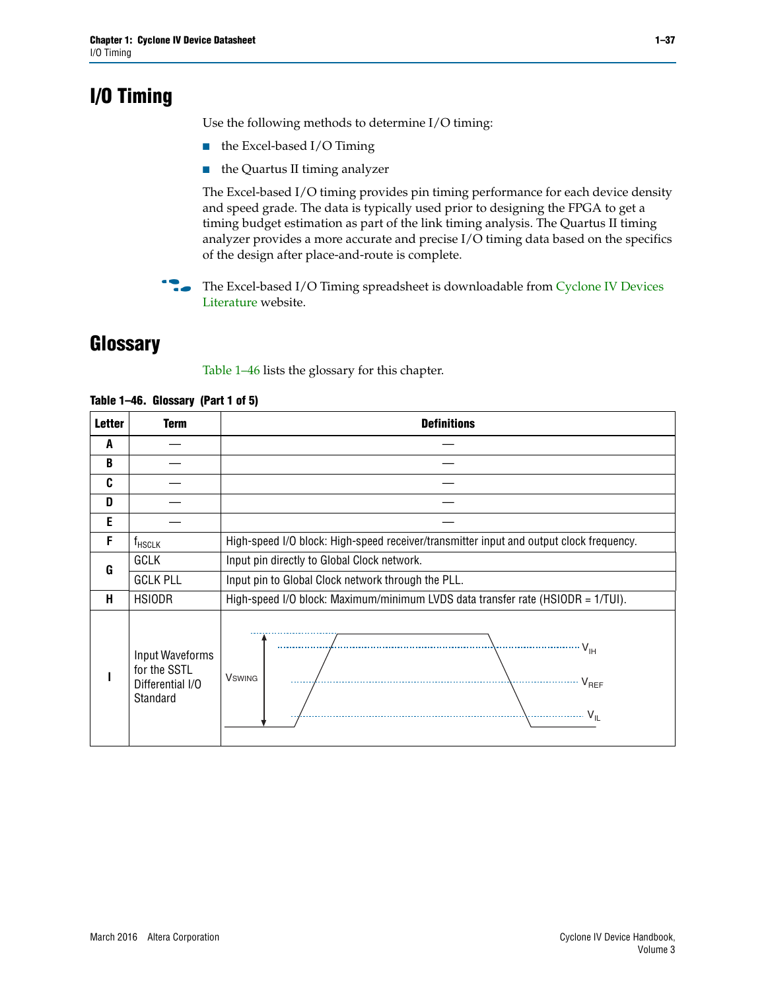# <span id="page-36-0"></span>**I/O Timing**

Use the following methods to determine I/O timing:

- the Excel-based I/O Timing
- the Quartus II timing analyzer

The Excel-based I/O timing provides pin timing performance for each device density and speed grade. The data is typically used prior to designing the FPGA to get a timing budget estimation as part of the link timing analysis. The Quartus II timing analyzer provides a more accurate and precise I/O timing data based on the specifics of the design after place-and-route is complete.

**For The Excel-based I/O Timing spreadsheet is downloadable from Cyclone IV Devices** [Literature](http://www.altera.com/literature/lit-cyclone-iv.jsp) website.

## <span id="page-36-1"></span>**Glossary**

[Table 1–46](#page-36-2) lists the glossary for this chapter.

| <b>Letter</b> | <b>Term</b>                                                     | <b>Definitions</b>                                                                                                                               |
|---------------|-----------------------------------------------------------------|--------------------------------------------------------------------------------------------------------------------------------------------------|
| A             |                                                                 |                                                                                                                                                  |
| B             |                                                                 |                                                                                                                                                  |
| C             |                                                                 |                                                                                                                                                  |
| D             |                                                                 |                                                                                                                                                  |
| E             |                                                                 |                                                                                                                                                  |
| F             | $f_{\sf HSCLK}$                                                 | High-speed I/O block: High-speed receiver/transmitter input and output clock frequency.                                                          |
| G             | <b>GCLK</b>                                                     | Input pin directly to Global Clock network.                                                                                                      |
|               | <b>GCLK PLL</b>                                                 | Input pin to Global Clock network through the PLL.                                                                                               |
| н             | <b>HSIODR</b>                                                   | High-speed I/O block: Maximum/minimum LVDS data transfer rate (HSIODR = 1/TUI).                                                                  |
|               | Input Waveforms<br>for the SSTL<br>Differential I/O<br>Standard | $\frac{1}{\sqrt{1+\frac{1}{2}}}\left\{ \frac{1}{\sqrt{1+\frac{1}{2}}}\right\}$<br><b>V</b> swing<br>$\cdots$ $V_{REF}$<br>\<br>$\sim V_{\rm IL}$ |

<span id="page-36-2"></span>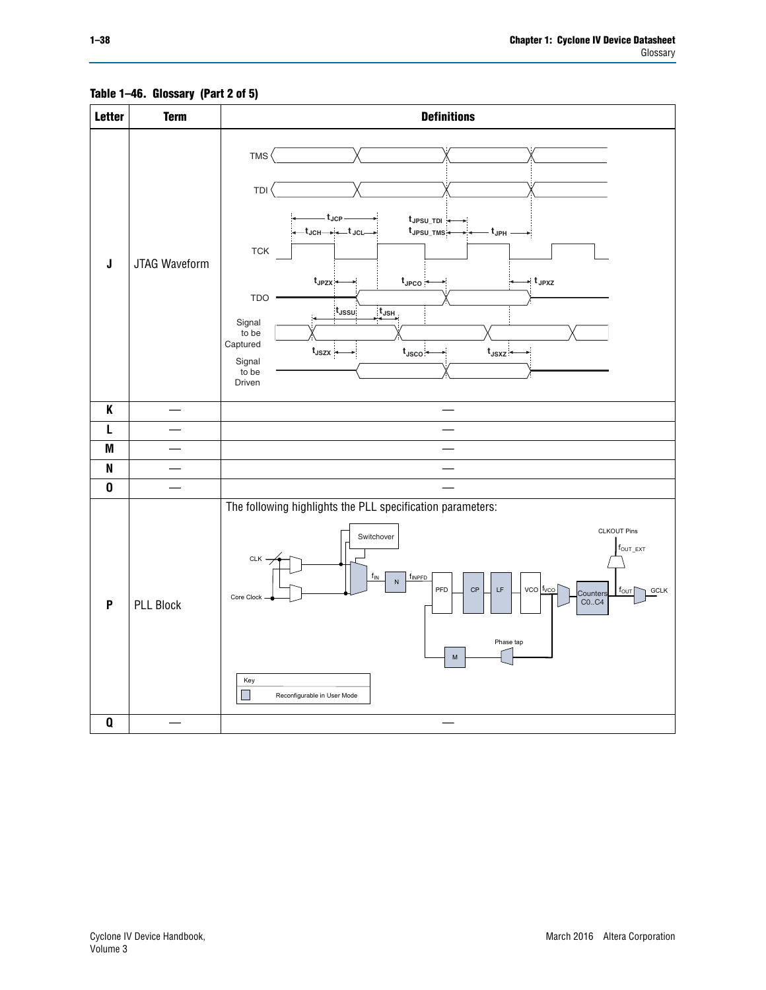<span id="page-37-0"></span>

## **Table 1–46. Glossary (Part 2 of 5)**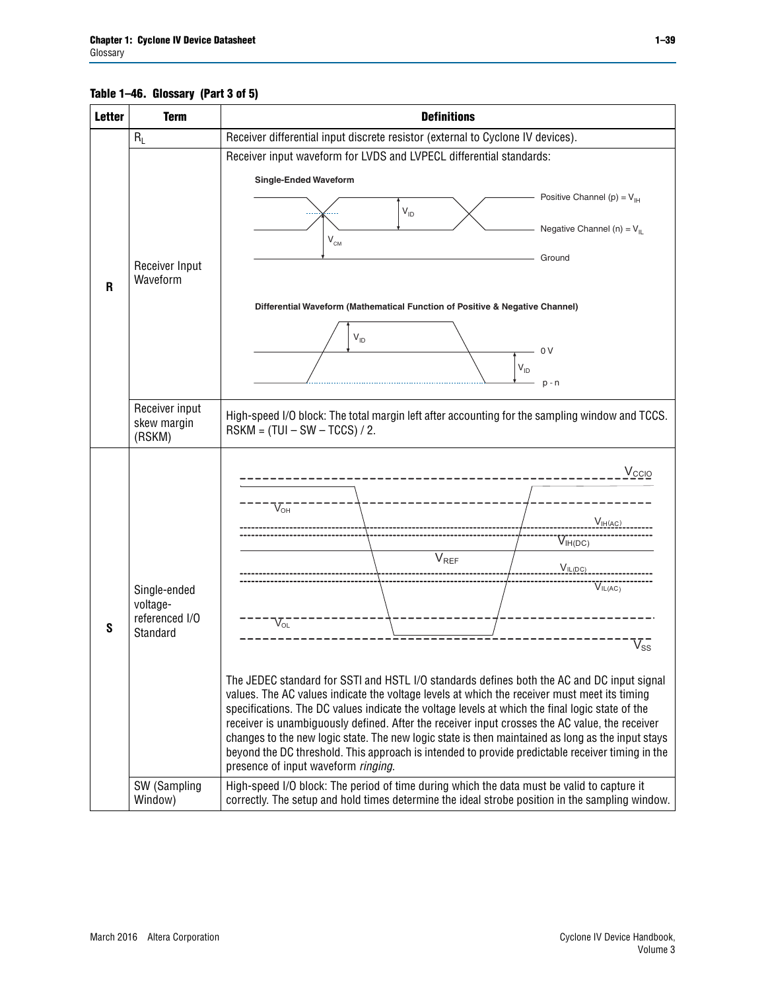## **Table 1–46. Glossary (Part 3 of 5)**

| <b>Letter</b> | <b>Term</b>                                                                       | <b>Definitions</b>                                                                                                                                                                                                                                                                                                                                                                                                                                                                                                                                                                                                                                                                                                                                                                                                                                                                                                                                                                                                                |
|---------------|-----------------------------------------------------------------------------------|-----------------------------------------------------------------------------------------------------------------------------------------------------------------------------------------------------------------------------------------------------------------------------------------------------------------------------------------------------------------------------------------------------------------------------------------------------------------------------------------------------------------------------------------------------------------------------------------------------------------------------------------------------------------------------------------------------------------------------------------------------------------------------------------------------------------------------------------------------------------------------------------------------------------------------------------------------------------------------------------------------------------------------------|
|               | $R_L$                                                                             | Receiver differential input discrete resistor (external to Cyclone IV devices).                                                                                                                                                                                                                                                                                                                                                                                                                                                                                                                                                                                                                                                                                                                                                                                                                                                                                                                                                   |
|               |                                                                                   | Receiver input waveform for LVDS and LVPECL differential standards:                                                                                                                                                                                                                                                                                                                                                                                                                                                                                                                                                                                                                                                                                                                                                                                                                                                                                                                                                               |
|               | Receiver Input<br>Waveform                                                        | <b>Single-Ended Waveform</b><br>Positive Channel (p) = $V_{\text{H}}$<br>$V_{ID}$<br>Negative Channel (n) = $V_{IL}$<br>$V_{CM}$<br>Ground                                                                                                                                                                                                                                                                                                                                                                                                                                                                                                                                                                                                                                                                                                                                                                                                                                                                                        |
| R             |                                                                                   | Differential Waveform (Mathematical Function of Positive & Negative Channel)<br>$V_{ID}$<br>- 0 V<br>$V_{ID}$<br>$p - n$                                                                                                                                                                                                                                                                                                                                                                                                                                                                                                                                                                                                                                                                                                                                                                                                                                                                                                          |
|               | Receiver input<br>skew margin<br>(RSKM)                                           | High-speed I/O block: The total margin left after accounting for the sampling window and TCCS.<br>$RSKM = (TUI - SW - TCCS) / 2.$                                                                                                                                                                                                                                                                                                                                                                                                                                                                                                                                                                                                                                                                                                                                                                                                                                                                                                 |
| S             | Single-ended<br>voltage-<br>referenced I/O<br>Standard<br>SW (Sampling<br>Window) | $V_{\rm CCIO}$<br>$V_{\text{OH}}$<br>V <sub>IH</sub> (AC)<br>$V_{IH(DC)}$<br>V <sub>REF</sub><br>$V_{IL(DC)}$<br>VIL(AC)<br>$V_{OL}$<br>$\overline{\mathsf{V}}_\mathsf{SS}^-$<br>The JEDEC standard for SSTI and HSTL I/O standards defines both the AC and DC input signal<br>values. The AC values indicate the voltage levels at which the receiver must meet its timing<br>specifications. The DC values indicate the voltage levels at which the final logic state of the<br>receiver is unambiguously defined. After the receiver input crosses the AC value, the receiver<br>changes to the new logic state. The new logic state is then maintained as long as the input stays<br>beyond the DC threshold. This approach is intended to provide predictable receiver timing in the<br>presence of input waveform ringing.<br>High-speed I/O block: The period of time during which the data must be valid to capture it<br>correctly. The setup and hold times determine the ideal strobe position in the sampling window. |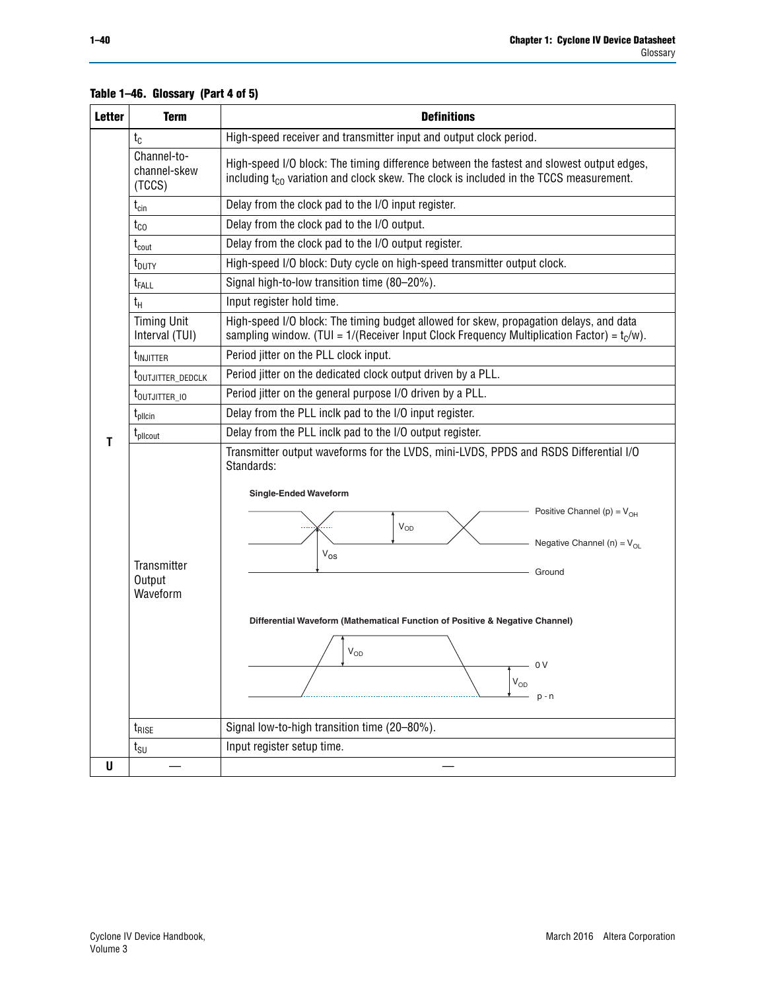| <b>Letter</b> | <b>Term</b>                           | <b>Definitions</b>                                                                                                                                                                              |  |  |  |  |  |  |  |  |
|---------------|---------------------------------------|-------------------------------------------------------------------------------------------------------------------------------------------------------------------------------------------------|--|--|--|--|--|--|--|--|
|               | $t_{c}$                               | High-speed receiver and transmitter input and output clock period.                                                                                                                              |  |  |  |  |  |  |  |  |
|               | Channel-to-<br>channel-skew<br>(TCCS) | High-speed I/O block: The timing difference between the fastest and slowest output edges,<br>including t <sub>co</sub> variation and clock skew. The clock is included in the TCCS measurement. |  |  |  |  |  |  |  |  |
|               | $t_{\text{cin}}$                      | Delay from the clock pad to the I/O input register.                                                                                                                                             |  |  |  |  |  |  |  |  |
|               | $t_{CO}$                              | Delay from the clock pad to the I/O output.                                                                                                                                                     |  |  |  |  |  |  |  |  |
|               | $t_{\rm{cout}}$                       | Delay from the clock pad to the I/O output register.                                                                                                                                            |  |  |  |  |  |  |  |  |
|               | $t_{\text{DUTY}}$                     | High-speed I/O block: Duty cycle on high-speed transmitter output clock.                                                                                                                        |  |  |  |  |  |  |  |  |
|               | t <sub>FALL</sub>                     | Signal high-to-low transition time (80-20%).                                                                                                                                                    |  |  |  |  |  |  |  |  |
|               | $t_{H}$                               | Input register hold time.                                                                                                                                                                       |  |  |  |  |  |  |  |  |
|               | <b>Timing Unit</b><br>Interval (TUI)  | High-speed I/O block: The timing budget allowed for skew, propagation delays, and data<br>sampling window. (TUI = $1/($ Receiver Input Clock Frequency Multiplication Factor) = $t_c/w$ ).      |  |  |  |  |  |  |  |  |
|               | <b>t</b> <sub>INJITTER</sub>          | Period jitter on the PLL clock input.                                                                                                                                                           |  |  |  |  |  |  |  |  |
|               | t <sub>outjitter_dedclk</sub>         | Period jitter on the dedicated clock output driven by a PLL.                                                                                                                                    |  |  |  |  |  |  |  |  |
|               | t <sub>outjitter 10</sub>             | Period jitter on the general purpose I/O driven by a PLL.                                                                                                                                       |  |  |  |  |  |  |  |  |
|               | $t_{\text{pllcin}}$                   | Delay from the PLL inclk pad to the I/O input register.                                                                                                                                         |  |  |  |  |  |  |  |  |
|               | t <sub>plicout</sub>                  | Delay from the PLL inclk pad to the I/O output register.                                                                                                                                        |  |  |  |  |  |  |  |  |
|               |                                       | Transmitter output waveforms for the LVDS, mini-LVDS, PPDS and RSDS Differential I/O<br>Standards:<br><b>Single-Ended Waveform</b>                                                              |  |  |  |  |  |  |  |  |
|               |                                       | Positive Channel (p) = $V_{OH}$                                                                                                                                                                 |  |  |  |  |  |  |  |  |
|               | Transmitter                           | VOD<br>Negative Channel (n) = $V_{OL}$<br>$V_{OS}$                                                                                                                                              |  |  |  |  |  |  |  |  |
|               | Output<br>Waveform                    | Ground                                                                                                                                                                                          |  |  |  |  |  |  |  |  |
|               |                                       | Differential Waveform (Mathematical Function of Positive & Negative Channel)<br>$V_{OD}$                                                                                                        |  |  |  |  |  |  |  |  |
|               |                                       | 0 <sup>V</sup>                                                                                                                                                                                  |  |  |  |  |  |  |  |  |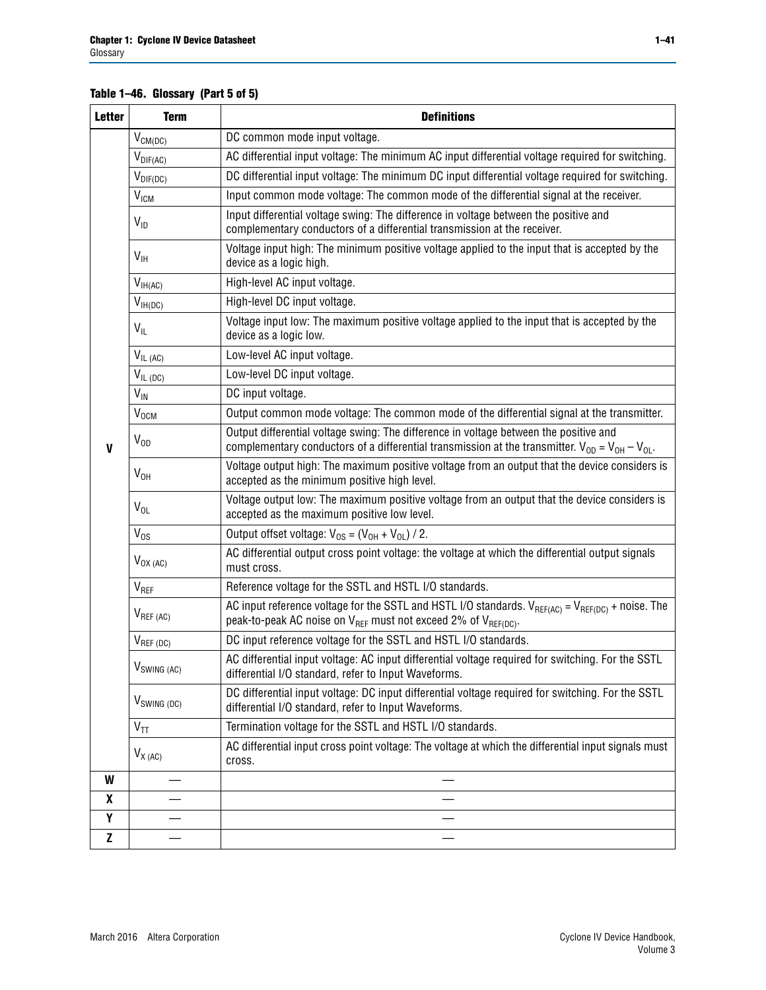## **Table 1–46. Glossary (Part 5 of 5)**

| <b>Letter</b> | <b>Term</b>               | <b>Definitions</b>                                                                                                                                                                                |  |  |
|---------------|---------------------------|---------------------------------------------------------------------------------------------------------------------------------------------------------------------------------------------------|--|--|
|               | $V_{CM(DC)}$              | DC common mode input voltage.                                                                                                                                                                     |  |  |
|               | $V_{DIF(AC)}$             | AC differential input voltage: The minimum AC input differential voltage required for switching.                                                                                                  |  |  |
|               | $V_{DIF(DC)}$             | DC differential input voltage: The minimum DC input differential voltage required for switching.                                                                                                  |  |  |
|               | V <sub>ICM</sub>          | Input common mode voltage: The common mode of the differential signal at the receiver.                                                                                                            |  |  |
|               | $V_{ID}$                  | Input differential voltage swing: The difference in voltage between the positive and<br>complementary conductors of a differential transmission at the receiver.                                  |  |  |
|               | $V_{\text{IH}}$           | Voltage input high: The minimum positive voltage applied to the input that is accepted by the<br>device as a logic high.                                                                          |  |  |
|               | $V_{IH(AC)}$              | High-level AC input voltage.                                                                                                                                                                      |  |  |
|               | $V_{IH(DC)}$              | High-level DC input voltage.                                                                                                                                                                      |  |  |
|               | $V_{IL}$                  | Voltage input low: The maximum positive voltage applied to the input that is accepted by the<br>device as a logic low.                                                                            |  |  |
|               | $V_{IL(AC)}$              | Low-level AC input voltage.                                                                                                                                                                       |  |  |
|               | $V_{IL(DC)}$              | Low-level DC input voltage.                                                                                                                                                                       |  |  |
|               | $V_{\text{IN}}$           | DC input voltage.                                                                                                                                                                                 |  |  |
|               | $\rm V_{\rm OCM}$         | Output common mode voltage: The common mode of the differential signal at the transmitter.                                                                                                        |  |  |
| $\mathbf{V}$  | $V_{OD}$                  | Output differential voltage swing: The difference in voltage between the positive and<br>complementary conductors of a differential transmission at the transmitter. $V_{OD} = V_{OH} - V_{OL}$ . |  |  |
|               | $V_{OH}$                  | Voltage output high: The maximum positive voltage from an output that the device considers is<br>accepted as the minimum positive high level.                                                     |  |  |
|               | $V_{OL}$                  | Voltage output low: The maximum positive voltage from an output that the device considers is<br>accepted as the maximum positive low level.                                                       |  |  |
|               | $V_{OS}$                  | Output offset voltage: $V_{OS} = (V_{OH} + V_{OL}) / 2$ .                                                                                                                                         |  |  |
|               | $V_{OX (AC)}$             | AC differential output cross point voltage: the voltage at which the differential output signals<br>must cross.                                                                                   |  |  |
|               | V <sub>REF</sub>          | Reference voltage for the SSTL and HSTL I/O standards.                                                                                                                                            |  |  |
|               | $V_{REF\,(AC)}$           | AC input reference voltage for the SSTL and HSTL I/O standards. $V_{REF(AC)} = V_{REF(DC)} + noise$ . The<br>peak-to-peak AC noise on $V_{REF}$ must not exceed 2% of $V_{REF(DC)}$ .             |  |  |
|               | $V_{REF(DC)}$             | DC input reference voltage for the SSTL and HSTL I/O standards.                                                                                                                                   |  |  |
|               | $V_{\textrm{SWING (AC)}}$ | AC differential input voltage: AC input differential voltage required for switching. For the SSTL<br>differential I/O standard, refer to Input Waveforms.                                         |  |  |
|               | $V_{SWING (DC)}$          | DC differential input voltage: DC input differential voltage required for switching. For the SSTL<br>differential I/O standard, refer to Input Waveforms.                                         |  |  |
|               | $V_{TT}$                  | Termination voltage for the SSTL and HSTL I/O standards.                                                                                                                                          |  |  |
|               | $V_{X(AC)}$               | AC differential input cross point voltage: The voltage at which the differential input signals must<br>cross.                                                                                     |  |  |
| W             |                           |                                                                                                                                                                                                   |  |  |
| X             |                           |                                                                                                                                                                                                   |  |  |
| Υ             |                           |                                                                                                                                                                                                   |  |  |
| Z             |                           |                                                                                                                                                                                                   |  |  |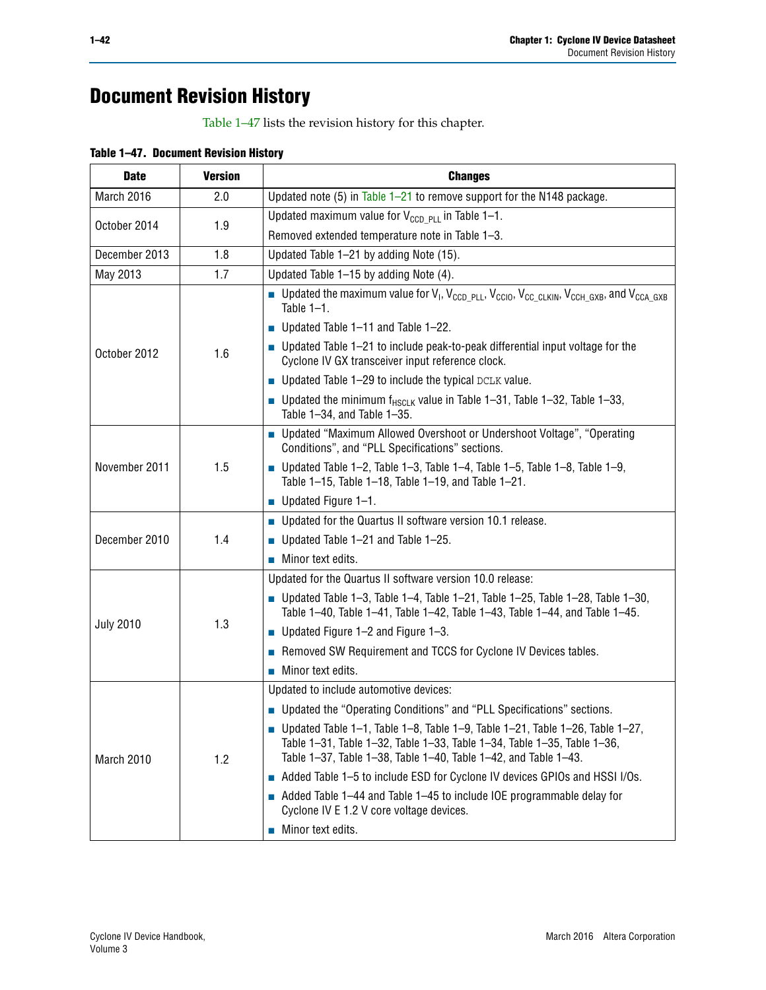# **Document Revision History**

[Table 1–47](#page-41-0) lists the revision history for this chapter.

<span id="page-41-0"></span>

| Table 1-47. Document Revision History |  |  |  |
|---------------------------------------|--|--|--|
|---------------------------------------|--|--|--|

| <b>Date</b>      | <b>Version</b> | <b>Changes</b>                                                                                                                                                                                                             |
|------------------|----------------|----------------------------------------------------------------------------------------------------------------------------------------------------------------------------------------------------------------------------|
| March 2016       | 2.0            | Updated note (5) in Table $1-21$ to remove support for the N148 package.                                                                                                                                                   |
|                  | 1.9            | Updated maximum value for $V_{CCD-PLL}$ in Table 1-1.                                                                                                                                                                      |
| October 2014     |                | Removed extended temperature note in Table 1-3.                                                                                                                                                                            |
| December 2013    | 1.8            | Updated Table 1-21 by adding Note (15).                                                                                                                                                                                    |
| May 2013         | 1.7            | Updated Table 1-15 by adding Note (4).                                                                                                                                                                                     |
|                  | 1.6            | Dpdated the maximum value for $V_1$ , $V_{CCD\_PLL}$ , $V_{CC10}$ , $V_{CC\_CLKIN}$ , $V_{CCH\_GXB}$ , and $V_{CCA\_GXB}$<br>Table $1-1$ .                                                                                 |
|                  |                | Updated Table 1-11 and Table 1-22.                                                                                                                                                                                         |
| October 2012     |                | $\blacksquare$ Updated Table 1-21 to include peak-to-peak differential input voltage for the<br>Cyclone IV GX transceiver input reference clock.                                                                           |
|                  |                | • Updated Table 1-29 to include the typical DCLK value.                                                                                                                                                                    |
|                  |                | <b>D</b> Updated the minimum $f_{HSCLK}$ value in Table 1-31, Table 1-32, Table 1-33,<br>Table 1-34, and Table 1-35.                                                                                                       |
|                  | 1.5            | ■ Updated "Maximum Allowed Overshoot or Undershoot Voltage", "Operating<br>Conditions", and "PLL Specifications" sections.                                                                                                 |
| November 2011    |                | Updated Table 1-2, Table 1-3, Table 1-4, Table 1-5, Table 1-8, Table 1-9,<br>Table 1-15, Table 1-18, Table 1-19, and Table 1-21.                                                                                           |
|                  |                | $\blacksquare$ Updated Figure 1-1.                                                                                                                                                                                         |
|                  | 1.4            | Updated for the Quartus II software version 10.1 release.                                                                                                                                                                  |
| December 2010    |                | Updated Table $1-21$ and Table $1-25$ .                                                                                                                                                                                    |
|                  |                | $\blacksquare$ Minor text edits.                                                                                                                                                                                           |
|                  |                | Updated for the Quartus II software version 10.0 release:                                                                                                                                                                  |
|                  |                | Updated Table 1–3, Table 1–4, Table 1–21, Table 1–25, Table 1–28, Table 1–30,<br>Table 1-40, Table 1-41, Table 1-42, Table 1-43, Table 1-44, and Table 1-45.                                                               |
| <b>July 2010</b> | 1.3            | ■ Updated Figure $1-2$ and Figure $1-3$ .                                                                                                                                                                                  |
|                  |                | Removed SW Requirement and TCCS for Cyclone IV Devices tables.                                                                                                                                                             |
|                  |                | $\blacksquare$ Minor text edits.                                                                                                                                                                                           |
|                  |                | Updated to include automotive devices:                                                                                                                                                                                     |
|                  |                | <b>Updated the "Operating Conditions" and "PLL Specifications" sections.</b>                                                                                                                                               |
| March 2010       | 1.2            | Updated Table 1–1, Table 1–8, Table 1–9, Table 1–21, Table 1–26, Table 1–27,<br>Table 1-31, Table 1-32, Table 1-33, Table 1-34, Table 1-35, Table 1-36,<br>Table 1-37, Table 1-38, Table 1-40, Table 1-42, and Table 1-43. |
|                  |                | Added Table 1-5 to include ESD for Cyclone IV devices GPIOs and HSSI I/Os.                                                                                                                                                 |
|                  |                | Added Table 1-44 and Table 1-45 to include IOE programmable delay for<br>Cyclone IV E 1.2 V core voltage devices.                                                                                                          |
|                  |                | Minor text edits.                                                                                                                                                                                                          |